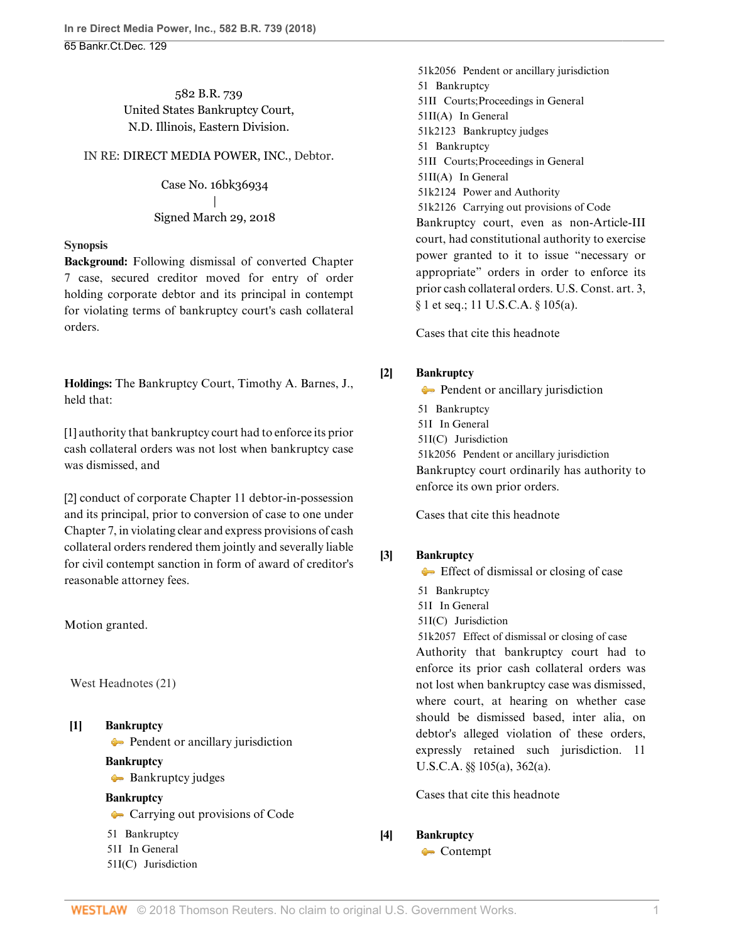582 B.R. 739 United States Bankruptcy Court, N.D. Illinois, Eastern Division.

### IN RE: [DIRECT MEDIA POWER, INC.](http://www.westlaw.com/Search/Results.html?query=advanced%3a+OAID(5046838764)&saveJuris=False&contentType=BUSINESS-INVESTIGATOR&startIndex=1&contextData=(sc.Default)&categoryPageUrl=Home%2fCompanyInvestigator&originationContext=document&vr=3.0&rs=cblt1.0&transitionType=DocumentItem), Debtor.

Case No. 16bk36934 | Signed March 29, 2018

### **Synopsis**

**Background:** Following dismissal of converted Chapter 7 case, secured creditor moved for entry of order holding corporate debtor and its principal in contempt for violating terms of bankruptcy court's cash collateral orders.

**Holdings:** The Bankruptcy Court, [Timothy A. Barnes,](http://www.westlaw.com/Link/Document/FullText?findType=h&pubNum=176284&cite=0319083401&originatingDoc=I0f6505e036cb11e8a70fc9d8a0b2aef5&refType=RQ&originationContext=document&vr=3.0&rs=cblt1.0&transitionType=DocumentItem&contextData=(sc.PubAlert)) J., held that:

[\[1\]](#page-0-0) authority that bankruptcy court had to enforce its prior cash collateral orders was not lost when bankruptcy case was dismissed, and

[\[2\]](#page-2-0) conduct of corporate Chapter 11 debtor-in-possession and its principal, prior to conversion of case to one under Chapter 7, in violating clear and express provisions of cash collateral orders rendered them jointly and severally liable for civil contempt sanction in form of award of creditor's reasonable attorney fees.

## Motion granted.

West Headnotes (21)

<span id="page-0-1"></span>**[\[1\]](#page-4-0) [Bankruptcy](http://www.westlaw.com/Browse/Home/KeyNumber/51/View.html?docGuid=I0f6505e036cb11e8a70fc9d8a0b2aef5&originationContext=document&vr=3.0&rs=cblt1.0&transitionType=DocumentItem&contextData=(sc.PubAlert))**

**[Pendent or ancillary jurisdiction](http://www.westlaw.com/Browse/Home/KeyNumber/51k2056/View.html?docGuid=I0f6505e036cb11e8a70fc9d8a0b2aef5&originationContext=document&vr=3.0&rs=cblt1.0&transitionType=DocumentItem&contextData=(sc.PubAlert))** 

## **[Bankruptcy](http://www.westlaw.com/Browse/Home/KeyNumber/51/View.html?docGuid=I0f6505e036cb11e8a70fc9d8a0b2aef5&originationContext=document&vr=3.0&rs=cblt1.0&transitionType=DocumentItem&contextData=(sc.PubAlert))**

**[Bankruptcy judges](http://www.westlaw.com/Browse/Home/KeyNumber/51k2123/View.html?docGuid=I0f6505e036cb11e8a70fc9d8a0b2aef5&originationContext=document&vr=3.0&rs=cblt1.0&transitionType=DocumentItem&contextData=(sc.PubAlert))** 

**[Bankruptcy](http://www.westlaw.com/Browse/Home/KeyNumber/51/View.html?docGuid=I0f6505e036cb11e8a70fc9d8a0b2aef5&originationContext=document&vr=3.0&rs=cblt1.0&transitionType=DocumentItem&contextData=(sc.PubAlert))**

- **[Carrying out provisions of Code](http://www.westlaw.com/Browse/Home/KeyNumber/51k2126/View.html?docGuid=I0f6505e036cb11e8a70fc9d8a0b2aef5&originationContext=document&vr=3.0&rs=cblt1.0&transitionType=DocumentItem&contextData=(sc.PubAlert))**
- [51](http://www.westlaw.com/Browse/Home/KeyNumber/51/View.html?docGuid=I0f6505e036cb11e8a70fc9d8a0b2aef5&originationContext=document&vr=3.0&rs=cblt1.0&transitionType=DocumentItem&contextData=(sc.PubAlert)) Bankruptcy
- [51I](http://www.westlaw.com/Browse/Home/KeyNumber/51I/View.html?docGuid=I0f6505e036cb11e8a70fc9d8a0b2aef5&originationContext=document&vr=3.0&rs=cblt1.0&transitionType=DocumentItem&contextData=(sc.PubAlert)) In General
- [51I\(C\)](http://www.westlaw.com/Browse/Home/KeyNumber/51I(C)/View.html?docGuid=I0f6505e036cb11e8a70fc9d8a0b2aef5&originationContext=document&vr=3.0&rs=cblt1.0&transitionType=DocumentItem&contextData=(sc.PubAlert)) Jurisdiction

[51k2056](http://www.westlaw.com/Browse/Home/KeyNumber/51k2056/View.html?docGuid=I0f6505e036cb11e8a70fc9d8a0b2aef5&originationContext=document&vr=3.0&rs=cblt1.0&transitionType=DocumentItem&contextData=(sc.PubAlert)) Pendent or ancillary jurisdiction [51](http://www.westlaw.com/Browse/Home/KeyNumber/51/View.html?docGuid=I0f6505e036cb11e8a70fc9d8a0b2aef5&originationContext=document&vr=3.0&rs=cblt1.0&transitionType=DocumentItem&contextData=(sc.PubAlert)) Bankruptcy [51II](http://www.westlaw.com/Browse/Home/KeyNumber/51II/View.html?docGuid=I0f6505e036cb11e8a70fc9d8a0b2aef5&originationContext=document&vr=3.0&rs=cblt1.0&transitionType=DocumentItem&contextData=(sc.PubAlert)) Courts; Proceedings in General [51II\(A\)](http://www.westlaw.com/Browse/Home/KeyNumber/51II(A)/View.html?docGuid=I0f6505e036cb11e8a70fc9d8a0b2aef5&originationContext=document&vr=3.0&rs=cblt1.0&transitionType=DocumentItem&contextData=(sc.PubAlert)) In General [51k2123](http://www.westlaw.com/Browse/Home/KeyNumber/51k2123/View.html?docGuid=I0f6505e036cb11e8a70fc9d8a0b2aef5&originationContext=document&vr=3.0&rs=cblt1.0&transitionType=DocumentItem&contextData=(sc.PubAlert)) Bankruptcy judges [51](http://www.westlaw.com/Browse/Home/KeyNumber/51/View.html?docGuid=I0f6505e036cb11e8a70fc9d8a0b2aef5&originationContext=document&vr=3.0&rs=cblt1.0&transitionType=DocumentItem&contextData=(sc.PubAlert)) Bankruptcy [51II](http://www.westlaw.com/Browse/Home/KeyNumber/51II/View.html?docGuid=I0f6505e036cb11e8a70fc9d8a0b2aef5&originationContext=document&vr=3.0&rs=cblt1.0&transitionType=DocumentItem&contextData=(sc.PubAlert)) Courts; Proceedings in General [51II\(A\)](http://www.westlaw.com/Browse/Home/KeyNumber/51II(A)/View.html?docGuid=I0f6505e036cb11e8a70fc9d8a0b2aef5&originationContext=document&vr=3.0&rs=cblt1.0&transitionType=DocumentItem&contextData=(sc.PubAlert)) In General [51k2124](http://www.westlaw.com/Browse/Home/KeyNumber/51k2124/View.html?docGuid=I0f6505e036cb11e8a70fc9d8a0b2aef5&originationContext=document&vr=3.0&rs=cblt1.0&transitionType=DocumentItem&contextData=(sc.PubAlert)) Power and Authority [51k2126](http://www.westlaw.com/Browse/Home/KeyNumber/51k2126/View.html?docGuid=I0f6505e036cb11e8a70fc9d8a0b2aef5&originationContext=document&vr=3.0&rs=cblt1.0&transitionType=DocumentItem&contextData=(sc.PubAlert)) Carrying out provisions of Code Bankruptcy court, even as non-Article-III court, had constitutional authority to exercise power granted to it to issue "necessary or appropriate" orders in order to enforce its prior cash collateral orders. [U.S. Const. art. 3,](http://www.westlaw.com/Link/Document/FullText?findType=L&pubNum=1000583&cite=USCOARTIIIS1&originatingDoc=I0f6505e036cb11e8a70fc9d8a0b2aef5&refType=LQ&originationContext=document&vr=3.0&rs=cblt1.0&transitionType=DocumentItem&contextData=(sc.PubAlert)) [§ 1](http://www.westlaw.com/Link/Document/FullText?findType=L&pubNum=1000583&cite=USCOARTIIIS1&originatingDoc=I0f6505e036cb11e8a70fc9d8a0b2aef5&refType=LQ&originationContext=document&vr=3.0&rs=cblt1.0&transitionType=DocumentItem&contextData=(sc.PubAlert)) et seq.; [11 U.S.C.A. § 105\(a\).](http://www.westlaw.com/Link/Document/FullText?findType=L&pubNum=1000546&cite=11USCAS105&originatingDoc=I0f6505e036cb11e8a70fc9d8a0b2aef5&refType=SP&originationContext=document&vr=3.0&rs=cblt1.0&transitionType=DocumentItem&contextData=(sc.PubAlert)#co_pp_8b3b0000958a4)

[Cases that cite this headnote](http://www.westlaw.com/Link/RelatedInformation/DocHeadnoteLink?docGuid=I0f6505e036cb11e8a70fc9d8a0b2aef5&headnoteId=204422126300220180502080228&originationContext=document&vr=3.0&rs=cblt1.0&transitionType=CitingReferences&contextData=(sc.PubAlert))

## <span id="page-0-2"></span>**[\[2\]](#page-5-0) [Bankruptcy](http://www.westlaw.com/Browse/Home/KeyNumber/51/View.html?docGuid=I0f6505e036cb11e8a70fc9d8a0b2aef5&originationContext=document&vr=3.0&rs=cblt1.0&transitionType=DocumentItem&contextData=(sc.PubAlert))**

**[Pendent or ancillary jurisdiction](http://www.westlaw.com/Browse/Home/KeyNumber/51k2056/View.html?docGuid=I0f6505e036cb11e8a70fc9d8a0b2aef5&originationContext=document&vr=3.0&rs=cblt1.0&transitionType=DocumentItem&contextData=(sc.PubAlert))** [51](http://www.westlaw.com/Browse/Home/KeyNumber/51/View.html?docGuid=I0f6505e036cb11e8a70fc9d8a0b2aef5&originationContext=document&vr=3.0&rs=cblt1.0&transitionType=DocumentItem&contextData=(sc.PubAlert)) Bankruptcy [51I](http://www.westlaw.com/Browse/Home/KeyNumber/51I/View.html?docGuid=I0f6505e036cb11e8a70fc9d8a0b2aef5&originationContext=document&vr=3.0&rs=cblt1.0&transitionType=DocumentItem&contextData=(sc.PubAlert)) In General [51I\(C\)](http://www.westlaw.com/Browse/Home/KeyNumber/51I(C)/View.html?docGuid=I0f6505e036cb11e8a70fc9d8a0b2aef5&originationContext=document&vr=3.0&rs=cblt1.0&transitionType=DocumentItem&contextData=(sc.PubAlert)) Jurisdiction [51k2056](http://www.westlaw.com/Browse/Home/KeyNumber/51k2056/View.html?docGuid=I0f6505e036cb11e8a70fc9d8a0b2aef5&originationContext=document&vr=3.0&rs=cblt1.0&transitionType=DocumentItem&contextData=(sc.PubAlert)) Pendent or ancillary jurisdiction Bankruptcy court ordinarily has authority to enforce its own prior orders.

[Cases that cite this headnote](http://www.westlaw.com/Link/RelatedInformation/DocHeadnoteLink?docGuid=I0f6505e036cb11e8a70fc9d8a0b2aef5&headnoteId=204422126300120180502080228&originationContext=document&vr=3.0&rs=cblt1.0&transitionType=CitingReferences&contextData=(sc.PubAlert))

## <span id="page-0-0"></span>**[\[3\]](#page-5-1) [Bankruptcy](http://www.westlaw.com/Browse/Home/KeyNumber/51/View.html?docGuid=I0f6505e036cb11e8a70fc9d8a0b2aef5&originationContext=document&vr=3.0&rs=cblt1.0&transitionType=DocumentItem&contextData=(sc.PubAlert))**

[Effect of dismissal or closing of case](http://www.westlaw.com/Browse/Home/KeyNumber/51k2057/View.html?docGuid=I0f6505e036cb11e8a70fc9d8a0b2aef5&originationContext=document&vr=3.0&rs=cblt1.0&transitionType=DocumentItem&contextData=(sc.PubAlert))

- [51](http://www.westlaw.com/Browse/Home/KeyNumber/51/View.html?docGuid=I0f6505e036cb11e8a70fc9d8a0b2aef5&originationContext=document&vr=3.0&rs=cblt1.0&transitionType=DocumentItem&contextData=(sc.PubAlert)) Bankruptcy
- [51I](http://www.westlaw.com/Browse/Home/KeyNumber/51I/View.html?docGuid=I0f6505e036cb11e8a70fc9d8a0b2aef5&originationContext=document&vr=3.0&rs=cblt1.0&transitionType=DocumentItem&contextData=(sc.PubAlert)) In General
- [51I\(C\)](http://www.westlaw.com/Browse/Home/KeyNumber/51I(C)/View.html?docGuid=I0f6505e036cb11e8a70fc9d8a0b2aef5&originationContext=document&vr=3.0&rs=cblt1.0&transitionType=DocumentItem&contextData=(sc.PubAlert)) Jurisdiction

[51k2057](http://www.westlaw.com/Browse/Home/KeyNumber/51k2057/View.html?docGuid=I0f6505e036cb11e8a70fc9d8a0b2aef5&originationContext=document&vr=3.0&rs=cblt1.0&transitionType=DocumentItem&contextData=(sc.PubAlert)) Effect of dismissal or closing of case Authority that bankruptcy court had to enforce its prior cash collateral orders was not lost when bankruptcy case was dismissed, where court, at hearing on whether case should be dismissed based, inter alia, on debtor's alleged violation of these orders, expressly retained such jurisdiction. [11](http://www.westlaw.com/Link/Document/FullText?findType=L&pubNum=1000546&cite=11USCAS105&originatingDoc=I0f6505e036cb11e8a70fc9d8a0b2aef5&refType=SP&originationContext=document&vr=3.0&rs=cblt1.0&transitionType=DocumentItem&contextData=(sc.PubAlert)#co_pp_8b3b0000958a4) [U.S.C.A. §§ 105\(a\)](http://www.westlaw.com/Link/Document/FullText?findType=L&pubNum=1000546&cite=11USCAS105&originatingDoc=I0f6505e036cb11e8a70fc9d8a0b2aef5&refType=SP&originationContext=document&vr=3.0&rs=cblt1.0&transitionType=DocumentItem&contextData=(sc.PubAlert)#co_pp_8b3b0000958a4), [362\(a\)](http://www.westlaw.com/Link/Document/FullText?findType=L&pubNum=1000546&cite=11USCAS362&originatingDoc=I0f6505e036cb11e8a70fc9d8a0b2aef5&refType=SP&originationContext=document&vr=3.0&rs=cblt1.0&transitionType=DocumentItem&contextData=(sc.PubAlert)#co_pp_8b3b0000958a4).

[Cases that cite this headnote](http://www.westlaw.com/Link/RelatedInformation/DocHeadnoteLink?docGuid=I0f6505e036cb11e8a70fc9d8a0b2aef5&headnoteId=204422126300320180502080228&originationContext=document&vr=3.0&rs=cblt1.0&transitionType=CitingReferences&contextData=(sc.PubAlert))

## <span id="page-0-3"></span>**[\[4\]](#page-11-0) [Bankruptcy](http://www.westlaw.com/Browse/Home/KeyNumber/51/View.html?docGuid=I0f6505e036cb11e8a70fc9d8a0b2aef5&originationContext=document&vr=3.0&rs=cblt1.0&transitionType=DocumentItem&contextData=(sc.PubAlert))**

[Contempt](http://www.westlaw.com/Browse/Home/KeyNumber/51k2134/View.html?docGuid=I0f6505e036cb11e8a70fc9d8a0b2aef5&originationContext=document&vr=3.0&rs=cblt1.0&transitionType=DocumentItem&contextData=(sc.PubAlert))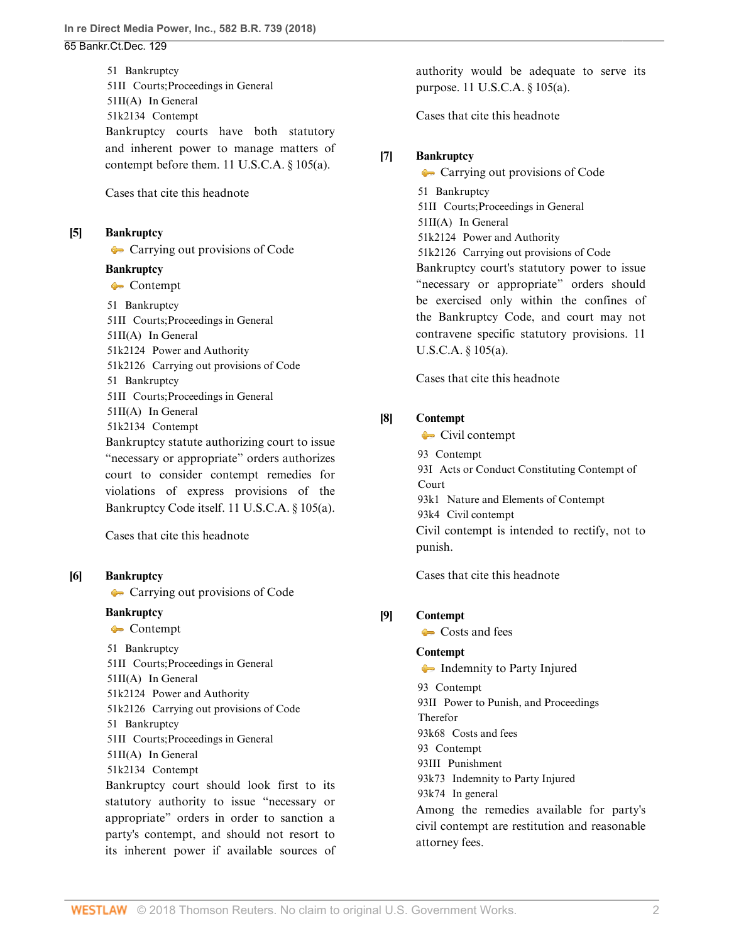65 Bankr.Ct.Dec. 129

[51](http://www.westlaw.com/Browse/Home/KeyNumber/51/View.html?docGuid=I0f6505e036cb11e8a70fc9d8a0b2aef5&originationContext=document&vr=3.0&rs=cblt1.0&transitionType=DocumentItem&contextData=(sc.PubAlert)) Bankruptcy [51II](http://www.westlaw.com/Browse/Home/KeyNumber/51II/View.html?docGuid=I0f6505e036cb11e8a70fc9d8a0b2aef5&originationContext=document&vr=3.0&rs=cblt1.0&transitionType=DocumentItem&contextData=(sc.PubAlert)) Courts; Proceedings in General [51II\(A\)](http://www.westlaw.com/Browse/Home/KeyNumber/51II(A)/View.html?docGuid=I0f6505e036cb11e8a70fc9d8a0b2aef5&originationContext=document&vr=3.0&rs=cblt1.0&transitionType=DocumentItem&contextData=(sc.PubAlert)) In General [51k2134](http://www.westlaw.com/Browse/Home/KeyNumber/51k2134/View.html?docGuid=I0f6505e036cb11e8a70fc9d8a0b2aef5&originationContext=document&vr=3.0&rs=cblt1.0&transitionType=DocumentItem&contextData=(sc.PubAlert)) Contempt Bankruptcy courts have both statutory and inherent power to manage matters of contempt before them. [11 U.S.C.A. § 105\(a\).](http://www.westlaw.com/Link/Document/FullText?findType=L&pubNum=1000546&cite=11USCAS105&originatingDoc=I0f6505e036cb11e8a70fc9d8a0b2aef5&refType=SP&originationContext=document&vr=3.0&rs=cblt1.0&transitionType=DocumentItem&contextData=(sc.PubAlert)#co_pp_8b3b0000958a4)

[Cases that cite this headnote](http://www.westlaw.com/Link/RelatedInformation/DocHeadnoteLink?docGuid=I0f6505e036cb11e8a70fc9d8a0b2aef5&headnoteId=204422126300420180502080228&originationContext=document&vr=3.0&rs=cblt1.0&transitionType=CitingReferences&contextData=(sc.PubAlert))

### <span id="page-1-0"></span>**[\[5\]](#page-11-1) [Bankruptcy](http://www.westlaw.com/Browse/Home/KeyNumber/51/View.html?docGuid=I0f6505e036cb11e8a70fc9d8a0b2aef5&originationContext=document&vr=3.0&rs=cblt1.0&transitionType=DocumentItem&contextData=(sc.PubAlert))**

**[Carrying out provisions of Code](http://www.westlaw.com/Browse/Home/KeyNumber/51k2126/View.html?docGuid=I0f6505e036cb11e8a70fc9d8a0b2aef5&originationContext=document&vr=3.0&rs=cblt1.0&transitionType=DocumentItem&contextData=(sc.PubAlert))** 

### **[Bankruptcy](http://www.westlaw.com/Browse/Home/KeyNumber/51/View.html?docGuid=I0f6505e036cb11e8a70fc9d8a0b2aef5&originationContext=document&vr=3.0&rs=cblt1.0&transitionType=DocumentItem&contextData=(sc.PubAlert))**

[Contempt](http://www.westlaw.com/Browse/Home/KeyNumber/51k2134/View.html?docGuid=I0f6505e036cb11e8a70fc9d8a0b2aef5&originationContext=document&vr=3.0&rs=cblt1.0&transitionType=DocumentItem&contextData=(sc.PubAlert))

[51](http://www.westlaw.com/Browse/Home/KeyNumber/51/View.html?docGuid=I0f6505e036cb11e8a70fc9d8a0b2aef5&originationContext=document&vr=3.0&rs=cblt1.0&transitionType=DocumentItem&contextData=(sc.PubAlert)) Bankruptcy [51II](http://www.westlaw.com/Browse/Home/KeyNumber/51II/View.html?docGuid=I0f6505e036cb11e8a70fc9d8a0b2aef5&originationContext=document&vr=3.0&rs=cblt1.0&transitionType=DocumentItem&contextData=(sc.PubAlert)) Courts; Proceedings in General [51II\(A\)](http://www.westlaw.com/Browse/Home/KeyNumber/51II(A)/View.html?docGuid=I0f6505e036cb11e8a70fc9d8a0b2aef5&originationContext=document&vr=3.0&rs=cblt1.0&transitionType=DocumentItem&contextData=(sc.PubAlert)) In General [51k2124](http://www.westlaw.com/Browse/Home/KeyNumber/51k2124/View.html?docGuid=I0f6505e036cb11e8a70fc9d8a0b2aef5&originationContext=document&vr=3.0&rs=cblt1.0&transitionType=DocumentItem&contextData=(sc.PubAlert)) Power and Authority [51k2126](http://www.westlaw.com/Browse/Home/KeyNumber/51k2126/View.html?docGuid=I0f6505e036cb11e8a70fc9d8a0b2aef5&originationContext=document&vr=3.0&rs=cblt1.0&transitionType=DocumentItem&contextData=(sc.PubAlert)) Carrying out provisions of Code [51](http://www.westlaw.com/Browse/Home/KeyNumber/51/View.html?docGuid=I0f6505e036cb11e8a70fc9d8a0b2aef5&originationContext=document&vr=3.0&rs=cblt1.0&transitionType=DocumentItem&contextData=(sc.PubAlert)) Bankruptcy [51II](http://www.westlaw.com/Browse/Home/KeyNumber/51II/View.html?docGuid=I0f6505e036cb11e8a70fc9d8a0b2aef5&originationContext=document&vr=3.0&rs=cblt1.0&transitionType=DocumentItem&contextData=(sc.PubAlert)) Courts; Proceedings in General [51II\(A\)](http://www.westlaw.com/Browse/Home/KeyNumber/51II(A)/View.html?docGuid=I0f6505e036cb11e8a70fc9d8a0b2aef5&originationContext=document&vr=3.0&rs=cblt1.0&transitionType=DocumentItem&contextData=(sc.PubAlert)) In General [51k2134](http://www.westlaw.com/Browse/Home/KeyNumber/51k2134/View.html?docGuid=I0f6505e036cb11e8a70fc9d8a0b2aef5&originationContext=document&vr=3.0&rs=cblt1.0&transitionType=DocumentItem&contextData=(sc.PubAlert)) Contempt Bankruptcy statute authorizing court to issue "necessary or appropriate" orders authorizes court to consider contempt remedies for violations of express provisions of the Bankruptcy Code itself. [11 U.S.C.A. § 105\(a\).](http://www.westlaw.com/Link/Document/FullText?findType=L&pubNum=1000546&cite=11USCAS105&originatingDoc=I0f6505e036cb11e8a70fc9d8a0b2aef5&refType=SP&originationContext=document&vr=3.0&rs=cblt1.0&transitionType=DocumentItem&contextData=(sc.PubAlert)#co_pp_8b3b0000958a4)

[Cases that cite this headnote](http://www.westlaw.com/Link/RelatedInformation/DocHeadnoteLink?docGuid=I0f6505e036cb11e8a70fc9d8a0b2aef5&headnoteId=204422126300520180502080228&originationContext=document&vr=3.0&rs=cblt1.0&transitionType=CitingReferences&contextData=(sc.PubAlert))

## <span id="page-1-1"></span>**[\[6\]](#page-11-2) [Bankruptcy](http://www.westlaw.com/Browse/Home/KeyNumber/51/View.html?docGuid=I0f6505e036cb11e8a70fc9d8a0b2aef5&originationContext=document&vr=3.0&rs=cblt1.0&transitionType=DocumentItem&contextData=(sc.PubAlert))**

**[Carrying out provisions of Code](http://www.westlaw.com/Browse/Home/KeyNumber/51k2126/View.html?docGuid=I0f6505e036cb11e8a70fc9d8a0b2aef5&originationContext=document&vr=3.0&rs=cblt1.0&transitionType=DocumentItem&contextData=(sc.PubAlert))** 

#### **[Bankruptcy](http://www.westlaw.com/Browse/Home/KeyNumber/51/View.html?docGuid=I0f6505e036cb11e8a70fc9d8a0b2aef5&originationContext=document&vr=3.0&rs=cblt1.0&transitionType=DocumentItem&contextData=(sc.PubAlert))**

[Contempt](http://www.westlaw.com/Browse/Home/KeyNumber/51k2134/View.html?docGuid=I0f6505e036cb11e8a70fc9d8a0b2aef5&originationContext=document&vr=3.0&rs=cblt1.0&transitionType=DocumentItem&contextData=(sc.PubAlert)) [51](http://www.westlaw.com/Browse/Home/KeyNumber/51/View.html?docGuid=I0f6505e036cb11e8a70fc9d8a0b2aef5&originationContext=document&vr=3.0&rs=cblt1.0&transitionType=DocumentItem&contextData=(sc.PubAlert)) Bankruptcy [51II](http://www.westlaw.com/Browse/Home/KeyNumber/51II/View.html?docGuid=I0f6505e036cb11e8a70fc9d8a0b2aef5&originationContext=document&vr=3.0&rs=cblt1.0&transitionType=DocumentItem&contextData=(sc.PubAlert)) Courts; Proceedings in General [51II\(A\)](http://www.westlaw.com/Browse/Home/KeyNumber/51II(A)/View.html?docGuid=I0f6505e036cb11e8a70fc9d8a0b2aef5&originationContext=document&vr=3.0&rs=cblt1.0&transitionType=DocumentItem&contextData=(sc.PubAlert)) In General [51k2124](http://www.westlaw.com/Browse/Home/KeyNumber/51k2124/View.html?docGuid=I0f6505e036cb11e8a70fc9d8a0b2aef5&originationContext=document&vr=3.0&rs=cblt1.0&transitionType=DocumentItem&contextData=(sc.PubAlert)) Power and Authority [51k2126](http://www.westlaw.com/Browse/Home/KeyNumber/51k2126/View.html?docGuid=I0f6505e036cb11e8a70fc9d8a0b2aef5&originationContext=document&vr=3.0&rs=cblt1.0&transitionType=DocumentItem&contextData=(sc.PubAlert)) Carrying out provisions of Code [51](http://www.westlaw.com/Browse/Home/KeyNumber/51/View.html?docGuid=I0f6505e036cb11e8a70fc9d8a0b2aef5&originationContext=document&vr=3.0&rs=cblt1.0&transitionType=DocumentItem&contextData=(sc.PubAlert)) Bankruptcy [51II](http://www.westlaw.com/Browse/Home/KeyNumber/51II/View.html?docGuid=I0f6505e036cb11e8a70fc9d8a0b2aef5&originationContext=document&vr=3.0&rs=cblt1.0&transitionType=DocumentItem&contextData=(sc.PubAlert)) Courts; Proceedings in General [51II\(A\)](http://www.westlaw.com/Browse/Home/KeyNumber/51II(A)/View.html?docGuid=I0f6505e036cb11e8a70fc9d8a0b2aef5&originationContext=document&vr=3.0&rs=cblt1.0&transitionType=DocumentItem&contextData=(sc.PubAlert)) In General [51k2134](http://www.westlaw.com/Browse/Home/KeyNumber/51k2134/View.html?docGuid=I0f6505e036cb11e8a70fc9d8a0b2aef5&originationContext=document&vr=3.0&rs=cblt1.0&transitionType=DocumentItem&contextData=(sc.PubAlert)) Contempt Bankruptcy court should look first to its statutory authority to issue "necessary or appropriate" orders in order to sanction a party's contempt, and should not resort to its inherent power if available sources of authority would be adequate to serve its purpose. [11 U.S.C.A. § 105\(a\)](http://www.westlaw.com/Link/Document/FullText?findType=L&pubNum=1000546&cite=11USCAS105&originatingDoc=I0f6505e036cb11e8a70fc9d8a0b2aef5&refType=SP&originationContext=document&vr=3.0&rs=cblt1.0&transitionType=DocumentItem&contextData=(sc.PubAlert)#co_pp_8b3b0000958a4).

[Cases that cite this headnote](http://www.westlaw.com/Link/RelatedInformation/DocHeadnoteLink?docGuid=I0f6505e036cb11e8a70fc9d8a0b2aef5&headnoteId=204422126300620180502080228&originationContext=document&vr=3.0&rs=cblt1.0&transitionType=CitingReferences&contextData=(sc.PubAlert))

## <span id="page-1-2"></span>**[\[7\]](#page-12-0) [Bankruptcy](http://www.westlaw.com/Browse/Home/KeyNumber/51/View.html?docGuid=I0f6505e036cb11e8a70fc9d8a0b2aef5&originationContext=document&vr=3.0&rs=cblt1.0&transitionType=DocumentItem&contextData=(sc.PubAlert))**

**[Carrying out provisions of Code](http://www.westlaw.com/Browse/Home/KeyNumber/51k2126/View.html?docGuid=I0f6505e036cb11e8a70fc9d8a0b2aef5&originationContext=document&vr=3.0&rs=cblt1.0&transitionType=DocumentItem&contextData=(sc.PubAlert))** [51](http://www.westlaw.com/Browse/Home/KeyNumber/51/View.html?docGuid=I0f6505e036cb11e8a70fc9d8a0b2aef5&originationContext=document&vr=3.0&rs=cblt1.0&transitionType=DocumentItem&contextData=(sc.PubAlert)) Bankruptcy

[51II](http://www.westlaw.com/Browse/Home/KeyNumber/51II/View.html?docGuid=I0f6505e036cb11e8a70fc9d8a0b2aef5&originationContext=document&vr=3.0&rs=cblt1.0&transitionType=DocumentItem&contextData=(sc.PubAlert)) Courts; Proceedings in General [51II\(A\)](http://www.westlaw.com/Browse/Home/KeyNumber/51II(A)/View.html?docGuid=I0f6505e036cb11e8a70fc9d8a0b2aef5&originationContext=document&vr=3.0&rs=cblt1.0&transitionType=DocumentItem&contextData=(sc.PubAlert)) In General [51k2124](http://www.westlaw.com/Browse/Home/KeyNumber/51k2124/View.html?docGuid=I0f6505e036cb11e8a70fc9d8a0b2aef5&originationContext=document&vr=3.0&rs=cblt1.0&transitionType=DocumentItem&contextData=(sc.PubAlert)) Power and Authority [51k2126](http://www.westlaw.com/Browse/Home/KeyNumber/51k2126/View.html?docGuid=I0f6505e036cb11e8a70fc9d8a0b2aef5&originationContext=document&vr=3.0&rs=cblt1.0&transitionType=DocumentItem&contextData=(sc.PubAlert)) Carrying out provisions of Code Bankruptcy court's statutory power to issue "necessary or appropriate" orders should be exercised only within the confines of the Bankruptcy Code, and court may not contravene specific statutory provisions. [11](http://www.westlaw.com/Link/Document/FullText?findType=L&pubNum=1000546&cite=11USCAS105&originatingDoc=I0f6505e036cb11e8a70fc9d8a0b2aef5&refType=SP&originationContext=document&vr=3.0&rs=cblt1.0&transitionType=DocumentItem&contextData=(sc.PubAlert)#co_pp_8b3b0000958a4) [U.S.C.A. § 105\(a\)](http://www.westlaw.com/Link/Document/FullText?findType=L&pubNum=1000546&cite=11USCAS105&originatingDoc=I0f6505e036cb11e8a70fc9d8a0b2aef5&refType=SP&originationContext=document&vr=3.0&rs=cblt1.0&transitionType=DocumentItem&contextData=(sc.PubAlert)#co_pp_8b3b0000958a4).

[Cases that cite this headnote](http://www.westlaw.com/Link/RelatedInformation/DocHeadnoteLink?docGuid=I0f6505e036cb11e8a70fc9d8a0b2aef5&headnoteId=204422126300720180502080228&originationContext=document&vr=3.0&rs=cblt1.0&transitionType=CitingReferences&contextData=(sc.PubAlert))

## <span id="page-1-3"></span>**[\[8\]](#page-12-1) [Contempt](http://www.westlaw.com/Browse/Home/KeyNumber/93/View.html?docGuid=I0f6505e036cb11e8a70fc9d8a0b2aef5&originationContext=document&vr=3.0&rs=cblt1.0&transitionType=DocumentItem&contextData=(sc.PubAlert))**

[Civil contempt](http://www.westlaw.com/Browse/Home/KeyNumber/93k4/View.html?docGuid=I0f6505e036cb11e8a70fc9d8a0b2aef5&originationContext=document&vr=3.0&rs=cblt1.0&transitionType=DocumentItem&contextData=(sc.PubAlert))

[93](http://www.westlaw.com/Browse/Home/KeyNumber/93/View.html?docGuid=I0f6505e036cb11e8a70fc9d8a0b2aef5&originationContext=document&vr=3.0&rs=cblt1.0&transitionType=DocumentItem&contextData=(sc.PubAlert)) Contempt

[93I](http://www.westlaw.com/Browse/Home/KeyNumber/93I/View.html?docGuid=I0f6505e036cb11e8a70fc9d8a0b2aef5&originationContext=document&vr=3.0&rs=cblt1.0&transitionType=DocumentItem&contextData=(sc.PubAlert)) Acts or Conduct Constituting Contempt of Court [93k1](http://www.westlaw.com/Browse/Home/KeyNumber/93k1/View.html?docGuid=I0f6505e036cb11e8a70fc9d8a0b2aef5&originationContext=document&vr=3.0&rs=cblt1.0&transitionType=DocumentItem&contextData=(sc.PubAlert)) Nature and Elements of Contempt [93k4](http://www.westlaw.com/Browse/Home/KeyNumber/93k4/View.html?docGuid=I0f6505e036cb11e8a70fc9d8a0b2aef5&originationContext=document&vr=3.0&rs=cblt1.0&transitionType=DocumentItem&contextData=(sc.PubAlert)) Civil contempt Civil contempt is intended to rectify, not to punish.

[Cases that cite this headnote](http://www.westlaw.com/Link/RelatedInformation/DocHeadnoteLink?docGuid=I0f6505e036cb11e8a70fc9d8a0b2aef5&headnoteId=204422126300820180502080228&originationContext=document&vr=3.0&rs=cblt1.0&transitionType=CitingReferences&contextData=(sc.PubAlert))

## <span id="page-1-4"></span>**[\[9\]](#page-12-2) [Contempt](http://www.westlaw.com/Browse/Home/KeyNumber/93/View.html?docGuid=I0f6505e036cb11e8a70fc9d8a0b2aef5&originationContext=document&vr=3.0&rs=cblt1.0&transitionType=DocumentItem&contextData=(sc.PubAlert))**

[Costs and fees](http://www.westlaw.com/Browse/Home/KeyNumber/93k68/View.html?docGuid=I0f6505e036cb11e8a70fc9d8a0b2aef5&originationContext=document&vr=3.0&rs=cblt1.0&transitionType=DocumentItem&contextData=(sc.PubAlert))

## **[Contempt](http://www.westlaw.com/Browse/Home/KeyNumber/93/View.html?docGuid=I0f6505e036cb11e8a70fc9d8a0b2aef5&originationContext=document&vr=3.0&rs=cblt1.0&transitionType=DocumentItem&contextData=(sc.PubAlert))**

• [Indemnity to Party Injured](http://www.westlaw.com/Browse/Home/KeyNumber/93k73/View.html?docGuid=I0f6505e036cb11e8a70fc9d8a0b2aef5&originationContext=document&vr=3.0&rs=cblt1.0&transitionType=DocumentItem&contextData=(sc.PubAlert)) [93](http://www.westlaw.com/Browse/Home/KeyNumber/93/View.html?docGuid=I0f6505e036cb11e8a70fc9d8a0b2aef5&originationContext=document&vr=3.0&rs=cblt1.0&transitionType=DocumentItem&contextData=(sc.PubAlert)) Contempt [93II](http://www.westlaw.com/Browse/Home/KeyNumber/93II/View.html?docGuid=I0f6505e036cb11e8a70fc9d8a0b2aef5&originationContext=document&vr=3.0&rs=cblt1.0&transitionType=DocumentItem&contextData=(sc.PubAlert)) Power to Punish, and Proceedings Therefor [93k68](http://www.westlaw.com/Browse/Home/KeyNumber/93k68/View.html?docGuid=I0f6505e036cb11e8a70fc9d8a0b2aef5&originationContext=document&vr=3.0&rs=cblt1.0&transitionType=DocumentItem&contextData=(sc.PubAlert)) Costs and fees [93](http://www.westlaw.com/Browse/Home/KeyNumber/93/View.html?docGuid=I0f6505e036cb11e8a70fc9d8a0b2aef5&originationContext=document&vr=3.0&rs=cblt1.0&transitionType=DocumentItem&contextData=(sc.PubAlert)) Contempt [93III](http://www.westlaw.com/Browse/Home/KeyNumber/93III/View.html?docGuid=I0f6505e036cb11e8a70fc9d8a0b2aef5&originationContext=document&vr=3.0&rs=cblt1.0&transitionType=DocumentItem&contextData=(sc.PubAlert)) Punishment [93k73](http://www.westlaw.com/Browse/Home/KeyNumber/93k73/View.html?docGuid=I0f6505e036cb11e8a70fc9d8a0b2aef5&originationContext=document&vr=3.0&rs=cblt1.0&transitionType=DocumentItem&contextData=(sc.PubAlert)) Indemnity to Party Injured [93k74](http://www.westlaw.com/Browse/Home/KeyNumber/93k74/View.html?docGuid=I0f6505e036cb11e8a70fc9d8a0b2aef5&originationContext=document&vr=3.0&rs=cblt1.0&transitionType=DocumentItem&contextData=(sc.PubAlert)) In general Among the remedies available for party's civil contempt are restitution and reasonable attorney fees.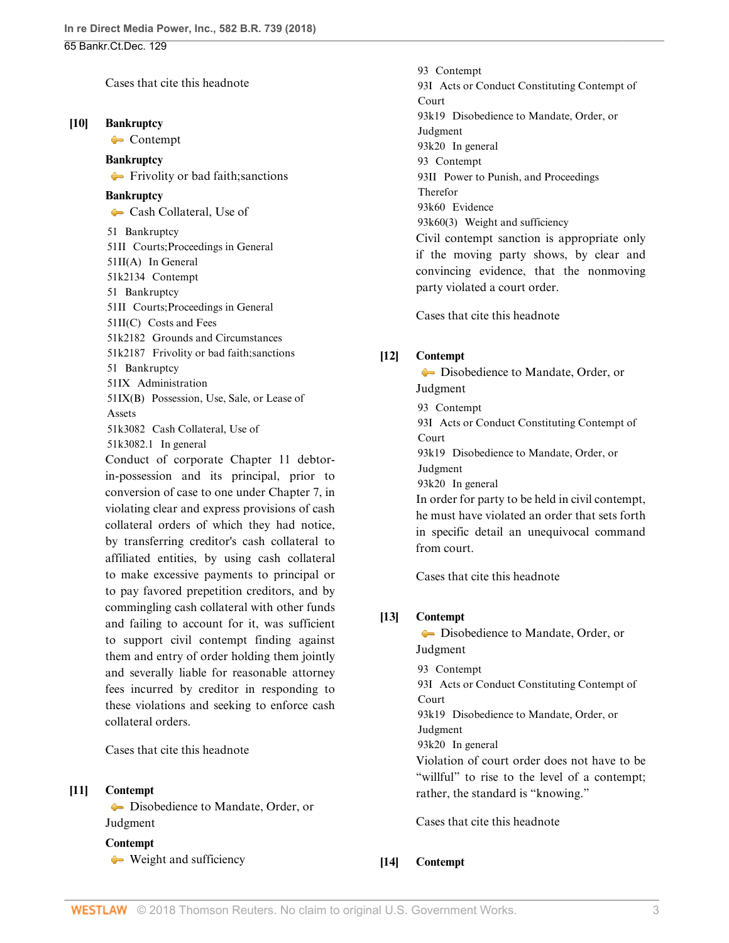[Cases that cite this headnote](http://www.westlaw.com/Link/RelatedInformation/DocHeadnoteLink?docGuid=I0f6505e036cb11e8a70fc9d8a0b2aef5&headnoteId=204422126300920180502080228&originationContext=document&vr=3.0&rs=cblt1.0&transitionType=CitingReferences&contextData=(sc.PubAlert))

#### <span id="page-2-0"></span>**[\[10\]](#page-12-3) [Bankruptcy](http://www.westlaw.com/Browse/Home/KeyNumber/51/View.html?docGuid=I0f6505e036cb11e8a70fc9d8a0b2aef5&originationContext=document&vr=3.0&rs=cblt1.0&transitionType=DocumentItem&contextData=(sc.PubAlert))**

[Contempt](http://www.westlaw.com/Browse/Home/KeyNumber/51k2134/View.html?docGuid=I0f6505e036cb11e8a70fc9d8a0b2aef5&originationContext=document&vr=3.0&rs=cblt1.0&transitionType=DocumentItem&contextData=(sc.PubAlert))

#### **[Bankruptcy](http://www.westlaw.com/Browse/Home/KeyNumber/51/View.html?docGuid=I0f6505e036cb11e8a70fc9d8a0b2aef5&originationContext=document&vr=3.0&rs=cblt1.0&transitionType=DocumentItem&contextData=(sc.PubAlert))**

[Frivolity or bad faith; sanctions](http://www.westlaw.com/Browse/Home/KeyNumber/51k2187/View.html?docGuid=I0f6505e036cb11e8a70fc9d8a0b2aef5&originationContext=document&vr=3.0&rs=cblt1.0&transitionType=DocumentItem&contextData=(sc.PubAlert))

#### **[Bankruptcy](http://www.westlaw.com/Browse/Home/KeyNumber/51/View.html?docGuid=I0f6505e036cb11e8a70fc9d8a0b2aef5&originationContext=document&vr=3.0&rs=cblt1.0&transitionType=DocumentItem&contextData=(sc.PubAlert))**

**[Cash Collateral, Use of](http://www.westlaw.com/Browse/Home/KeyNumber/51k3082/View.html?docGuid=I0f6505e036cb11e8a70fc9d8a0b2aef5&originationContext=document&vr=3.0&rs=cblt1.0&transitionType=DocumentItem&contextData=(sc.PubAlert))** [51](http://www.westlaw.com/Browse/Home/KeyNumber/51/View.html?docGuid=I0f6505e036cb11e8a70fc9d8a0b2aef5&originationContext=document&vr=3.0&rs=cblt1.0&transitionType=DocumentItem&contextData=(sc.PubAlert)) Bankruptcy [51II](http://www.westlaw.com/Browse/Home/KeyNumber/51II/View.html?docGuid=I0f6505e036cb11e8a70fc9d8a0b2aef5&originationContext=document&vr=3.0&rs=cblt1.0&transitionType=DocumentItem&contextData=(sc.PubAlert)) Courts; Proceedings in General [51II\(A\)](http://www.westlaw.com/Browse/Home/KeyNumber/51II(A)/View.html?docGuid=I0f6505e036cb11e8a70fc9d8a0b2aef5&originationContext=document&vr=3.0&rs=cblt1.0&transitionType=DocumentItem&contextData=(sc.PubAlert)) In General [51k2134](http://www.westlaw.com/Browse/Home/KeyNumber/51k2134/View.html?docGuid=I0f6505e036cb11e8a70fc9d8a0b2aef5&originationContext=document&vr=3.0&rs=cblt1.0&transitionType=DocumentItem&contextData=(sc.PubAlert)) Contempt [51](http://www.westlaw.com/Browse/Home/KeyNumber/51/View.html?docGuid=I0f6505e036cb11e8a70fc9d8a0b2aef5&originationContext=document&vr=3.0&rs=cblt1.0&transitionType=DocumentItem&contextData=(sc.PubAlert)) Bankruptcy [51II](http://www.westlaw.com/Browse/Home/KeyNumber/51II/View.html?docGuid=I0f6505e036cb11e8a70fc9d8a0b2aef5&originationContext=document&vr=3.0&rs=cblt1.0&transitionType=DocumentItem&contextData=(sc.PubAlert)) Courts; Proceedings in General [51II\(C\)](http://www.westlaw.com/Browse/Home/KeyNumber/51II(C)/View.html?docGuid=I0f6505e036cb11e8a70fc9d8a0b2aef5&originationContext=document&vr=3.0&rs=cblt1.0&transitionType=DocumentItem&contextData=(sc.PubAlert)) Costs and Fees [51k2182](http://www.westlaw.com/Browse/Home/KeyNumber/51k2182/View.html?docGuid=I0f6505e036cb11e8a70fc9d8a0b2aef5&originationContext=document&vr=3.0&rs=cblt1.0&transitionType=DocumentItem&contextData=(sc.PubAlert)) Grounds and Circumstances [51k2187](http://www.westlaw.com/Browse/Home/KeyNumber/51k2187/View.html?docGuid=I0f6505e036cb11e8a70fc9d8a0b2aef5&originationContext=document&vr=3.0&rs=cblt1.0&transitionType=DocumentItem&contextData=(sc.PubAlert)) Frivolity or bad faith; sanctions [51](http://www.westlaw.com/Browse/Home/KeyNumber/51/View.html?docGuid=I0f6505e036cb11e8a70fc9d8a0b2aef5&originationContext=document&vr=3.0&rs=cblt1.0&transitionType=DocumentItem&contextData=(sc.PubAlert)) Bankruptcy [51IX](http://www.westlaw.com/Browse/Home/KeyNumber/51IX/View.html?docGuid=I0f6505e036cb11e8a70fc9d8a0b2aef5&originationContext=document&vr=3.0&rs=cblt1.0&transitionType=DocumentItem&contextData=(sc.PubAlert)) Administration [51IX\(B\)](http://www.westlaw.com/Browse/Home/KeyNumber/51IX(B)/View.html?docGuid=I0f6505e036cb11e8a70fc9d8a0b2aef5&originationContext=document&vr=3.0&rs=cblt1.0&transitionType=DocumentItem&contextData=(sc.PubAlert)) Possession, Use, Sale, or Lease of Assets [51k3082](http://www.westlaw.com/Browse/Home/KeyNumber/51k3082/View.html?docGuid=I0f6505e036cb11e8a70fc9d8a0b2aef5&originationContext=document&vr=3.0&rs=cblt1.0&transitionType=DocumentItem&contextData=(sc.PubAlert)) Cash Collateral, Use of [51k3082.1](http://www.westlaw.com/Browse/Home/KeyNumber/51k3082.1/View.html?docGuid=I0f6505e036cb11e8a70fc9d8a0b2aef5&originationContext=document&vr=3.0&rs=cblt1.0&transitionType=DocumentItem&contextData=(sc.PubAlert)) In general

Conduct of corporate Chapter 11 debtorin-possession and its principal, prior to conversion of case to one under Chapter 7, in violating clear and express provisions of cash collateral orders of which they had notice, by transferring creditor's cash collateral to affiliated entities, by using cash collateral to make excessive payments to principal or to pay favored prepetition creditors, and by commingling cash collateral with other funds and failing to account for it, was sufficient to support civil contempt finding against them and entry of order holding them jointly and severally liable for reasonable attorney fees incurred by creditor in responding to these violations and seeking to enforce cash collateral orders.

[Cases that cite this headnote](http://www.westlaw.com/Link/RelatedInformation/DocHeadnoteLink?docGuid=I0f6505e036cb11e8a70fc9d8a0b2aef5&headnoteId=204422126302120180502080228&originationContext=document&vr=3.0&rs=cblt1.0&transitionType=CitingReferences&contextData=(sc.PubAlert))

#### <span id="page-2-1"></span>**[\[11\]](#page-12-4) [Contempt](http://www.westlaw.com/Browse/Home/KeyNumber/93/View.html?docGuid=I0f6505e036cb11e8a70fc9d8a0b2aef5&originationContext=document&vr=3.0&rs=cblt1.0&transitionType=DocumentItem&contextData=(sc.PubAlert))**

[Disobedience to Mandate, Order, or](http://www.westlaw.com/Browse/Home/KeyNumber/93k19/View.html?docGuid=I0f6505e036cb11e8a70fc9d8a0b2aef5&originationContext=document&vr=3.0&rs=cblt1.0&transitionType=DocumentItem&contextData=(sc.PubAlert)) [Judgment](http://www.westlaw.com/Browse/Home/KeyNumber/93k19/View.html?docGuid=I0f6505e036cb11e8a70fc9d8a0b2aef5&originationContext=document&vr=3.0&rs=cblt1.0&transitionType=DocumentItem&contextData=(sc.PubAlert))

#### **[Contempt](http://www.westlaw.com/Browse/Home/KeyNumber/93/View.html?docGuid=I0f6505e036cb11e8a70fc9d8a0b2aef5&originationContext=document&vr=3.0&rs=cblt1.0&transitionType=DocumentItem&contextData=(sc.PubAlert))**

[Weight and sufficiency](http://www.westlaw.com/Browse/Home/KeyNumber/93k60(3)/View.html?docGuid=I0f6505e036cb11e8a70fc9d8a0b2aef5&originationContext=document&vr=3.0&rs=cblt1.0&transitionType=DocumentItem&contextData=(sc.PubAlert))

[93](http://www.westlaw.com/Browse/Home/KeyNumber/93/View.html?docGuid=I0f6505e036cb11e8a70fc9d8a0b2aef5&originationContext=document&vr=3.0&rs=cblt1.0&transitionType=DocumentItem&contextData=(sc.PubAlert)) Contempt [93I](http://www.westlaw.com/Browse/Home/KeyNumber/93I/View.html?docGuid=I0f6505e036cb11e8a70fc9d8a0b2aef5&originationContext=document&vr=3.0&rs=cblt1.0&transitionType=DocumentItem&contextData=(sc.PubAlert)) Acts or Conduct Constituting Contempt of Court [93k19](http://www.westlaw.com/Browse/Home/KeyNumber/93k19/View.html?docGuid=I0f6505e036cb11e8a70fc9d8a0b2aef5&originationContext=document&vr=3.0&rs=cblt1.0&transitionType=DocumentItem&contextData=(sc.PubAlert)) Disobedience to Mandate, Order, or Judgment [93k20](http://www.westlaw.com/Browse/Home/KeyNumber/93k20/View.html?docGuid=I0f6505e036cb11e8a70fc9d8a0b2aef5&originationContext=document&vr=3.0&rs=cblt1.0&transitionType=DocumentItem&contextData=(sc.PubAlert)) In general [93](http://www.westlaw.com/Browse/Home/KeyNumber/93/View.html?docGuid=I0f6505e036cb11e8a70fc9d8a0b2aef5&originationContext=document&vr=3.0&rs=cblt1.0&transitionType=DocumentItem&contextData=(sc.PubAlert)) Contempt [93II](http://www.westlaw.com/Browse/Home/KeyNumber/93II/View.html?docGuid=I0f6505e036cb11e8a70fc9d8a0b2aef5&originationContext=document&vr=3.0&rs=cblt1.0&transitionType=DocumentItem&contextData=(sc.PubAlert)) Power to Punish, and Proceedings Therefor [93k60](http://www.westlaw.com/Browse/Home/KeyNumber/93k60/View.html?docGuid=I0f6505e036cb11e8a70fc9d8a0b2aef5&originationContext=document&vr=3.0&rs=cblt1.0&transitionType=DocumentItem&contextData=(sc.PubAlert)) Evidence [93k60\(3\)](http://www.westlaw.com/Browse/Home/KeyNumber/93k60(3)/View.html?docGuid=I0f6505e036cb11e8a70fc9d8a0b2aef5&originationContext=document&vr=3.0&rs=cblt1.0&transitionType=DocumentItem&contextData=(sc.PubAlert)) Weight and sufficiency Civil contempt sanction is appropriate only if the moving party shows, by clear and convincing evidence, that the nonmoving party violated a court order.

[Cases that cite this headnote](http://www.westlaw.com/Link/RelatedInformation/DocHeadnoteLink?docGuid=I0f6505e036cb11e8a70fc9d8a0b2aef5&headnoteId=204422126301020180502080228&originationContext=document&vr=3.0&rs=cblt1.0&transitionType=CitingReferences&contextData=(sc.PubAlert))

### <span id="page-2-2"></span>**[\[12\]](#page-12-5) [Contempt](http://www.westlaw.com/Browse/Home/KeyNumber/93/View.html?docGuid=I0f6505e036cb11e8a70fc9d8a0b2aef5&originationContext=document&vr=3.0&rs=cblt1.0&transitionType=DocumentItem&contextData=(sc.PubAlert))**

[Disobedience to Mandate, Order, or](http://www.westlaw.com/Browse/Home/KeyNumber/93k19/View.html?docGuid=I0f6505e036cb11e8a70fc9d8a0b2aef5&originationContext=document&vr=3.0&rs=cblt1.0&transitionType=DocumentItem&contextData=(sc.PubAlert)) [Judgment](http://www.westlaw.com/Browse/Home/KeyNumber/93k19/View.html?docGuid=I0f6505e036cb11e8a70fc9d8a0b2aef5&originationContext=document&vr=3.0&rs=cblt1.0&transitionType=DocumentItem&contextData=(sc.PubAlert)) [93](http://www.westlaw.com/Browse/Home/KeyNumber/93/View.html?docGuid=I0f6505e036cb11e8a70fc9d8a0b2aef5&originationContext=document&vr=3.0&rs=cblt1.0&transitionType=DocumentItem&contextData=(sc.PubAlert)) Contempt [93I](http://www.westlaw.com/Browse/Home/KeyNumber/93I/View.html?docGuid=I0f6505e036cb11e8a70fc9d8a0b2aef5&originationContext=document&vr=3.0&rs=cblt1.0&transitionType=DocumentItem&contextData=(sc.PubAlert)) Acts or Conduct Constituting Contempt of

Court [93k19](http://www.westlaw.com/Browse/Home/KeyNumber/93k19/View.html?docGuid=I0f6505e036cb11e8a70fc9d8a0b2aef5&originationContext=document&vr=3.0&rs=cblt1.0&transitionType=DocumentItem&contextData=(sc.PubAlert)) Disobedience to Mandate, Order, or

Judgment

[93k20](http://www.westlaw.com/Browse/Home/KeyNumber/93k20/View.html?docGuid=I0f6505e036cb11e8a70fc9d8a0b2aef5&originationContext=document&vr=3.0&rs=cblt1.0&transitionType=DocumentItem&contextData=(sc.PubAlert)) In general

In order for party to be held in civil contempt, he must have violated an order that sets forth in specific detail an unequivocal command from court.

[Cases that cite this headnote](http://www.westlaw.com/Link/RelatedInformation/DocHeadnoteLink?docGuid=I0f6505e036cb11e8a70fc9d8a0b2aef5&headnoteId=204422126301120180502080228&originationContext=document&vr=3.0&rs=cblt1.0&transitionType=CitingReferences&contextData=(sc.PubAlert))

## <span id="page-2-3"></span>**[\[13\]](#page-12-6) [Contempt](http://www.westlaw.com/Browse/Home/KeyNumber/93/View.html?docGuid=I0f6505e036cb11e8a70fc9d8a0b2aef5&originationContext=document&vr=3.0&rs=cblt1.0&transitionType=DocumentItem&contextData=(sc.PubAlert))**

[Disobedience to Mandate, Order, or](http://www.westlaw.com/Browse/Home/KeyNumber/93k19/View.html?docGuid=I0f6505e036cb11e8a70fc9d8a0b2aef5&originationContext=document&vr=3.0&rs=cblt1.0&transitionType=DocumentItem&contextData=(sc.PubAlert)) [Judgment](http://www.westlaw.com/Browse/Home/KeyNumber/93k19/View.html?docGuid=I0f6505e036cb11e8a70fc9d8a0b2aef5&originationContext=document&vr=3.0&rs=cblt1.0&transitionType=DocumentItem&contextData=(sc.PubAlert)) [93](http://www.westlaw.com/Browse/Home/KeyNumber/93/View.html?docGuid=I0f6505e036cb11e8a70fc9d8a0b2aef5&originationContext=document&vr=3.0&rs=cblt1.0&transitionType=DocumentItem&contextData=(sc.PubAlert)) Contempt [93I](http://www.westlaw.com/Browse/Home/KeyNumber/93I/View.html?docGuid=I0f6505e036cb11e8a70fc9d8a0b2aef5&originationContext=document&vr=3.0&rs=cblt1.0&transitionType=DocumentItem&contextData=(sc.PubAlert)) Acts or Conduct Constituting Contempt of Court [93k19](http://www.westlaw.com/Browse/Home/KeyNumber/93k19/View.html?docGuid=I0f6505e036cb11e8a70fc9d8a0b2aef5&originationContext=document&vr=3.0&rs=cblt1.0&transitionType=DocumentItem&contextData=(sc.PubAlert)) Disobedience to Mandate, Order, or Judgment [93k20](http://www.westlaw.com/Browse/Home/KeyNumber/93k20/View.html?docGuid=I0f6505e036cb11e8a70fc9d8a0b2aef5&originationContext=document&vr=3.0&rs=cblt1.0&transitionType=DocumentItem&contextData=(sc.PubAlert)) In general Violation of court order does not have to be "willful" to rise to the level of a contempt; rather, the standard is "knowing."

[Cases that cite this headnote](http://www.westlaw.com/Link/RelatedInformation/DocHeadnoteLink?docGuid=I0f6505e036cb11e8a70fc9d8a0b2aef5&headnoteId=204422126301220180502080228&originationContext=document&vr=3.0&rs=cblt1.0&transitionType=CitingReferences&contextData=(sc.PubAlert))

## <span id="page-2-4"></span>**[\[14\]](#page-12-7) [Contempt](http://www.westlaw.com/Browse/Home/KeyNumber/93/View.html?docGuid=I0f6505e036cb11e8a70fc9d8a0b2aef5&originationContext=document&vr=3.0&rs=cblt1.0&transitionType=DocumentItem&contextData=(sc.PubAlert))**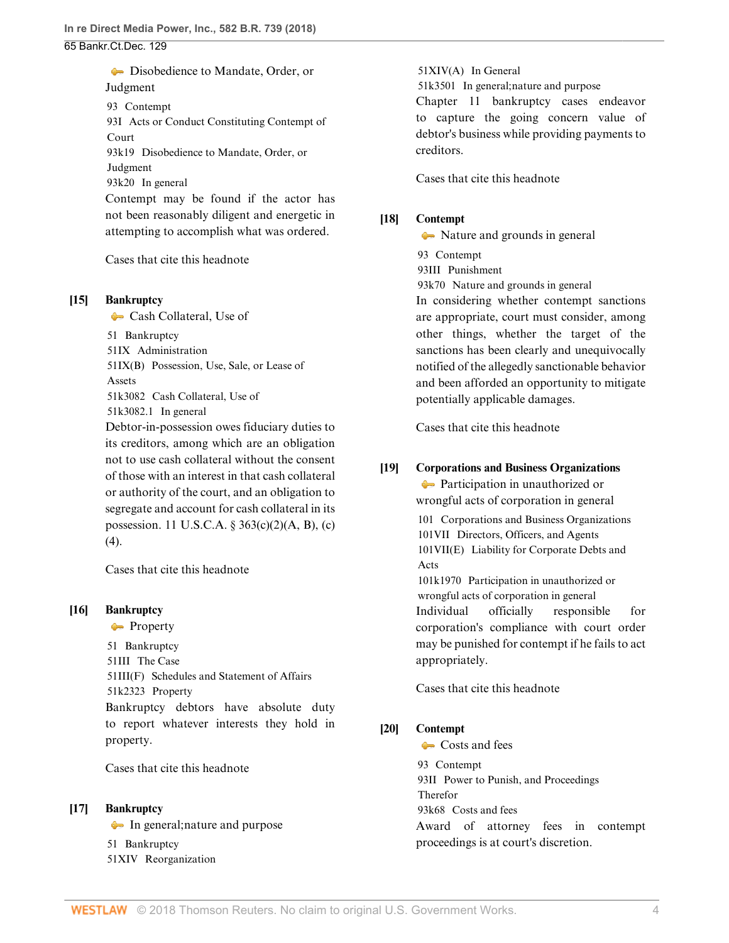65 Bankr.Ct.Dec. 129

[Disobedience to Mandate, Order, or](http://www.westlaw.com/Browse/Home/KeyNumber/93k19/View.html?docGuid=I0f6505e036cb11e8a70fc9d8a0b2aef5&originationContext=document&vr=3.0&rs=cblt1.0&transitionType=DocumentItem&contextData=(sc.PubAlert)) [Judgment](http://www.westlaw.com/Browse/Home/KeyNumber/93k19/View.html?docGuid=I0f6505e036cb11e8a70fc9d8a0b2aef5&originationContext=document&vr=3.0&rs=cblt1.0&transitionType=DocumentItem&contextData=(sc.PubAlert))

[93](http://www.westlaw.com/Browse/Home/KeyNumber/93/View.html?docGuid=I0f6505e036cb11e8a70fc9d8a0b2aef5&originationContext=document&vr=3.0&rs=cblt1.0&transitionType=DocumentItem&contextData=(sc.PubAlert)) Contempt

[93I](http://www.westlaw.com/Browse/Home/KeyNumber/93I/View.html?docGuid=I0f6505e036cb11e8a70fc9d8a0b2aef5&originationContext=document&vr=3.0&rs=cblt1.0&transitionType=DocumentItem&contextData=(sc.PubAlert)) Acts or Conduct Constituting Contempt of Court

[93k19](http://www.westlaw.com/Browse/Home/KeyNumber/93k19/View.html?docGuid=I0f6505e036cb11e8a70fc9d8a0b2aef5&originationContext=document&vr=3.0&rs=cblt1.0&transitionType=DocumentItem&contextData=(sc.PubAlert)) Disobedience to Mandate, Order, or Judgment

[93k20](http://www.westlaw.com/Browse/Home/KeyNumber/93k20/View.html?docGuid=I0f6505e036cb11e8a70fc9d8a0b2aef5&originationContext=document&vr=3.0&rs=cblt1.0&transitionType=DocumentItem&contextData=(sc.PubAlert)) In general

Contempt may be found if the actor has not been reasonably diligent and energetic in attempting to accomplish what was ordered.

[Cases that cite this headnote](http://www.westlaw.com/Link/RelatedInformation/DocHeadnoteLink?docGuid=I0f6505e036cb11e8a70fc9d8a0b2aef5&headnoteId=204422126301320180502080228&originationContext=document&vr=3.0&rs=cblt1.0&transitionType=CitingReferences&contextData=(sc.PubAlert))

### <span id="page-3-0"></span>**[\[15\]](#page-13-0) [Bankruptcy](http://www.westlaw.com/Browse/Home/KeyNumber/51/View.html?docGuid=I0f6505e036cb11e8a70fc9d8a0b2aef5&originationContext=document&vr=3.0&rs=cblt1.0&transitionType=DocumentItem&contextData=(sc.PubAlert))**

**[Cash Collateral, Use of](http://www.westlaw.com/Browse/Home/KeyNumber/51k3082/View.html?docGuid=I0f6505e036cb11e8a70fc9d8a0b2aef5&originationContext=document&vr=3.0&rs=cblt1.0&transitionType=DocumentItem&contextData=(sc.PubAlert))** 

[51](http://www.westlaw.com/Browse/Home/KeyNumber/51/View.html?docGuid=I0f6505e036cb11e8a70fc9d8a0b2aef5&originationContext=document&vr=3.0&rs=cblt1.0&transitionType=DocumentItem&contextData=(sc.PubAlert)) Bankruptcy

[51IX](http://www.westlaw.com/Browse/Home/KeyNumber/51IX/View.html?docGuid=I0f6505e036cb11e8a70fc9d8a0b2aef5&originationContext=document&vr=3.0&rs=cblt1.0&transitionType=DocumentItem&contextData=(sc.PubAlert)) Administration

[51IX\(B\)](http://www.westlaw.com/Browse/Home/KeyNumber/51IX(B)/View.html?docGuid=I0f6505e036cb11e8a70fc9d8a0b2aef5&originationContext=document&vr=3.0&rs=cblt1.0&transitionType=DocumentItem&contextData=(sc.PubAlert)) Possession, Use, Sale, or Lease of Assets

[51k3082](http://www.westlaw.com/Browse/Home/KeyNumber/51k3082/View.html?docGuid=I0f6505e036cb11e8a70fc9d8a0b2aef5&originationContext=document&vr=3.0&rs=cblt1.0&transitionType=DocumentItem&contextData=(sc.PubAlert)) Cash Collateral, Use of

[51k3082.1](http://www.westlaw.com/Browse/Home/KeyNumber/51k3082.1/View.html?docGuid=I0f6505e036cb11e8a70fc9d8a0b2aef5&originationContext=document&vr=3.0&rs=cblt1.0&transitionType=DocumentItem&contextData=(sc.PubAlert)) In general

Debtor-in-possession owes fiduciary duties to its creditors, among which are an obligation not to use cash collateral without the consent of those with an interest in that cash collateral or authority of the court, and an obligation to segregate and account for cash collateral in its possession. [11 U.S.C.A. § 363\(c\)\(2\)\(A, B\),](http://www.westlaw.com/Link/Document/FullText?findType=L&pubNum=1000546&cite=11USCAS363&originatingDoc=I0f6505e036cb11e8a70fc9d8a0b2aef5&refType=SP&originationContext=document&vr=3.0&rs=cblt1.0&transitionType=DocumentItem&contextData=(sc.PubAlert)#co_pp_fcf30000ea9c4) [\(c\)](http://www.westlaw.com/Link/Document/FullText?findType=L&pubNum=1000546&cite=11USCAS363&originatingDoc=I0f6505e036cb11e8a70fc9d8a0b2aef5&refType=SP&originationContext=document&vr=3.0&rs=cblt1.0&transitionType=DocumentItem&contextData=(sc.PubAlert)#co_pp_0c120000563a1)  $(4).$  $(4).$ 

[Cases that cite this headnote](http://www.westlaw.com/Link/RelatedInformation/DocHeadnoteLink?docGuid=I0f6505e036cb11e8a70fc9d8a0b2aef5&headnoteId=204422126301420180502080228&originationContext=document&vr=3.0&rs=cblt1.0&transitionType=CitingReferences&contextData=(sc.PubAlert))

## <span id="page-3-1"></span>**[\[16\]](#page-13-1) [Bankruptcy](http://www.westlaw.com/Browse/Home/KeyNumber/51/View.html?docGuid=I0f6505e036cb11e8a70fc9d8a0b2aef5&originationContext=document&vr=3.0&rs=cblt1.0&transitionType=DocumentItem&contextData=(sc.PubAlert))**

**[Property](http://www.westlaw.com/Browse/Home/KeyNumber/51k2323/View.html?docGuid=I0f6505e036cb11e8a70fc9d8a0b2aef5&originationContext=document&vr=3.0&rs=cblt1.0&transitionType=DocumentItem&contextData=(sc.PubAlert))** 

[51](http://www.westlaw.com/Browse/Home/KeyNumber/51/View.html?docGuid=I0f6505e036cb11e8a70fc9d8a0b2aef5&originationContext=document&vr=3.0&rs=cblt1.0&transitionType=DocumentItem&contextData=(sc.PubAlert)) Bankruptcy [51III](http://www.westlaw.com/Browse/Home/KeyNumber/51III/View.html?docGuid=I0f6505e036cb11e8a70fc9d8a0b2aef5&originationContext=document&vr=3.0&rs=cblt1.0&transitionType=DocumentItem&contextData=(sc.PubAlert)) The Case [51III\(F\)](http://www.westlaw.com/Browse/Home/KeyNumber/51III(F)/View.html?docGuid=I0f6505e036cb11e8a70fc9d8a0b2aef5&originationContext=document&vr=3.0&rs=cblt1.0&transitionType=DocumentItem&contextData=(sc.PubAlert)) Schedules and Statement of Affairs [51k2323](http://www.westlaw.com/Browse/Home/KeyNumber/51k2323/View.html?docGuid=I0f6505e036cb11e8a70fc9d8a0b2aef5&originationContext=document&vr=3.0&rs=cblt1.0&transitionType=DocumentItem&contextData=(sc.PubAlert)) Property Bankruptcy debtors have absolute duty to report whatever interests they hold in property.

[Cases that cite this headnote](http://www.westlaw.com/Link/RelatedInformation/DocHeadnoteLink?docGuid=I0f6505e036cb11e8a70fc9d8a0b2aef5&headnoteId=204422126301520180502080228&originationContext=document&vr=3.0&rs=cblt1.0&transitionType=CitingReferences&contextData=(sc.PubAlert))

## <span id="page-3-2"></span>**[\[17\]](#page-13-2) [Bankruptcy](http://www.westlaw.com/Browse/Home/KeyNumber/51/View.html?docGuid=I0f6505e036cb11e8a70fc9d8a0b2aef5&originationContext=document&vr=3.0&rs=cblt1.0&transitionType=DocumentItem&contextData=(sc.PubAlert))**

[In general; nature and purpose](http://www.westlaw.com/Browse/Home/KeyNumber/51k3501/View.html?docGuid=I0f6505e036cb11e8a70fc9d8a0b2aef5&originationContext=document&vr=3.0&rs=cblt1.0&transitionType=DocumentItem&contextData=(sc.PubAlert))

[51](http://www.westlaw.com/Browse/Home/KeyNumber/51/View.html?docGuid=I0f6505e036cb11e8a70fc9d8a0b2aef5&originationContext=document&vr=3.0&rs=cblt1.0&transitionType=DocumentItem&contextData=(sc.PubAlert)) Bankruptcy

[51XIV](http://www.westlaw.com/Browse/Home/KeyNumber/51XIV/View.html?docGuid=I0f6505e036cb11e8a70fc9d8a0b2aef5&originationContext=document&vr=3.0&rs=cblt1.0&transitionType=DocumentItem&contextData=(sc.PubAlert)) Reorganization

[51XIV\(A\)](http://www.westlaw.com/Browse/Home/KeyNumber/51XIV(A)/View.html?docGuid=I0f6505e036cb11e8a70fc9d8a0b2aef5&originationContext=document&vr=3.0&rs=cblt1.0&transitionType=DocumentItem&contextData=(sc.PubAlert)) In General

[51k3501](http://www.westlaw.com/Browse/Home/KeyNumber/51k3501/View.html?docGuid=I0f6505e036cb11e8a70fc9d8a0b2aef5&originationContext=document&vr=3.0&rs=cblt1.0&transitionType=DocumentItem&contextData=(sc.PubAlert)) In general; nature and purpose

Chapter 11 bankruptcy cases endeavor to capture the going concern value of debtor's business while providing payments to creditors.

[Cases that cite this headnote](http://www.westlaw.com/Link/RelatedInformation/DocHeadnoteLink?docGuid=I0f6505e036cb11e8a70fc9d8a0b2aef5&headnoteId=204422126301620180502080228&originationContext=document&vr=3.0&rs=cblt1.0&transitionType=CitingReferences&contextData=(sc.PubAlert))

## <span id="page-3-3"></span>**[\[18\]](#page-13-3) [Contempt](http://www.westlaw.com/Browse/Home/KeyNumber/93/View.html?docGuid=I0f6505e036cb11e8a70fc9d8a0b2aef5&originationContext=document&vr=3.0&rs=cblt1.0&transitionType=DocumentItem&contextData=(sc.PubAlert))**

 $\rightarrow$  [Nature and grounds in general](http://www.westlaw.com/Browse/Home/KeyNumber/93k70/View.html?docGuid=I0f6505e036cb11e8a70fc9d8a0b2aef5&originationContext=document&vr=3.0&rs=cblt1.0&transitionType=DocumentItem&contextData=(sc.PubAlert))

[93](http://www.westlaw.com/Browse/Home/KeyNumber/93/View.html?docGuid=I0f6505e036cb11e8a70fc9d8a0b2aef5&originationContext=document&vr=3.0&rs=cblt1.0&transitionType=DocumentItem&contextData=(sc.PubAlert)) Contempt

[93III](http://www.westlaw.com/Browse/Home/KeyNumber/93III/View.html?docGuid=I0f6505e036cb11e8a70fc9d8a0b2aef5&originationContext=document&vr=3.0&rs=cblt1.0&transitionType=DocumentItem&contextData=(sc.PubAlert)) Punishment

[93k70](http://www.westlaw.com/Browse/Home/KeyNumber/93k70/View.html?docGuid=I0f6505e036cb11e8a70fc9d8a0b2aef5&originationContext=document&vr=3.0&rs=cblt1.0&transitionType=DocumentItem&contextData=(sc.PubAlert)) Nature and grounds in general

In considering whether contempt sanctions are appropriate, court must consider, among other things, whether the target of the sanctions has been clearly and unequivocally notified of the allegedly sanctionable behavior and been afforded an opportunity to mitigate potentially applicable damages.

[Cases that cite this headnote](http://www.westlaw.com/Link/RelatedInformation/DocHeadnoteLink?docGuid=I0f6505e036cb11e8a70fc9d8a0b2aef5&headnoteId=204422126301720180502080228&originationContext=document&vr=3.0&rs=cblt1.0&transitionType=CitingReferences&contextData=(sc.PubAlert))

# <span id="page-3-4"></span>**[\[19\]](#page-14-0) [Corporations and Business Organizations](http://www.westlaw.com/Browse/Home/KeyNumber/101/View.html?docGuid=I0f6505e036cb11e8a70fc9d8a0b2aef5&originationContext=document&vr=3.0&rs=cblt1.0&transitionType=DocumentItem&contextData=(sc.PubAlert))**

**[Participation in unauthorized or](http://www.westlaw.com/Browse/Home/KeyNumber/101k1970/View.html?docGuid=I0f6505e036cb11e8a70fc9d8a0b2aef5&originationContext=document&vr=3.0&rs=cblt1.0&transitionType=DocumentItem&contextData=(sc.PubAlert))** [wrongful acts of corporation in general](http://www.westlaw.com/Browse/Home/KeyNumber/101k1970/View.html?docGuid=I0f6505e036cb11e8a70fc9d8a0b2aef5&originationContext=document&vr=3.0&rs=cblt1.0&transitionType=DocumentItem&contextData=(sc.PubAlert))

[101](http://www.westlaw.com/Browse/Home/KeyNumber/101/View.html?docGuid=I0f6505e036cb11e8a70fc9d8a0b2aef5&originationContext=document&vr=3.0&rs=cblt1.0&transitionType=DocumentItem&contextData=(sc.PubAlert)) Corporations and Business Organizations [101VII](http://www.westlaw.com/Browse/Home/KeyNumber/101VII/View.html?docGuid=I0f6505e036cb11e8a70fc9d8a0b2aef5&originationContext=document&vr=3.0&rs=cblt1.0&transitionType=DocumentItem&contextData=(sc.PubAlert)) Directors, Officers, and Agents [101VII\(E\)](http://www.westlaw.com/Browse/Home/KeyNumber/101VII(E)/View.html?docGuid=I0f6505e036cb11e8a70fc9d8a0b2aef5&originationContext=document&vr=3.0&rs=cblt1.0&transitionType=DocumentItem&contextData=(sc.PubAlert)) Liability for Corporate Debts and Acts

[101k1970](http://www.westlaw.com/Browse/Home/KeyNumber/101k1970/View.html?docGuid=I0f6505e036cb11e8a70fc9d8a0b2aef5&originationContext=document&vr=3.0&rs=cblt1.0&transitionType=DocumentItem&contextData=(sc.PubAlert)) Participation in unauthorized or wrongful acts of corporation in general Individual officially responsible for corporation's compliance with court order may be punished for contempt if he fails to act appropriately.

[Cases that cite this headnote](http://www.westlaw.com/Link/RelatedInformation/DocHeadnoteLink?docGuid=I0f6505e036cb11e8a70fc9d8a0b2aef5&headnoteId=204422126301820180502080228&originationContext=document&vr=3.0&rs=cblt1.0&transitionType=CitingReferences&contextData=(sc.PubAlert))

## <span id="page-3-5"></span>**[\[20\]](#page-14-1) [Contempt](http://www.westlaw.com/Browse/Home/KeyNumber/93/View.html?docGuid=I0f6505e036cb11e8a70fc9d8a0b2aef5&originationContext=document&vr=3.0&rs=cblt1.0&transitionType=DocumentItem&contextData=(sc.PubAlert))**

[Costs and fees](http://www.westlaw.com/Browse/Home/KeyNumber/93k68/View.html?docGuid=I0f6505e036cb11e8a70fc9d8a0b2aef5&originationContext=document&vr=3.0&rs=cblt1.0&transitionType=DocumentItem&contextData=(sc.PubAlert)) [93](http://www.westlaw.com/Browse/Home/KeyNumber/93/View.html?docGuid=I0f6505e036cb11e8a70fc9d8a0b2aef5&originationContext=document&vr=3.0&rs=cblt1.0&transitionType=DocumentItem&contextData=(sc.PubAlert)) Contempt [93II](http://www.westlaw.com/Browse/Home/KeyNumber/93II/View.html?docGuid=I0f6505e036cb11e8a70fc9d8a0b2aef5&originationContext=document&vr=3.0&rs=cblt1.0&transitionType=DocumentItem&contextData=(sc.PubAlert)) Power to Punish, and Proceedings Therefor [93k68](http://www.westlaw.com/Browse/Home/KeyNumber/93k68/View.html?docGuid=I0f6505e036cb11e8a70fc9d8a0b2aef5&originationContext=document&vr=3.0&rs=cblt1.0&transitionType=DocumentItem&contextData=(sc.PubAlert)) Costs and fees Award of attorney fees in contempt proceedings is at court's discretion.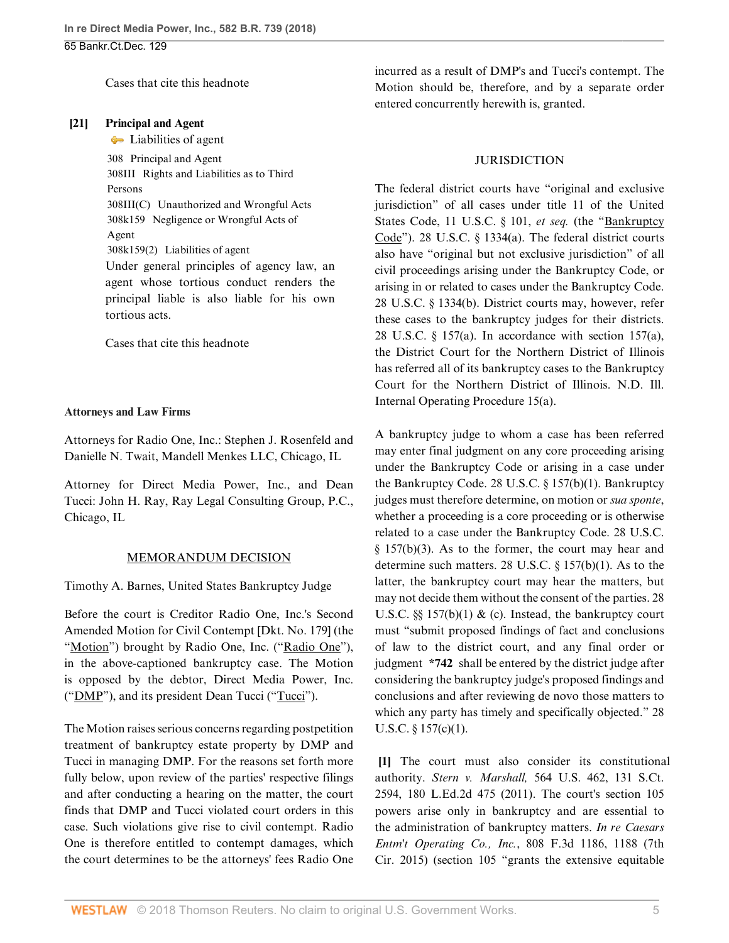[Cases that cite this headnote](http://www.westlaw.com/Link/RelatedInformation/DocHeadnoteLink?docGuid=I0f6505e036cb11e8a70fc9d8a0b2aef5&headnoteId=204422126301920180502080228&originationContext=document&vr=3.0&rs=cblt1.0&transitionType=CitingReferences&contextData=(sc.PubAlert))

### <span id="page-4-1"></span>**[\[21\]](#page-14-2) [Principal and Agent](http://www.westlaw.com/Browse/Home/KeyNumber/308/View.html?docGuid=I0f6505e036cb11e8a70fc9d8a0b2aef5&originationContext=document&vr=3.0&rs=cblt1.0&transitionType=DocumentItem&contextData=(sc.PubAlert))**

• [Liabilities of agent](http://www.westlaw.com/Browse/Home/KeyNumber/308k159(2)/View.html?docGuid=I0f6505e036cb11e8a70fc9d8a0b2aef5&originationContext=document&vr=3.0&rs=cblt1.0&transitionType=DocumentItem&contextData=(sc.PubAlert))

[308](http://www.westlaw.com/Browse/Home/KeyNumber/308/View.html?docGuid=I0f6505e036cb11e8a70fc9d8a0b2aef5&originationContext=document&vr=3.0&rs=cblt1.0&transitionType=DocumentItem&contextData=(sc.PubAlert)) Principal and Agent [308III](http://www.westlaw.com/Browse/Home/KeyNumber/308III/View.html?docGuid=I0f6505e036cb11e8a70fc9d8a0b2aef5&originationContext=document&vr=3.0&rs=cblt1.0&transitionType=DocumentItem&contextData=(sc.PubAlert)) Rights and Liabilities as to Third Persons [308III\(C\)](http://www.westlaw.com/Browse/Home/KeyNumber/308III(C)/View.html?docGuid=I0f6505e036cb11e8a70fc9d8a0b2aef5&originationContext=document&vr=3.0&rs=cblt1.0&transitionType=DocumentItem&contextData=(sc.PubAlert)) Unauthorized and Wrongful Acts [308k159](http://www.westlaw.com/Browse/Home/KeyNumber/308k159/View.html?docGuid=I0f6505e036cb11e8a70fc9d8a0b2aef5&originationContext=document&vr=3.0&rs=cblt1.0&transitionType=DocumentItem&contextData=(sc.PubAlert)) Negligence or Wrongful Acts of Agent [308k159\(2\)](http://www.westlaw.com/Browse/Home/KeyNumber/308k159(2)/View.html?docGuid=I0f6505e036cb11e8a70fc9d8a0b2aef5&originationContext=document&vr=3.0&rs=cblt1.0&transitionType=DocumentItem&contextData=(sc.PubAlert)) Liabilities of agent Under general principles of agency law, an agent whose tortious conduct renders the principal liable is also liable for his own tortious acts.

[Cases that cite this headnote](http://www.westlaw.com/Link/RelatedInformation/DocHeadnoteLink?docGuid=I0f6505e036cb11e8a70fc9d8a0b2aef5&headnoteId=204422126302020180502080228&originationContext=document&vr=3.0&rs=cblt1.0&transitionType=CitingReferences&contextData=(sc.PubAlert))

### **Attorneys and Law Firms**

Attorneys for Radio One, Inc.: [Stephen J. Rosenfeld](http://www.westlaw.com/Link/Document/FullText?findType=h&pubNum=176284&cite=0104575201&originatingDoc=I0f6505e036cb11e8a70fc9d8a0b2aef5&refType=RQ&originationContext=document&vr=3.0&rs=cblt1.0&transitionType=DocumentItem&contextData=(sc.PubAlert)) and [Danielle N. Twait](http://www.westlaw.com/Link/Document/FullText?findType=h&pubNum=176284&cite=0404951201&originatingDoc=I0f6505e036cb11e8a70fc9d8a0b2aef5&refType=RQ&originationContext=document&vr=3.0&rs=cblt1.0&transitionType=DocumentItem&contextData=(sc.PubAlert)), Mandell Menkes LLC, Chicago, IL

Attorney for Direct Media Power, Inc., and Dean Tucci: [John H. Ray,](http://www.westlaw.com/Link/Document/FullText?findType=h&pubNum=176284&cite=0329720901&originatingDoc=I0f6505e036cb11e8a70fc9d8a0b2aef5&refType=RQ&originationContext=document&vr=3.0&rs=cblt1.0&transitionType=DocumentItem&contextData=(sc.PubAlert)) Ray Legal Consulting Group, P.C., Chicago, IL

## MEMORANDUM DECISION

[Timothy A. Barnes,](http://www.westlaw.com/Link/Document/FullText?findType=h&pubNum=176284&cite=0319083401&originatingDoc=I0f6505e036cb11e8a70fc9d8a0b2aef5&refType=RQ&originationContext=document&vr=3.0&rs=cblt1.0&transitionType=DocumentItem&contextData=(sc.PubAlert)) United States Bankruptcy Judge

Before the court is Creditor Radio One, Inc.'s Second Amended Motion for Civil Contempt [Dkt. No. 179] (the "Motion") brought by Radio One, Inc. ("Radio One"), in the above-captioned bankruptcy case. The Motion is opposed by the debtor, Direct Media Power, Inc. ("DMP"), and its president Dean Tucci ("Tucci").

The Motion raises serious concerns regarding postpetition treatment of bankruptcy estate property by DMP and Tucci in managing DMP. For the reasons set forth more fully below, upon review of the parties' respective filings and after conducting a hearing on the matter, the court finds that DMP and Tucci violated court orders in this case. Such violations give rise to civil contempt. Radio One is therefore entitled to contempt damages, which the court determines to be the attorneys' fees Radio One

incurred as a result of DMP's and Tucci's contempt. The Motion should be, therefore, and by a separate order entered concurrently herewith is, granted.

### JURISDICTION

The federal district courts have "original and exclusive jurisdiction" of all cases under title 11 of the United States Code, [11 U.S.C. § 101,](http://www.westlaw.com/Link/Document/FullText?findType=L&pubNum=1000546&cite=11USCAS101&originatingDoc=I0f6505e036cb11e8a70fc9d8a0b2aef5&refType=LQ&originationContext=document&vr=3.0&rs=cblt1.0&transitionType=DocumentItem&contextData=(sc.PubAlert)) *et seq.* (the "Bankruptcy Code"). [28 U.S.C. § 1334\(a\)](http://www.westlaw.com/Link/Document/FullText?findType=L&pubNum=1000546&cite=28USCAS1334&originatingDoc=I0f6505e036cb11e8a70fc9d8a0b2aef5&refType=SP&originationContext=document&vr=3.0&rs=cblt1.0&transitionType=DocumentItem&contextData=(sc.PubAlert)#co_pp_8b3b0000958a4). The federal district courts also have "original but not exclusive jurisdiction" of all civil proceedings arising under the Bankruptcy Code, or arising in or related to cases under the Bankruptcy Code. [28 U.S.C. § 1334\(b\)](http://www.westlaw.com/Link/Document/FullText?findType=L&pubNum=1000546&cite=28USCAS1334&originatingDoc=I0f6505e036cb11e8a70fc9d8a0b2aef5&refType=SP&originationContext=document&vr=3.0&rs=cblt1.0&transitionType=DocumentItem&contextData=(sc.PubAlert)#co_pp_a83b000018c76). District courts may, however, refer these cases to the bankruptcy judges for their districts. [28 U.S.C. § 157\(a\).](http://www.westlaw.com/Link/Document/FullText?findType=L&pubNum=1000546&cite=28USCAS157&originatingDoc=I0f6505e036cb11e8a70fc9d8a0b2aef5&refType=SP&originationContext=document&vr=3.0&rs=cblt1.0&transitionType=DocumentItem&contextData=(sc.PubAlert)#co_pp_8b3b0000958a4) In accordance with [section 157\(a\)](http://www.westlaw.com/Link/Document/FullText?findType=L&pubNum=1000546&cite=28USCAS157&originatingDoc=I0f6505e036cb11e8a70fc9d8a0b2aef5&refType=SP&originationContext=document&vr=3.0&rs=cblt1.0&transitionType=DocumentItem&contextData=(sc.PubAlert)#co_pp_8b3b0000958a4), the District Court for the Northern District of Illinois has referred all of its bankruptcy cases to the Bankruptcy Court for the Northern District of Illinois. N.D. Ill. Internal Operating Procedure 15(a).

A bankruptcy judge to whom a case has been referred may enter final judgment on any core proceeding arising under the Bankruptcy Code or arising in a case under the Bankruptcy Code. [28 U.S.C. § 157\(b\)\(1\)](http://www.westlaw.com/Link/Document/FullText?findType=L&pubNum=1000546&cite=28USCAS157&originatingDoc=I0f6505e036cb11e8a70fc9d8a0b2aef5&refType=SP&originationContext=document&vr=3.0&rs=cblt1.0&transitionType=DocumentItem&contextData=(sc.PubAlert)#co_pp_3fed000053a85). Bankruptcy judges must therefore determine, on motion or *sua sponte*, whether a proceeding is a core proceeding or is otherwise related to a case under the Bankruptcy Code. [28 U.S.C.](http://www.westlaw.com/Link/Document/FullText?findType=L&pubNum=1000546&cite=28USCAS157&originatingDoc=I0f6505e036cb11e8a70fc9d8a0b2aef5&refType=SP&originationContext=document&vr=3.0&rs=cblt1.0&transitionType=DocumentItem&contextData=(sc.PubAlert)#co_pp_d801000002763) [§ 157\(b\)\(3\)](http://www.westlaw.com/Link/Document/FullText?findType=L&pubNum=1000546&cite=28USCAS157&originatingDoc=I0f6505e036cb11e8a70fc9d8a0b2aef5&refType=SP&originationContext=document&vr=3.0&rs=cblt1.0&transitionType=DocumentItem&contextData=(sc.PubAlert)#co_pp_d801000002763). As to the former, the court may hear and determine such matters. [28 U.S.C. § 157\(b\)\(1\)](http://www.westlaw.com/Link/Document/FullText?findType=L&pubNum=1000546&cite=28USCAS157&originatingDoc=I0f6505e036cb11e8a70fc9d8a0b2aef5&refType=SP&originationContext=document&vr=3.0&rs=cblt1.0&transitionType=DocumentItem&contextData=(sc.PubAlert)#co_pp_3fed000053a85). As to the latter, the bankruptcy court may hear the matters, but may not decide them without the consent of the parties. [28](http://www.westlaw.com/Link/Document/FullText?findType=L&pubNum=1000546&cite=28USCAS157&originatingDoc=I0f6505e036cb11e8a70fc9d8a0b2aef5&refType=SP&originationContext=document&vr=3.0&rs=cblt1.0&transitionType=DocumentItem&contextData=(sc.PubAlert)#co_pp_3fed000053a85) U.S.C.  $\S$  157(b)(1) & [\(c\).](http://www.westlaw.com/Link/Document/FullText?findType=L&pubNum=1000546&cite=28USCAS157&originatingDoc=I0f6505e036cb11e8a70fc9d8a0b2aef5&refType=SP&originationContext=document&vr=3.0&rs=cblt1.0&transitionType=DocumentItem&contextData=(sc.PubAlert)#co_pp_4b24000003ba5) Instead, the bankruptcy court must "submit proposed findings of fact and conclusions of law to the district court, and any final order or judgment **\*742** shall be entered by the district judge after considering the bankruptcy judge's proposed findings and conclusions and after reviewing de novo those matters to which any party has timely and specifically objected." [28](http://www.westlaw.com/Link/Document/FullText?findType=L&pubNum=1000546&cite=28USCAS157&originatingDoc=I0f6505e036cb11e8a70fc9d8a0b2aef5&refType=SP&originationContext=document&vr=3.0&rs=cblt1.0&transitionType=DocumentItem&contextData=(sc.PubAlert)#co_pp_10c0000001331) [U.S.C. § 157\(c\)\(1\).](http://www.westlaw.com/Link/Document/FullText?findType=L&pubNum=1000546&cite=28USCAS157&originatingDoc=I0f6505e036cb11e8a70fc9d8a0b2aef5&refType=SP&originationContext=document&vr=3.0&rs=cblt1.0&transitionType=DocumentItem&contextData=(sc.PubAlert)#co_pp_10c0000001331)

<span id="page-4-0"></span>**[\[1](#page-0-1)]** The court must also consider its constitutional authority. *Stern v. Marshall,* [564 U.S. 462, 131 S.Ct.](http://www.westlaw.com/Link/Document/FullText?findType=Y&serNum=2025536615&pubNum=0000708&originatingDoc=I0f6505e036cb11e8a70fc9d8a0b2aef5&refType=RP&originationContext=document&vr=3.0&rs=cblt1.0&transitionType=DocumentItem&contextData=(sc.PubAlert)) [2594, 180 L.Ed.2d 475 \(2011\)](http://www.westlaw.com/Link/Document/FullText?findType=Y&serNum=2025536615&pubNum=0000708&originatingDoc=I0f6505e036cb11e8a70fc9d8a0b2aef5&refType=RP&originationContext=document&vr=3.0&rs=cblt1.0&transitionType=DocumentItem&contextData=(sc.PubAlert)). The court's [section 105](http://www.westlaw.com/Link/Document/FullText?findType=L&pubNum=1000611&cite=11USCAS105&originatingDoc=I0f6505e036cb11e8a70fc9d8a0b2aef5&refType=LQ&originationContext=document&vr=3.0&rs=cblt1.0&transitionType=DocumentItem&contextData=(sc.PubAlert)) powers arise only in bankruptcy and are essential to the administration of bankruptcy matters. *[In re Caesars](http://www.westlaw.com/Link/Document/FullText?findType=Y&serNum=2037864057&pubNum=0000506&originatingDoc=I0f6505e036cb11e8a70fc9d8a0b2aef5&refType=RP&fi=co_pp_sp_506_1188&originationContext=document&vr=3.0&rs=cblt1.0&transitionType=DocumentItem&contextData=(sc.PubAlert)#co_pp_sp_506_1188) Entm't Operating Co., Inc.*[, 808 F.3d 1186, 1188 \(7th](http://www.westlaw.com/Link/Document/FullText?findType=Y&serNum=2037864057&pubNum=0000506&originatingDoc=I0f6505e036cb11e8a70fc9d8a0b2aef5&refType=RP&fi=co_pp_sp_506_1188&originationContext=document&vr=3.0&rs=cblt1.0&transitionType=DocumentItem&contextData=(sc.PubAlert)#co_pp_sp_506_1188) [Cir. 2015\)](http://www.westlaw.com/Link/Document/FullText?findType=Y&serNum=2037864057&pubNum=0000506&originatingDoc=I0f6505e036cb11e8a70fc9d8a0b2aef5&refType=RP&fi=co_pp_sp_506_1188&originationContext=document&vr=3.0&rs=cblt1.0&transitionType=DocumentItem&contextData=(sc.PubAlert)#co_pp_sp_506_1188) [\(section 105](http://www.westlaw.com/Link/Document/FullText?findType=L&pubNum=1000611&cite=11USCAS105&originatingDoc=I0f6505e036cb11e8a70fc9d8a0b2aef5&refType=LQ&originationContext=document&vr=3.0&rs=cblt1.0&transitionType=DocumentItem&contextData=(sc.PubAlert)) "grants the extensive equitable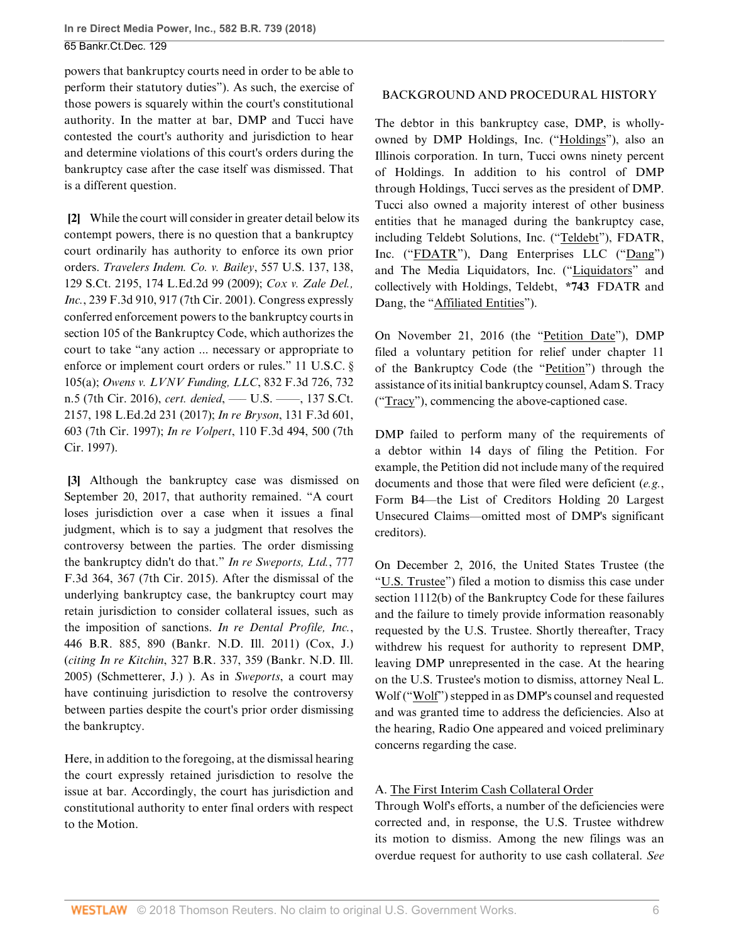powers that bankruptcy courts need in order to be able to perform their statutory duties"). As such, the exercise of those powers is squarely within the court's constitutional authority. In the matter at bar, DMP and Tucci have contested the court's authority and jurisdiction to hear and determine violations of this court's orders during the bankruptcy case after the case itself was dismissed. That is a different question.

<span id="page-5-0"></span>**[\[2](#page-0-2)]** While the court will consider in greater detail below its contempt powers, there is no question that a bankruptcy court ordinarily has authority to enforce its own prior orders. *[Travelers Indem. Co. v. Bailey](http://www.westlaw.com/Link/Document/FullText?findType=Y&serNum=2019144487&pubNum=0000708&originatingDoc=I0f6505e036cb11e8a70fc9d8a0b2aef5&refType=RP&originationContext=document&vr=3.0&rs=cblt1.0&transitionType=DocumentItem&contextData=(sc.PubAlert))*, 557 U.S. 137, 138, [129 S.Ct. 2195, 174 L.Ed.2d 99 \(2009\);](http://www.westlaw.com/Link/Document/FullText?findType=Y&serNum=2019144487&pubNum=0000708&originatingDoc=I0f6505e036cb11e8a70fc9d8a0b2aef5&refType=RP&originationContext=document&vr=3.0&rs=cblt1.0&transitionType=DocumentItem&contextData=(sc.PubAlert)) *[Cox v. Zale Del.,](http://www.westlaw.com/Link/Document/FullText?findType=Y&serNum=2001139518&pubNum=0000506&originatingDoc=I0f6505e036cb11e8a70fc9d8a0b2aef5&refType=RP&fi=co_pp_sp_506_917&originationContext=document&vr=3.0&rs=cblt1.0&transitionType=DocumentItem&contextData=(sc.PubAlert)#co_pp_sp_506_917) Inc.*[, 239 F.3d 910, 917 \(7th Cir. 2001\)](http://www.westlaw.com/Link/Document/FullText?findType=Y&serNum=2001139518&pubNum=0000506&originatingDoc=I0f6505e036cb11e8a70fc9d8a0b2aef5&refType=RP&fi=co_pp_sp_506_917&originationContext=document&vr=3.0&rs=cblt1.0&transitionType=DocumentItem&contextData=(sc.PubAlert)#co_pp_sp_506_917). Congress expressly conferred enforcement powers to the bankruptcy courts in [section 105 of the Bankruptcy Code,](http://www.westlaw.com/Link/Document/FullText?findType=L&pubNum=1000611&cite=11USCAS105&originatingDoc=I0f6505e036cb11e8a70fc9d8a0b2aef5&refType=LQ&originationContext=document&vr=3.0&rs=cblt1.0&transitionType=DocumentItem&contextData=(sc.PubAlert)) which authorizes the court to take "any action ... necessary or appropriate to enforce or implement court orders or rules." [11 U.S.C. §](http://www.westlaw.com/Link/Document/FullText?findType=L&pubNum=1000546&cite=11USCAS105&originatingDoc=I0f6505e036cb11e8a70fc9d8a0b2aef5&refType=SP&originationContext=document&vr=3.0&rs=cblt1.0&transitionType=DocumentItem&contextData=(sc.PubAlert)#co_pp_8b3b0000958a4) [105\(a\);](http://www.westlaw.com/Link/Document/FullText?findType=L&pubNum=1000546&cite=11USCAS105&originatingDoc=I0f6505e036cb11e8a70fc9d8a0b2aef5&refType=SP&originationContext=document&vr=3.0&rs=cblt1.0&transitionType=DocumentItem&contextData=(sc.PubAlert)#co_pp_8b3b0000958a4) *[Owens v. LVNV Funding, LLC](http://www.westlaw.com/Link/Document/FullText?findType=Y&serNum=2039548210&pubNum=0000506&originatingDoc=I0f6505e036cb11e8a70fc9d8a0b2aef5&refType=RP&fi=co_pp_sp_506_732&originationContext=document&vr=3.0&rs=cblt1.0&transitionType=DocumentItem&contextData=(sc.PubAlert)#co_pp_sp_506_732)*, 832 F.3d 726, 732 [n.5 \(7th Cir. 2016\),](http://www.westlaw.com/Link/Document/FullText?findType=Y&serNum=2039548210&pubNum=0000506&originatingDoc=I0f6505e036cb11e8a70fc9d8a0b2aef5&refType=RP&fi=co_pp_sp_506_732&originationContext=document&vr=3.0&rs=cblt1.0&transitionType=DocumentItem&contextData=(sc.PubAlert)#co_pp_sp_506_732) *cert. denied*, -- U.S. -- 137 S.Ct. [2157, 198 L.Ed.2d 231 \(2017\);](http://www.westlaw.com/Link/Document/FullText?findType=Y&serNum=2039767669&pubNum=0000708&originatingDoc=I0f6505e036cb11e8a70fc9d8a0b2aef5&refType=RP&originationContext=document&vr=3.0&rs=cblt1.0&transitionType=DocumentItem&contextData=(sc.PubAlert)) *In re Bryson*[, 131 F.3d 601,](http://www.westlaw.com/Link/Document/FullText?findType=Y&serNum=1997242033&pubNum=0000506&originatingDoc=I0f6505e036cb11e8a70fc9d8a0b2aef5&refType=RP&fi=co_pp_sp_506_603&originationContext=document&vr=3.0&rs=cblt1.0&transitionType=DocumentItem&contextData=(sc.PubAlert)#co_pp_sp_506_603) [603 \(7th Cir. 1997\);](http://www.westlaw.com/Link/Document/FullText?findType=Y&serNum=1997242033&pubNum=0000506&originatingDoc=I0f6505e036cb11e8a70fc9d8a0b2aef5&refType=RP&fi=co_pp_sp_506_603&originationContext=document&vr=3.0&rs=cblt1.0&transitionType=DocumentItem&contextData=(sc.PubAlert)#co_pp_sp_506_603) *In re Volpert*[, 110 F.3d 494, 500 \(7th](http://www.westlaw.com/Link/Document/FullText?findType=Y&serNum=1997081919&pubNum=0000506&originatingDoc=I0f6505e036cb11e8a70fc9d8a0b2aef5&refType=RP&fi=co_pp_sp_506_500&originationContext=document&vr=3.0&rs=cblt1.0&transitionType=DocumentItem&contextData=(sc.PubAlert)#co_pp_sp_506_500) [Cir. 1997\)](http://www.westlaw.com/Link/Document/FullText?findType=Y&serNum=1997081919&pubNum=0000506&originatingDoc=I0f6505e036cb11e8a70fc9d8a0b2aef5&refType=RP&fi=co_pp_sp_506_500&originationContext=document&vr=3.0&rs=cblt1.0&transitionType=DocumentItem&contextData=(sc.PubAlert)#co_pp_sp_506_500).

<span id="page-5-1"></span>**[\[3](#page-0-0)]** Although the bankruptcy case was dismissed on September 20, 2017, that authority remained. "A court loses jurisdiction over a case when it issues a final judgment, which is to say a judgment that resolves the controversy between the parties. The order dismissing the bankruptcy didn't do that." *[In re Sweports, Ltd.](http://www.westlaw.com/Link/Document/FullText?findType=Y&serNum=2035246471&pubNum=0000506&originatingDoc=I0f6505e036cb11e8a70fc9d8a0b2aef5&refType=RP&fi=co_pp_sp_506_367&originationContext=document&vr=3.0&rs=cblt1.0&transitionType=DocumentItem&contextData=(sc.PubAlert)#co_pp_sp_506_367)*, 777 [F.3d 364, 367 \(7th Cir. 2015\).](http://www.westlaw.com/Link/Document/FullText?findType=Y&serNum=2035246471&pubNum=0000506&originatingDoc=I0f6505e036cb11e8a70fc9d8a0b2aef5&refType=RP&fi=co_pp_sp_506_367&originationContext=document&vr=3.0&rs=cblt1.0&transitionType=DocumentItem&contextData=(sc.PubAlert)#co_pp_sp_506_367) After the dismissal of the underlying bankruptcy case, the bankruptcy court may retain jurisdiction to consider collateral issues, such as the imposition of sanctions. *[In re Dental Profile, Inc.](http://www.westlaw.com/Link/Document/FullText?findType=Y&serNum=2024954360&pubNum=0000164&originatingDoc=I0f6505e036cb11e8a70fc9d8a0b2aef5&refType=RP&fi=co_pp_sp_164_890&originationContext=document&vr=3.0&rs=cblt1.0&transitionType=DocumentItem&contextData=(sc.PubAlert)#co_pp_sp_164_890)*, [446 B.R. 885, 890 \(Bankr. N.D. Ill. 2011\)](http://www.westlaw.com/Link/Document/FullText?findType=Y&serNum=2024954360&pubNum=0000164&originatingDoc=I0f6505e036cb11e8a70fc9d8a0b2aef5&refType=RP&fi=co_pp_sp_164_890&originationContext=document&vr=3.0&rs=cblt1.0&transitionType=DocumentItem&contextData=(sc.PubAlert)#co_pp_sp_164_890) (Cox, J.) (*citing In re Kitchin*[, 327 B.R. 337, 359 \(Bankr. N.D. Ill.](http://www.westlaw.com/Link/Document/FullText?findType=Y&serNum=2007047937&pubNum=0000164&originatingDoc=I0f6505e036cb11e8a70fc9d8a0b2aef5&refType=RP&fi=co_pp_sp_164_359&originationContext=document&vr=3.0&rs=cblt1.0&transitionType=DocumentItem&contextData=(sc.PubAlert)#co_pp_sp_164_359) [2005\)](http://www.westlaw.com/Link/Document/FullText?findType=Y&serNum=2007047937&pubNum=0000164&originatingDoc=I0f6505e036cb11e8a70fc9d8a0b2aef5&refType=RP&fi=co_pp_sp_164_359&originationContext=document&vr=3.0&rs=cblt1.0&transitionType=DocumentItem&contextData=(sc.PubAlert)#co_pp_sp_164_359) (Schmetterer, J.) ). As in *[Sweports](http://www.westlaw.com/Link/Document/FullText?findType=Y&serNum=2035246471&pubNum=0000506&originatingDoc=I0f6505e036cb11e8a70fc9d8a0b2aef5&refType=RP&originationContext=document&vr=3.0&rs=cblt1.0&transitionType=DocumentItem&contextData=(sc.PubAlert))*, a court may have continuing jurisdiction to resolve the controversy between parties despite the court's prior order dismissing the bankruptcy.

Here, in addition to the foregoing, at the dismissal hearing the court expressly retained jurisdiction to resolve the issue at bar. Accordingly, the court has jurisdiction and constitutional authority to enter final orders with respect to the Motion.

## BACKGROUND AND PROCEDURAL HISTORY

The debtor in this bankruptcy case, DMP, is whollyowned by DMP Holdings, Inc. ("Holdings"), also an Illinois corporation. In turn, Tucci owns ninety percent of Holdings. In addition to his control of DMP through Holdings, Tucci serves as the president of DMP. Tucci also owned a majority interest of other business entities that he managed during the bankruptcy case, including Teldebt Solutions, Inc. ("Teldebt"), FDATR, Inc. ("FDATR"), Dang Enterprises LLC ("Dang") and The Media Liquidators, Inc. ("Liquidators" and collectively with Holdings, Teldebt, **\*743** FDATR and Dang, the "Affiliated Entities").

On November 21, 2016 (the "Petition Date"), DMP filed a voluntary petition for relief under chapter 11 of the Bankruptcy Code (the "Petition") through the assistance of its initial bankruptcy counsel, Adam S. Tracy ("Tracy"), commencing the above-captioned case.

DMP failed to perform many of the requirements of a debtor within 14 days of filing the Petition. For example, the Petition did not include many of the required documents and those that were filed were deficient (*e.g.*, Form B4—the List of Creditors Holding 20 Largest Unsecured Claims—omitted most of DMP's significant creditors).

On December 2, 2016, the United States Trustee (the "U.S. Trustee") filed a motion to dismiss this case under [section 1112\(b\) of the Bankruptcy Code](http://www.westlaw.com/Link/Document/FullText?findType=L&pubNum=1000611&cite=11USCAS1112&originatingDoc=I0f6505e036cb11e8a70fc9d8a0b2aef5&refType=LQ&originationContext=document&vr=3.0&rs=cblt1.0&transitionType=DocumentItem&contextData=(sc.PubAlert)) for these failures and the failure to timely provide information reasonably requested by the U.S. Trustee. Shortly thereafter, Tracy withdrew his request for authority to represent DMP, leaving DMP unrepresented in the case. At the hearing on the U.S. Trustee's motion to dismiss, attorney Neal L. Wolf ("Wolf") stepped in as DMP's counsel and requested and was granted time to address the deficiencies. Also at the hearing, Radio One appeared and voiced preliminary concerns regarding the case.

## A. The First Interim Cash Collateral Order

Through Wolf's efforts, a number of the deficiencies were corrected and, in response, the U.S. Trustee withdrew its motion to dismiss. Among the new filings was an overdue request for authority to use cash collateral. *See*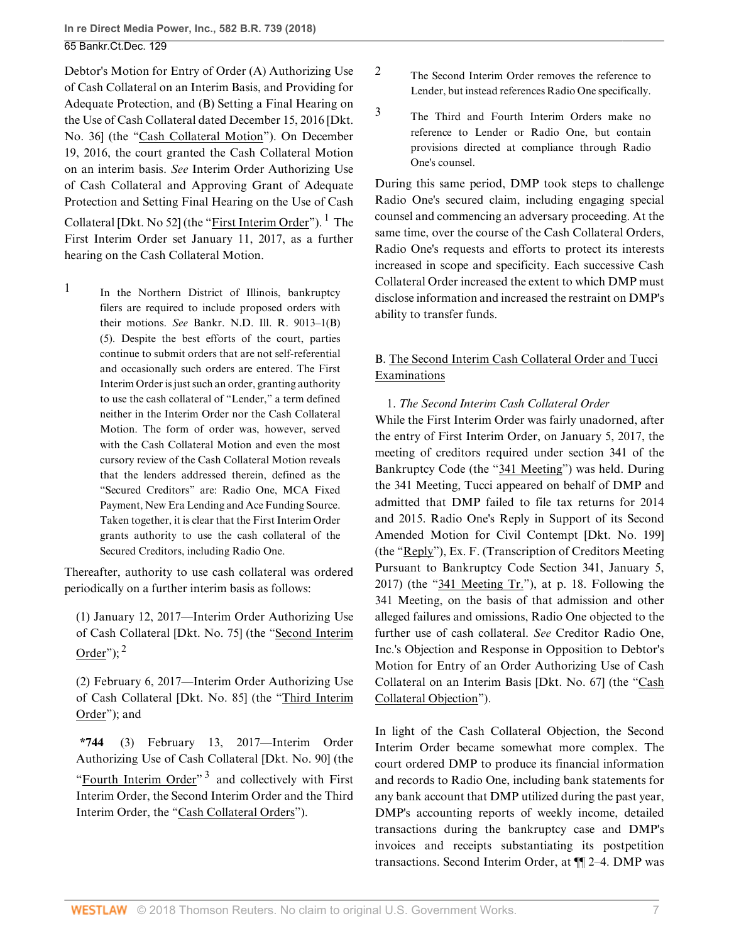**In re Direct Media Power, Inc., 582 B.R. 739 (2018)** 65 Bankr.Ct.Dec. 129

Debtor's Motion for Entry of Order (A) Authorizing Use of Cash Collateral on an Interim Basis, and Providing for Adequate Protection, and (B) Setting a Final Hearing on the Use of Cash Collateral dated December 15, 2016 [Dkt. No. 36] (the "Cash Collateral Motion"). On December 19, 2016, the court granted the Cash Collateral Motion on an interim basis. *See* Interim Order Authorizing Use of Cash Collateral and Approving Grant of Adequate Protection and Setting Final Hearing on the Use of Cash Collateral [Dkt. No 52] (the "First Interim Order").  $^1$  $^1$  The First Interim Order set January 11, 2017, as a further hearing on the Cash Collateral Motion.

<span id="page-6-0"></span>[1](#page-6-1) In the Northern District of Illinois, bankruptcy filers are required to include proposed orders with their motions. *See* Bankr. N.D. Ill. R. 9013–1(B) (5). Despite the best efforts of the court, parties continue to submit orders that are not self-referential and occasionally such orders are entered. The First Interim Order is just such an order, granting authority to use the cash collateral of "Lender," a term defined neither in the Interim Order nor the Cash Collateral Motion. The form of order was, however, served with the Cash Collateral Motion and even the most cursory review of the Cash Collateral Motion reveals that the lenders addressed therein, defined as the "Secured Creditors" are: Radio One, MCA Fixed Payment, New Era Lending and Ace Funding Source. Taken together, it is clear that the First Interim Order grants authority to use the cash collateral of the Secured Creditors, including Radio One.

Thereafter, authority to use cash collateral was ordered periodically on a further interim basis as follows:

<span id="page-6-4"></span>(1) January 12, 2017—Interim Order Authorizing Use of Cash Collateral [Dkt. No. 75] (the "Second Interim Order");  $2$ 

(2) February 6, 2017—Interim Order Authorizing Use of Cash Collateral [Dkt. No. 85] (the "Third Interim Order"); and

<span id="page-6-5"></span>**\*744** (3) February 13, 2017—Interim Order Authorizing Use of Cash Collateral [Dkt. No. 90] (the "Fourth Interim Order"<sup>[3](#page-6-3)</sup> and collectively with First Interim Order, the Second Interim Order and the Third Interim Order, the "Cash Collateral Orders").

- <span id="page-6-2"></span>[2](#page-6-4) The Second Interim Order removes the reference to Lender, but instead references Radio One specifically.
- <span id="page-6-3"></span>[3](#page-6-5) The Third and Fourth Interim Orders make no reference to Lender or Radio One, but contain provisions directed at compliance through Radio One's counsel.

<span id="page-6-1"></span>During this same period, DMP took steps to challenge Radio One's secured claim, including engaging special counsel and commencing an adversary proceeding. At the same time, over the course of the Cash Collateral Orders, Radio One's requests and efforts to protect its interests increased in scope and specificity. Each successive Cash Collateral Order increased the extent to which DMP must disclose information and increased the restraint on DMP's ability to transfer funds.

## B. The Second Interim Cash Collateral Order and Tucci Examinations

## 1. *The Second Interim Cash Collateral Order*

While the First Interim Order was fairly unadorned, after the entry of First Interim Order, on January 5, 2017, the meeting of creditors required under [section 341 of the](http://www.westlaw.com/Link/Document/FullText?findType=L&pubNum=1000611&cite=11USCAS341&originatingDoc=I0f6505e036cb11e8a70fc9d8a0b2aef5&refType=LQ&originationContext=document&vr=3.0&rs=cblt1.0&transitionType=DocumentItem&contextData=(sc.PubAlert)) [Bankruptcy Code](http://www.westlaw.com/Link/Document/FullText?findType=L&pubNum=1000611&cite=11USCAS341&originatingDoc=I0f6505e036cb11e8a70fc9d8a0b2aef5&refType=LQ&originationContext=document&vr=3.0&rs=cblt1.0&transitionType=DocumentItem&contextData=(sc.PubAlert)) (the "341 Meeting") was held. During the 341 Meeting, Tucci appeared on behalf of DMP and admitted that DMP failed to file tax returns for 2014 and 2015. Radio One's Reply in Support of its Second Amended Motion for Civil Contempt [Dkt. No. 199] (the "Reply"), Ex. F. (Transcription of Creditors Meeting Pursuant to [Bankruptcy Code Section 341](http://www.westlaw.com/Link/Document/FullText?findType=L&pubNum=1000611&cite=11USCAS341&originatingDoc=I0f6505e036cb11e8a70fc9d8a0b2aef5&refType=LQ&originationContext=document&vr=3.0&rs=cblt1.0&transitionType=DocumentItem&contextData=(sc.PubAlert)), January 5, 2017) (the "341 Meeting Tr."), at p. 18. Following the 341 Meeting, on the basis of that admission and other alleged failures and omissions, Radio One objected to the further use of cash collateral. *See* Creditor Radio One, Inc.'s Objection and Response in Opposition to Debtor's Motion for Entry of an Order Authorizing Use of Cash Collateral on an Interim Basis [Dkt. No. 67] (the "Cash Collateral Objection").

In light of the Cash Collateral Objection, the Second Interim Order became somewhat more complex. The court ordered DMP to produce its financial information and records to Radio One, including bank statements for any bank account that DMP utilized during the past year, DMP's accounting reports of weekly income, detailed transactions during the bankruptcy case and DMP's invoices and receipts substantiating its postpetition transactions. Second Interim Order, at ¶¶ 2–4. DMP was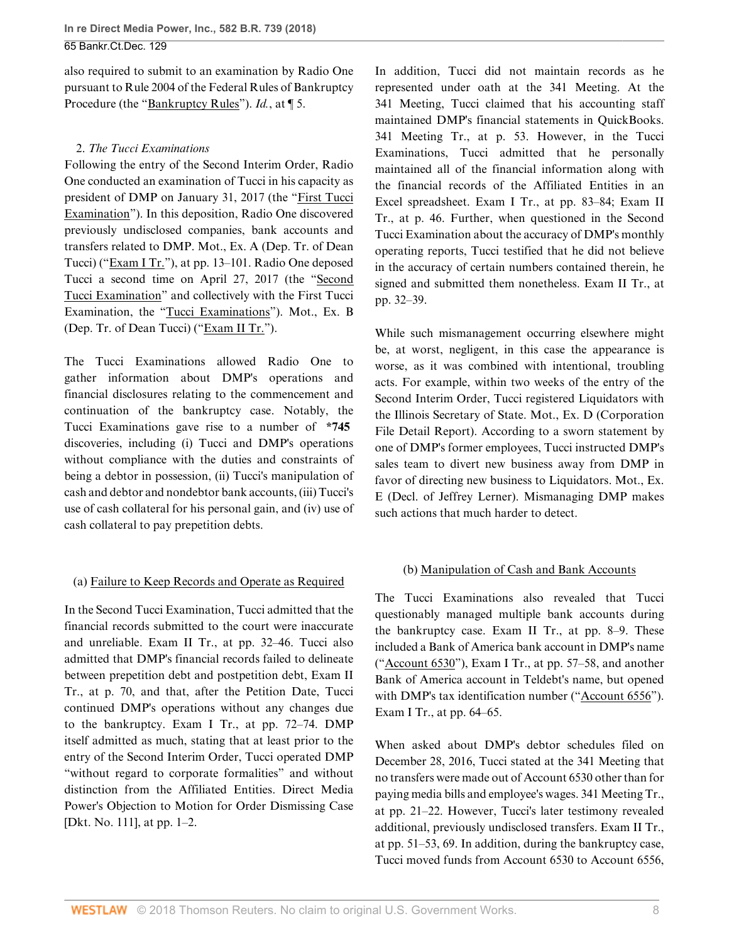also required to submit to an examination by Radio One pursuant to [Rule 2004 of the Federal Rules of Bankruptcy](http://www.westlaw.com/Link/Document/FullText?findType=L&pubNum=1000611&cite=USFRBPR2004&originatingDoc=I0f6505e036cb11e8a70fc9d8a0b2aef5&refType=LQ&originationContext=document&vr=3.0&rs=cblt1.0&transitionType=DocumentItem&contextData=(sc.PubAlert)) [Procedure](http://www.westlaw.com/Link/Document/FullText?findType=L&pubNum=1000611&cite=USFRBPR2004&originatingDoc=I0f6505e036cb11e8a70fc9d8a0b2aef5&refType=LQ&originationContext=document&vr=3.0&rs=cblt1.0&transitionType=DocumentItem&contextData=(sc.PubAlert)) (the "Bankruptcy Rules"). *Id.*, at ¶ 5.

#### 2. *The Tucci Examinations*

Following the entry of the Second Interim Order, Radio One conducted an examination of Tucci in his capacity as president of DMP on January 31, 2017 (the "First Tucci Examination"). In this deposition, Radio One discovered previously undisclosed companies, bank accounts and transfers related to DMP. Mot., Ex. A (Dep. Tr. of Dean Tucci) ("Exam I Tr."), at pp. 13–101. Radio One deposed Tucci a second time on April 27, 2017 (the "Second Tucci Examination" and collectively with the First Tucci Examination, the "Tucci Examinations"). Mot., Ex. B (Dep. Tr. of Dean Tucci) ("Exam II Tr.").

The Tucci Examinations allowed Radio One to gather information about DMP's operations and financial disclosures relating to the commencement and continuation of the bankruptcy case. Notably, the Tucci Examinations gave rise to a number of **\*745** discoveries, including (i) Tucci and DMP's operations without compliance with the duties and constraints of being a debtor in possession, (ii) Tucci's manipulation of cash and debtor and nondebtor bank accounts, (iii) Tucci's use of cash collateral for his personal gain, and (iv) use of cash collateral to pay prepetition debts.

## (a) Failure to Keep Records and Operate as Required

In the Second Tucci Examination, Tucci admitted that the financial records submitted to the court were inaccurate and unreliable. Exam II Tr., at pp. 32–46. Tucci also admitted that DMP's financial records failed to delineate between prepetition debt and postpetition debt, Exam II Tr., at p. 70, and that, after the Petition Date, Tucci continued DMP's operations without any changes due to the bankruptcy. Exam I Tr., at pp. 72–74. DMP itself admitted as much, stating that at least prior to the entry of the Second Interim Order, Tucci operated DMP "without regard to corporate formalities" and without distinction from the Affiliated Entities. Direct Media Power's Objection to Motion for Order Dismissing Case [Dkt. No. 111], at pp. 1–2.

In addition, Tucci did not maintain records as he represented under oath at the 341 Meeting. At the 341 Meeting, Tucci claimed that his accounting staff maintained DMP's financial statements in QuickBooks. 341 Meeting Tr., at p. 53. However, in the Tucci Examinations, Tucci admitted that he personally maintained all of the financial information along with the financial records of the Affiliated Entities in an Excel spreadsheet. Exam I Tr., at pp. 83–84; Exam II Tr., at p. 46. Further, when questioned in the Second Tucci Examination about the accuracy of DMP's monthly operating reports, Tucci testified that he did not believe in the accuracy of certain numbers contained therein, he signed and submitted them nonetheless. Exam II Tr., at pp. 32–39.

While such mismanagement occurring elsewhere might be, at worst, negligent, in this case the appearance is worse, as it was combined with intentional, troubling acts. For example, within two weeks of the entry of the Second Interim Order, Tucci registered Liquidators with the Illinois Secretary of State. Mot., Ex. D (Corporation File Detail Report). According to a sworn statement by one of DMP's former employees, Tucci instructed DMP's sales team to divert new business away from DMP in favor of directing new business to Liquidators. Mot., Ex. E (Decl. of Jeffrey Lerner). Mismanaging DMP makes such actions that much harder to detect.

## (b) Manipulation of Cash and Bank Accounts

The Tucci Examinations also revealed that Tucci questionably managed multiple bank accounts during the bankruptcy case. Exam II Tr., at pp. 8–9. These included a Bank of America bank account in DMP's name ("Account 6530"), Exam I Tr., at pp. 57–58, and another Bank of America account in Teldebt's name, but opened with DMP's tax identification number ("Account 6556"). Exam I Tr., at pp. 64–65.

When asked about DMP's debtor schedules filed on December 28, 2016, Tucci stated at the 341 Meeting that no transfers were made out of Account 6530 other than for paying media bills and employee's wages. 341 Meeting Tr., at pp. 21–22. However, Tucci's later testimony revealed additional, previously undisclosed transfers. Exam II Tr., at pp. 51–53, 69. In addition, during the bankruptcy case, Tucci moved funds from Account 6530 to Account 6556,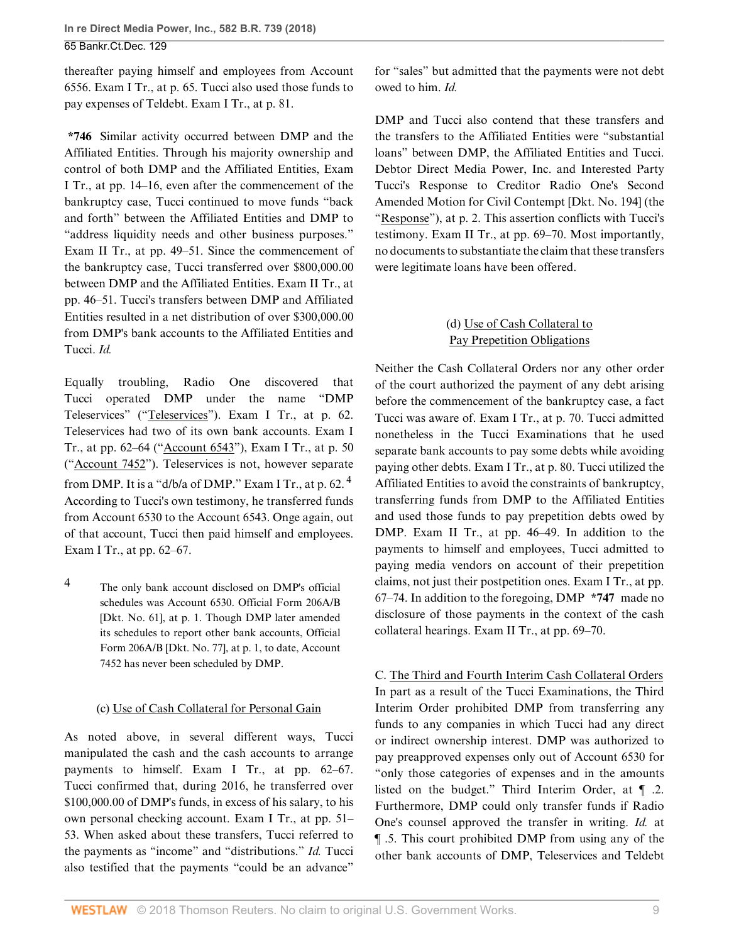thereafter paying himself and employees from Account 6556. Exam I Tr., at p. 65. Tucci also used those funds to pay expenses of Teldebt. Exam I Tr., at p. 81.

**\*746** Similar activity occurred between DMP and the Affiliated Entities. Through his majority ownership and control of both DMP and the Affiliated Entities, Exam I Tr., at pp. 14–16, even after the commencement of the bankruptcy case, Tucci continued to move funds "back and forth" between the Affiliated Entities and DMP to "address liquidity needs and other business purposes." Exam II Tr., at pp. 49–51. Since the commencement of the bankruptcy case, Tucci transferred over \$800,000.00 between DMP and the Affiliated Entities. Exam II Tr., at pp. 46–51. Tucci's transfers between DMP and Affiliated Entities resulted in a net distribution of over \$300,000.00 from DMP's bank accounts to the Affiliated Entities and Tucci. *Id.*

Equally troubling, Radio One discovered that Tucci operated DMP under the name "DMP Teleservices" ("Teleservices"). Exam I Tr., at p. 62. Teleservices had two of its own bank accounts. Exam I Tr., at pp. 62–64 ("Account 6543"), Exam I Tr., at p. 50 ("Account 7452"). Teleservices is not, however separate from DMP. It is a "d/b/a of DMP." Exam I Tr., at p. 62. $<sup>4</sup>$  $<sup>4</sup>$  $<sup>4</sup>$ </sup> According to Tucci's own testimony, he transferred funds from Account 6530 to the Account 6543. Onge again, out of that account, Tucci then paid himself and employees. Exam I Tr., at pp. 62–67.

<span id="page-8-0"></span>[4](#page-8-1) The only bank account disclosed on DMP's official schedules was Account 6530. Official Form 206A/B [Dkt. No. 61], at p. 1. Though DMP later amended its schedules to report other bank accounts, Official Form 206A/B [Dkt. No. 77], at p. 1, to date, Account 7452 has never been scheduled by DMP.

## (c) Use of Cash Collateral for Personal Gain

As noted above, in several different ways, Tucci manipulated the cash and the cash accounts to arrange payments to himself. Exam I Tr., at pp. 62–67. Tucci confirmed that, during 2016, he transferred over \$100,000.00 of DMP's funds, in excess of his salary, to his own personal checking account. Exam I Tr., at pp. 51– 53. When asked about these transfers, Tucci referred to the payments as "income" and "distributions." *Id.* Tucci also testified that the payments "could be an advance"

for "sales" but admitted that the payments were not debt owed to him. *Id.*

DMP and Tucci also contend that these transfers and the transfers to the Affiliated Entities were "substantial loans" between DMP, the Affiliated Entities and Tucci. Debtor Direct Media Power, Inc. and Interested Party Tucci's Response to Creditor Radio One's Second Amended Motion for Civil Contempt [Dkt. No. 194] (the "Response"), at p. 2. This assertion conflicts with Tucci's testimony. Exam II Tr., at pp. 69–70. Most importantly, no documents to substantiate the claim that these transfers were legitimate loans have been offered.

# (d) Use of Cash Collateral to Pay Prepetition Obligations

<span id="page-8-1"></span>Neither the Cash Collateral Orders nor any other order of the court authorized the payment of any debt arising before the commencement of the bankruptcy case, a fact Tucci was aware of. Exam I Tr., at p. 70. Tucci admitted nonetheless in the Tucci Examinations that he used separate bank accounts to pay some debts while avoiding paying other debts. Exam I Tr., at p. 80. Tucci utilized the Affiliated Entities to avoid the constraints of bankruptcy, transferring funds from DMP to the Affiliated Entities and used those funds to pay prepetition debts owed by DMP. Exam II Tr., at pp. 46–49. In addition to the payments to himself and employees, Tucci admitted to paying media vendors on account of their prepetition claims, not just their postpetition ones. Exam I Tr., at pp. 67–74. In addition to the foregoing, DMP **\*747** made no disclosure of those payments in the context of the cash collateral hearings. Exam II Tr., at pp. 69–70.

C. The Third and Fourth Interim Cash Collateral Orders In part as a result of the Tucci Examinations, the Third Interim Order prohibited DMP from transferring any funds to any companies in which Tucci had any direct or indirect ownership interest. DMP was authorized to pay preapproved expenses only out of Account 6530 for "only those categories of expenses and in the amounts listed on the budget." Third Interim Order, at ¶ .2. Furthermore, DMP could only transfer funds if Radio One's counsel approved the transfer in writing. *Id.* at ¶ .5. This court prohibited DMP from using any of the other bank accounts of DMP, Teleservices and Teldebt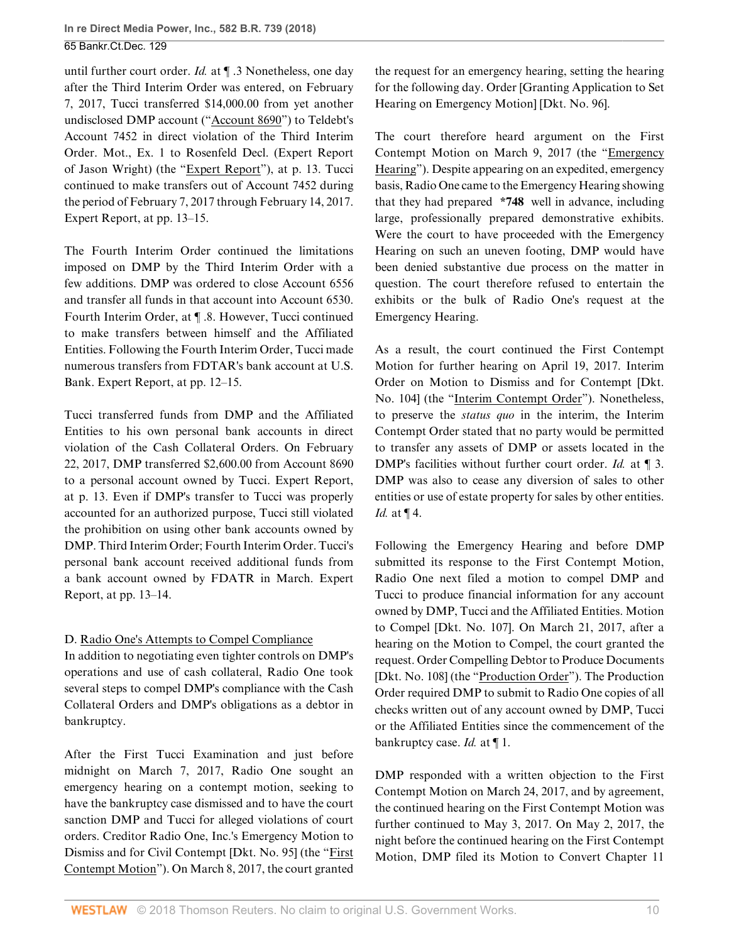until further court order. *Id.* at ¶ .3 Nonetheless, one day after the Third Interim Order was entered, on February 7, 2017, Tucci transferred \$14,000.00 from yet another undisclosed DMP account ("Account 8690") to Teldebt's Account 7452 in direct violation of the Third Interim Order. Mot., Ex. 1 to Rosenfeld Decl. (Expert Report of Jason Wright) (the "Expert Report"), at p. 13. Tucci continued to make transfers out of Account 7452 during the period of February 7, 2017 through February 14, 2017. Expert Report, at pp. 13–15.

The Fourth Interim Order continued the limitations imposed on DMP by the Third Interim Order with a few additions. DMP was ordered to close Account 6556 and transfer all funds in that account into Account 6530. Fourth Interim Order, at ¶ .8. However, Tucci continued to make transfers between himself and the Affiliated Entities. Following the Fourth Interim Order, Tucci made numerous transfers from FDTAR's bank account at U.S. Bank. Expert Report, at pp. 12–15.

Tucci transferred funds from DMP and the Affiliated Entities to his own personal bank accounts in direct violation of the Cash Collateral Orders. On February 22, 2017, DMP transferred \$2,600.00 from Account 8690 to a personal account owned by Tucci. Expert Report, at p. 13. Even if DMP's transfer to Tucci was properly accounted for an authorized purpose, Tucci still violated the prohibition on using other bank accounts owned by DMP. Third Interim Order; Fourth Interim Order. Tucci's personal bank account received additional funds from a bank account owned by FDATR in March. Expert Report, at pp. 13–14.

## D. Radio One's Attempts to Compel Compliance

In addition to negotiating even tighter controls on DMP's operations and use of cash collateral, Radio One took several steps to compel DMP's compliance with the Cash Collateral Orders and DMP's obligations as a debtor in bankruptcy.

After the First Tucci Examination and just before midnight on March 7, 2017, Radio One sought an emergency hearing on a contempt motion, seeking to have the bankruptcy case dismissed and to have the court sanction DMP and Tucci for alleged violations of court orders. Creditor Radio One, Inc.'s Emergency Motion to Dismiss and for Civil Contempt [Dkt. No. 95] (the "First Contempt Motion"). On March 8, 2017, the court granted

the request for an emergency hearing, setting the hearing for the following day. Order [Granting Application to Set Hearing on Emergency Motion] [Dkt. No. 96].

The court therefore heard argument on the First Contempt Motion on March 9, 2017 (the "Emergency Hearing"). Despite appearing on an expedited, emergency basis, Radio One came to the Emergency Hearing showing that they had prepared **\*748** well in advance, including large, professionally prepared demonstrative exhibits. Were the court to have proceeded with the Emergency Hearing on such an uneven footing, DMP would have been denied substantive due process on the matter in question. The court therefore refused to entertain the exhibits or the bulk of Radio One's request at the Emergency Hearing.

As a result, the court continued the First Contempt Motion for further hearing on April 19, 2017. Interim Order on Motion to Dismiss and for Contempt [Dkt. No. 104] (the "Interim Contempt Order"). Nonetheless, to preserve the *status quo* in the interim, the Interim Contempt Order stated that no party would be permitted to transfer any assets of DMP or assets located in the DMP's facilities without further court order. *Id.* at ¶ 3. DMP was also to cease any diversion of sales to other entities or use of estate property for sales by other entities. *Id.* at ¶ 4.

Following the Emergency Hearing and before DMP submitted its response to the First Contempt Motion, Radio One next filed a motion to compel DMP and Tucci to produce financial information for any account owned by DMP, Tucci and the Affiliated Entities. Motion to Compel [Dkt. No. 107]. On March 21, 2017, after a hearing on the Motion to Compel, the court granted the request. Order Compelling Debtor to Produce Documents [Dkt. No. 108] (the "Production Order"). The Production Order required DMP to submit to Radio One copies of all checks written out of any account owned by DMP, Tucci or the Affiliated Entities since the commencement of the bankruptcy case. *Id.* at ¶ 1.

DMP responded with a written objection to the First Contempt Motion on March 24, 2017, and by agreement, the continued hearing on the First Contempt Motion was further continued to May 3, 2017. On May 2, 2017, the night before the continued hearing on the First Contempt Motion, DMP filed its Motion to Convert Chapter 11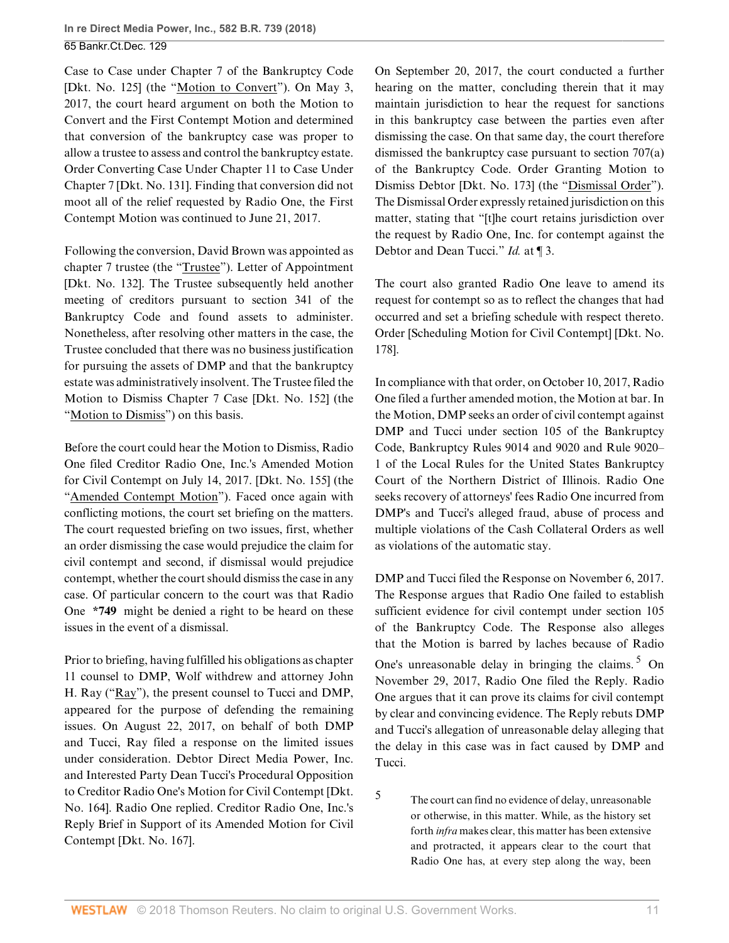Case to Case under Chapter 7 of the Bankruptcy Code [Dkt. No. 125] (the "Motion to Convert"). On May 3, 2017, the court heard argument on both the Motion to Convert and the First Contempt Motion and determined that conversion of the bankruptcy case was proper to allow a trustee to assess and control the bankruptcy estate. Order Converting Case Under Chapter 11 to Case Under Chapter 7 [Dkt. No. 131]. Finding that conversion did not moot all of the relief requested by Radio One, the First Contempt Motion was continued to June 21, 2017.

Following the conversion, David Brown was appointed as chapter 7 trustee (the "Trustee"). Letter of Appointment [Dkt. No. 132]. The Trustee subsequently held another meeting of creditors pursuant to [section 341 of the](http://www.westlaw.com/Link/Document/FullText?findType=L&pubNum=1000611&cite=11USCAS341&originatingDoc=I0f6505e036cb11e8a70fc9d8a0b2aef5&refType=LQ&originationContext=document&vr=3.0&rs=cblt1.0&transitionType=DocumentItem&contextData=(sc.PubAlert)) [Bankruptcy Code](http://www.westlaw.com/Link/Document/FullText?findType=L&pubNum=1000611&cite=11USCAS341&originatingDoc=I0f6505e036cb11e8a70fc9d8a0b2aef5&refType=LQ&originationContext=document&vr=3.0&rs=cblt1.0&transitionType=DocumentItem&contextData=(sc.PubAlert)) and found assets to administer. Nonetheless, after resolving other matters in the case, the Trustee concluded that there was no business justification for pursuing the assets of DMP and that the bankruptcy estate was administratively insolvent. The Trustee filed the Motion to Dismiss Chapter 7 Case [Dkt. No. 152] (the "Motion to Dismiss") on this basis.

Before the court could hear the Motion to Dismiss, Radio One filed Creditor Radio One, Inc.'s Amended Motion for Civil Contempt on July 14, 2017. [Dkt. No. 155] (the "Amended Contempt Motion"). Faced once again with conflicting motions, the court set briefing on the matters. The court requested briefing on two issues, first, whether an order dismissing the case would prejudice the claim for civil contempt and second, if dismissal would prejudice contempt, whether the court should dismiss the case in any case. Of particular concern to the court was that Radio One **\*749** might be denied a right to be heard on these issues in the event of a dismissal.

Prior to briefing, having fulfilled his obligations as chapter 11 counsel to DMP, Wolf withdrew and attorney John H. Ray ("Ray"), the present counsel to Tucci and DMP, appeared for the purpose of defending the remaining issues. On August 22, 2017, on behalf of both DMP and Tucci, Ray filed a response on the limited issues under consideration. Debtor Direct Media Power, Inc. and Interested Party Dean Tucci's Procedural Opposition to Creditor Radio One's Motion for Civil Contempt [Dkt. No. 164]. Radio One replied. Creditor Radio One, Inc.'s Reply Brief in Support of its Amended Motion for Civil Contempt [Dkt. No. 167].

On September 20, 2017, the court conducted a further hearing on the matter, concluding therein that it may maintain jurisdiction to hear the request for sanctions in this bankruptcy case between the parties even after dismissing the case. On that same day, the court therefore dismissed the bankruptcy case pursuant to [section 707\(a\)](http://www.westlaw.com/Link/Document/FullText?findType=L&pubNum=1000611&cite=11USCAS707&originatingDoc=I0f6505e036cb11e8a70fc9d8a0b2aef5&refType=LQ&originationContext=document&vr=3.0&rs=cblt1.0&transitionType=DocumentItem&contextData=(sc.PubAlert)) [of the Bankruptcy Code.](http://www.westlaw.com/Link/Document/FullText?findType=L&pubNum=1000611&cite=11USCAS707&originatingDoc=I0f6505e036cb11e8a70fc9d8a0b2aef5&refType=LQ&originationContext=document&vr=3.0&rs=cblt1.0&transitionType=DocumentItem&contextData=(sc.PubAlert)) Order Granting Motion to Dismiss Debtor [Dkt. No. 173] (the "Dismissal Order"). The Dismissal Order expressly retained jurisdiction on this matter, stating that "[t]he court retains jurisdiction over the request by Radio One, Inc. for contempt against the Debtor and Dean Tucci." *Id.* at ¶ 3.

The court also granted Radio One leave to amend its request for contempt so as to reflect the changes that had occurred and set a briefing schedule with respect thereto. Order [Scheduling Motion for Civil Contempt] [Dkt. No. 178].

In compliance with that order, on October 10, 2017, Radio One filed a further amended motion, the Motion at bar. In the Motion, DMP seeks an order of civil contempt against DMP and Tucci under [section 105 of the Bankruptcy](http://www.westlaw.com/Link/Document/FullText?findType=L&pubNum=1000611&cite=11USCAS105&originatingDoc=I0f6505e036cb11e8a70fc9d8a0b2aef5&refType=LQ&originationContext=document&vr=3.0&rs=cblt1.0&transitionType=DocumentItem&contextData=(sc.PubAlert)) [Code,](http://www.westlaw.com/Link/Document/FullText?findType=L&pubNum=1000611&cite=11USCAS105&originatingDoc=I0f6505e036cb11e8a70fc9d8a0b2aef5&refType=LQ&originationContext=document&vr=3.0&rs=cblt1.0&transitionType=DocumentItem&contextData=(sc.PubAlert)) Bankruptcy Rules 9014 and 9020 and Rule 9020– 1 of the Local Rules for the United States Bankruptcy Court of the Northern District of Illinois. Radio One seeks recovery of attorneys' fees Radio One incurred from DMP's and Tucci's alleged fraud, abuse of process and multiple violations of the Cash Collateral Orders as well as violations of the automatic stay.

<span id="page-10-1"></span>DMP and Tucci filed the Response on November 6, 2017. The Response argues that Radio One failed to establish sufficient evidence for civil contempt under [section 105](http://www.westlaw.com/Link/Document/FullText?findType=L&pubNum=1000611&cite=11USCAS105&originatingDoc=I0f6505e036cb11e8a70fc9d8a0b2aef5&refType=LQ&originationContext=document&vr=3.0&rs=cblt1.0&transitionType=DocumentItem&contextData=(sc.PubAlert)) [of the Bankruptcy Code](http://www.westlaw.com/Link/Document/FullText?findType=L&pubNum=1000611&cite=11USCAS105&originatingDoc=I0f6505e036cb11e8a70fc9d8a0b2aef5&refType=LQ&originationContext=document&vr=3.0&rs=cblt1.0&transitionType=DocumentItem&contextData=(sc.PubAlert)). The Response also alleges that the Motion is barred by laches because of Radio One's unreasonable delay in bringing the claims.<sup>[5](#page-10-0)</sup> On November 29, 2017, Radio One filed the Reply. Radio One argues that it can prove its claims for civil contempt by clear and convincing evidence. The Reply rebuts DMP and Tucci's allegation of unreasonable delay alleging that the delay in this case was in fact caused by DMP and Tucci.

<span id="page-10-0"></span>[5](#page-10-1) The court can find no evidence of delay, unreasonable or otherwise, in this matter. While, as the history set forth *infra* makes clear, this matter has been extensive and protracted, it appears clear to the court that Radio One has, at every step along the way, been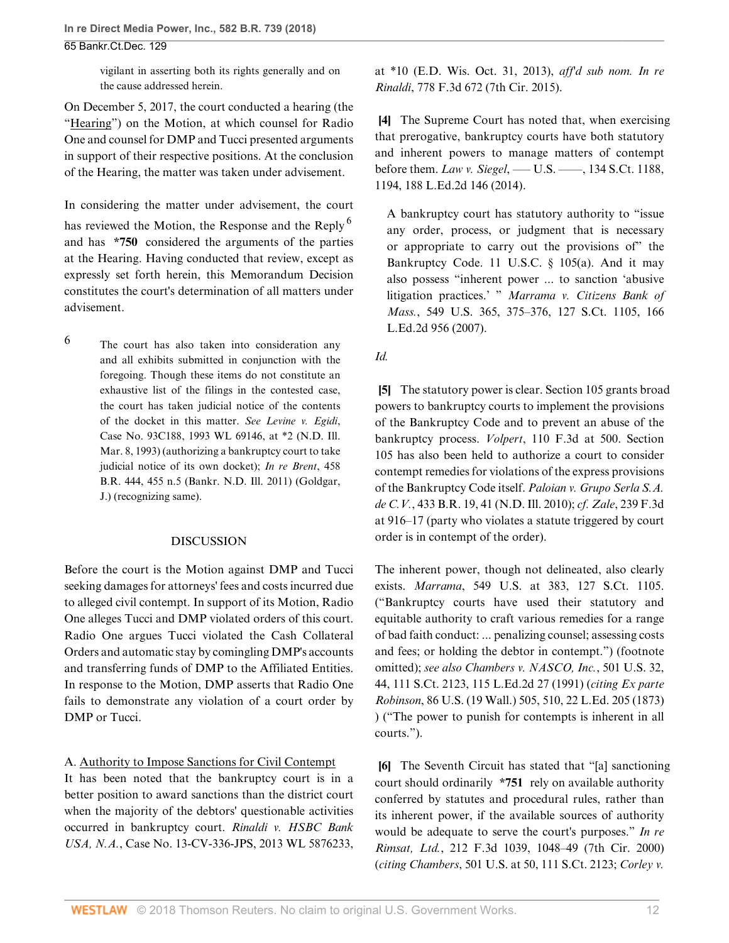65 Bankr.Ct.Dec. 129

vigilant in asserting both its rights generally and on the cause addressed herein.

On December 5, 2017, the court conducted a hearing (the "Hearing") on the Motion, at which counsel for Radio One and counsel for DMP and Tucci presented arguments in support of their respective positions. At the conclusion of the Hearing, the matter was taken under advisement.

In considering the matter under advisement, the court has reviewed the Motion, the Response and the Reply<sup>[6](#page-11-3)</sup> and has **\*750** considered the arguments of the parties at the Hearing. Having conducted that review, except as expressly set forth herein, this Memorandum Decision constitutes the court's determination of all matters under advisement.

<span id="page-11-3"></span>[6](#page-11-4) The court has also taken into consideration any and all exhibits submitted in conjunction with the foregoing. Though these items do not constitute an exhaustive list of the filings in the contested case, the court has taken judicial notice of the contents of the docket in this matter. *See [Levine v. Egidi](http://www.westlaw.com/Link/Document/FullText?findType=Y&serNum=1993067439&pubNum=0000999&originatingDoc=I0f6505e036cb11e8a70fc9d8a0b2aef5&refType=RP&originationContext=document&vr=3.0&rs=cblt1.0&transitionType=DocumentItem&contextData=(sc.PubAlert))*, [Case No. 93C188, 1993 WL 69146, at \\*2 \(N.D. Ill.](http://www.westlaw.com/Link/Document/FullText?findType=Y&serNum=1993067439&pubNum=0000999&originatingDoc=I0f6505e036cb11e8a70fc9d8a0b2aef5&refType=RP&originationContext=document&vr=3.0&rs=cblt1.0&transitionType=DocumentItem&contextData=(sc.PubAlert)) [Mar. 8, 1993\)](http://www.westlaw.com/Link/Document/FullText?findType=Y&serNum=1993067439&pubNum=0000999&originatingDoc=I0f6505e036cb11e8a70fc9d8a0b2aef5&refType=RP&originationContext=document&vr=3.0&rs=cblt1.0&transitionType=DocumentItem&contextData=(sc.PubAlert)) (authorizing a bankruptcy court to take judicial notice of its own docket); *[In re Brent](http://www.westlaw.com/Link/Document/FullText?findType=Y&serNum=2026250082&pubNum=0000164&originatingDoc=I0f6505e036cb11e8a70fc9d8a0b2aef5&refType=RP&fi=co_pp_sp_164_455&originationContext=document&vr=3.0&rs=cblt1.0&transitionType=DocumentItem&contextData=(sc.PubAlert)#co_pp_sp_164_455)*, 458 [B.R. 444, 455 n.5 \(Bankr. N.D. Ill. 2011\)](http://www.westlaw.com/Link/Document/FullText?findType=Y&serNum=2026250082&pubNum=0000164&originatingDoc=I0f6505e036cb11e8a70fc9d8a0b2aef5&refType=RP&fi=co_pp_sp_164_455&originationContext=document&vr=3.0&rs=cblt1.0&transitionType=DocumentItem&contextData=(sc.PubAlert)#co_pp_sp_164_455) (Goldgar, J.) (recognizing same).

#### DISCUSSION

Before the court is the Motion against DMP and Tucci seeking damages for attorneys' fees and costs incurred due to alleged civil contempt. In support of its Motion, Radio One alleges Tucci and DMP violated orders of this court. Radio One argues Tucci violated the Cash Collateral Orders and automatic stay by comingling DMP's accounts and transferring funds of DMP to the Affiliated Entities. In response to the Motion, DMP asserts that Radio One fails to demonstrate any violation of a court order by DMP or Tucci.

## A. Authority to Impose Sanctions for Civil Contempt

It has been noted that the bankruptcy court is in a better position to award sanctions than the district court when the majority of the debtors' questionable activities occurred in bankruptcy court. *[Rinaldi v. HSBC Bank](http://www.westlaw.com/Link/Document/FullText?findType=Y&serNum=2031889609&pubNum=0000999&originatingDoc=I0f6505e036cb11e8a70fc9d8a0b2aef5&refType=RP&originationContext=document&vr=3.0&rs=cblt1.0&transitionType=DocumentItem&contextData=(sc.PubAlert)) USA, N.A.*[, Case No. 13-CV-336-JPS, 2013 WL 5876233,](http://www.westlaw.com/Link/Document/FullText?findType=Y&serNum=2031889609&pubNum=0000999&originatingDoc=I0f6505e036cb11e8a70fc9d8a0b2aef5&refType=RP&originationContext=document&vr=3.0&rs=cblt1.0&transitionType=DocumentItem&contextData=(sc.PubAlert)) [at \\*10 \(E.D. Wis. Oct. 31, 2013\),](http://www.westlaw.com/Link/Document/FullText?findType=Y&serNum=2031889609&pubNum=0000999&originatingDoc=I0f6505e036cb11e8a70fc9d8a0b2aef5&refType=RP&originationContext=document&vr=3.0&rs=cblt1.0&transitionType=DocumentItem&contextData=(sc.PubAlert)) *aff'd sub nom. [In re](http://www.westlaw.com/Link/Document/FullText?findType=Y&serNum=2035432421&pubNum=0000506&originatingDoc=I0f6505e036cb11e8a70fc9d8a0b2aef5&refType=RP&originationContext=document&vr=3.0&rs=cblt1.0&transitionType=DocumentItem&contextData=(sc.PubAlert)) Rinaldi*[, 778 F.3d 672 \(7th Cir. 2015\).](http://www.westlaw.com/Link/Document/FullText?findType=Y&serNum=2035432421&pubNum=0000506&originatingDoc=I0f6505e036cb11e8a70fc9d8a0b2aef5&refType=RP&originationContext=document&vr=3.0&rs=cblt1.0&transitionType=DocumentItem&contextData=(sc.PubAlert))

<span id="page-11-0"></span>**[\[4](#page-0-3)]** The Supreme Court has noted that, when exercising that prerogative, bankruptcy courts have both statutory and inherent powers to manage matters of contempt before them. *Law v. Siegel*[, ––– U.S. ––––, 134 S.Ct. 1188,](http://www.westlaw.com/Link/Document/FullText?findType=Y&serNum=2032817941&pubNum=0000708&originatingDoc=I0f6505e036cb11e8a70fc9d8a0b2aef5&refType=RP&fi=co_pp_sp_708_1194&originationContext=document&vr=3.0&rs=cblt1.0&transitionType=DocumentItem&contextData=(sc.PubAlert)#co_pp_sp_708_1194) [1194, 188 L.Ed.2d 146 \(2014\)](http://www.westlaw.com/Link/Document/FullText?findType=Y&serNum=2032817941&pubNum=0000708&originatingDoc=I0f6505e036cb11e8a70fc9d8a0b2aef5&refType=RP&fi=co_pp_sp_708_1194&originationContext=document&vr=3.0&rs=cblt1.0&transitionType=DocumentItem&contextData=(sc.PubAlert)#co_pp_sp_708_1194).

<span id="page-11-4"></span>A bankruptcy court has statutory authority to "issue any order, process, or judgment that is necessary or appropriate to carry out the provisions of" the Bankruptcy Code. [11 U.S.C. § 105\(a\)](http://www.westlaw.com/Link/Document/FullText?findType=L&pubNum=1000546&cite=11USCAS105&originatingDoc=I0f6505e036cb11e8a70fc9d8a0b2aef5&refType=SP&originationContext=document&vr=3.0&rs=cblt1.0&transitionType=DocumentItem&contextData=(sc.PubAlert)#co_pp_8b3b0000958a4). And it may also possess "inherent power ... to sanction 'abusive litigation practices.' " *[Marrama v. Citizens Bank of](http://www.westlaw.com/Link/Document/FullText?findType=Y&serNum=2011495411&pubNum=0000708&originatingDoc=I0f6505e036cb11e8a70fc9d8a0b2aef5&refType=RP&originationContext=document&vr=3.0&rs=cblt1.0&transitionType=DocumentItem&contextData=(sc.PubAlert)) Mass.*[, 549 U.S. 365, 375–376, 127 S.Ct. 1105, 166](http://www.westlaw.com/Link/Document/FullText?findType=Y&serNum=2011495411&pubNum=0000708&originatingDoc=I0f6505e036cb11e8a70fc9d8a0b2aef5&refType=RP&originationContext=document&vr=3.0&rs=cblt1.0&transitionType=DocumentItem&contextData=(sc.PubAlert)) [L.Ed.2d 956 \(2007\)](http://www.westlaw.com/Link/Document/FullText?findType=Y&serNum=2011495411&pubNum=0000708&originatingDoc=I0f6505e036cb11e8a70fc9d8a0b2aef5&refType=RP&originationContext=document&vr=3.0&rs=cblt1.0&transitionType=DocumentItem&contextData=(sc.PubAlert)).

## *[Id.](http://www.westlaw.com/Link/Document/FullText?findType=Y&serNum=2032817941&pubNum=0000708&originatingDoc=I0f6505e036cb11e8a70fc9d8a0b2aef5&refType=RP&originationContext=document&vr=3.0&rs=cblt1.0&transitionType=DocumentItem&contextData=(sc.PubAlert))*

<span id="page-11-1"></span>**[\[5](#page-1-0)]** The statutory power is clear. [Section 105](http://www.westlaw.com/Link/Document/FullText?findType=L&pubNum=1000546&cite=11USCAS105&originatingDoc=I0f6505e036cb11e8a70fc9d8a0b2aef5&refType=LQ&originationContext=document&vr=3.0&rs=cblt1.0&transitionType=DocumentItem&contextData=(sc.PubAlert)) grants broad powers to bankruptcy courts to implement the provisions of the Bankruptcy Code and to prevent an abuse of the bankruptcy process. *Volpert*[, 110 F.3d at 500](http://www.westlaw.com/Link/Document/FullText?findType=Y&serNum=1997081919&pubNum=0000506&originatingDoc=I0f6505e036cb11e8a70fc9d8a0b2aef5&refType=RP&fi=co_pp_sp_506_500&originationContext=document&vr=3.0&rs=cblt1.0&transitionType=DocumentItem&contextData=(sc.PubAlert)#co_pp_sp_506_500). [Section](http://www.westlaw.com/Link/Document/FullText?findType=L&pubNum=1000546&cite=11USCAS105&originatingDoc=I0f6505e036cb11e8a70fc9d8a0b2aef5&refType=LQ&originationContext=document&vr=3.0&rs=cblt1.0&transitionType=DocumentItem&contextData=(sc.PubAlert)) [105](http://www.westlaw.com/Link/Document/FullText?findType=L&pubNum=1000546&cite=11USCAS105&originatingDoc=I0f6505e036cb11e8a70fc9d8a0b2aef5&refType=LQ&originationContext=document&vr=3.0&rs=cblt1.0&transitionType=DocumentItem&contextData=(sc.PubAlert)) has also been held to authorize a court to consider contempt remedies for violations of the express provisions of the Bankruptcy Code itself. *[Paloian v. Grupo Serla S.A.](http://www.westlaw.com/Link/Document/FullText?findType=Y&serNum=2022352309&pubNum=0000164&originatingDoc=I0f6505e036cb11e8a70fc9d8a0b2aef5&refType=RP&fi=co_pp_sp_164_41&originationContext=document&vr=3.0&rs=cblt1.0&transitionType=DocumentItem&contextData=(sc.PubAlert)#co_pp_sp_164_41) de C.V.*[, 433 B.R. 19, 41 \(N.D. Ill. 2010\)](http://www.westlaw.com/Link/Document/FullText?findType=Y&serNum=2022352309&pubNum=0000164&originatingDoc=I0f6505e036cb11e8a70fc9d8a0b2aef5&refType=RP&fi=co_pp_sp_164_41&originationContext=document&vr=3.0&rs=cblt1.0&transitionType=DocumentItem&contextData=(sc.PubAlert)#co_pp_sp_164_41); *cf. Zale*[, 239 F.3d](http://www.westlaw.com/Link/Document/FullText?findType=Y&serNum=2001139518&pubNum=0000506&originatingDoc=I0f6505e036cb11e8a70fc9d8a0b2aef5&refType=RP&fi=co_pp_sp_506_916&originationContext=document&vr=3.0&rs=cblt1.0&transitionType=DocumentItem&contextData=(sc.PubAlert)#co_pp_sp_506_916) [at 916–17](http://www.westlaw.com/Link/Document/FullText?findType=Y&serNum=2001139518&pubNum=0000506&originatingDoc=I0f6505e036cb11e8a70fc9d8a0b2aef5&refType=RP&fi=co_pp_sp_506_916&originationContext=document&vr=3.0&rs=cblt1.0&transitionType=DocumentItem&contextData=(sc.PubAlert)#co_pp_sp_506_916) (party who violates a statute triggered by court order is in contempt of the order).

The inherent power, though not delineated, also clearly exists. *Marrama*[, 549 U.S. at 383, 127 S.Ct. 1105](http://www.westlaw.com/Link/Document/FullText?findType=Y&serNum=2011495411&pubNum=0000708&originatingDoc=I0f6505e036cb11e8a70fc9d8a0b2aef5&refType=RP&originationContext=document&vr=3.0&rs=cblt1.0&transitionType=DocumentItem&contextData=(sc.PubAlert)). ("Bankruptcy courts have used their statutory and equitable authority to craft various remedies for a range of bad faith conduct: ... penalizing counsel; assessing costs and fees; or holding the debtor in contempt.") (footnote omitted); *see also [Chambers v. NASCO, Inc.](http://www.westlaw.com/Link/Document/FullText?findType=Y&serNum=1991102989&pubNum=0000708&originatingDoc=I0f6505e036cb11e8a70fc9d8a0b2aef5&refType=RP&originationContext=document&vr=3.0&rs=cblt1.0&transitionType=DocumentItem&contextData=(sc.PubAlert))*, 501 U.S. 32, [44, 111 S.Ct. 2123, 115 L.Ed.2d 27 \(1991\)](http://www.westlaw.com/Link/Document/FullText?findType=Y&serNum=1991102989&pubNum=0000708&originatingDoc=I0f6505e036cb11e8a70fc9d8a0b2aef5&refType=RP&originationContext=document&vr=3.0&rs=cblt1.0&transitionType=DocumentItem&contextData=(sc.PubAlert)) (*citing [Ex parte](http://www.westlaw.com/Link/Document/FullText?findType=Y&serNum=1873199423&pubNum=0000780&originatingDoc=I0f6505e036cb11e8a70fc9d8a0b2aef5&refType=RP&fi=co_pp_sp_780_510&originationContext=document&vr=3.0&rs=cblt1.0&transitionType=DocumentItem&contextData=(sc.PubAlert)#co_pp_sp_780_510) Robinson*[, 86 U.S. \(19 Wall.\) 505, 510, 22 L.Ed. 205 \(1873\)](http://www.westlaw.com/Link/Document/FullText?findType=Y&serNum=1873199423&pubNum=0000780&originatingDoc=I0f6505e036cb11e8a70fc9d8a0b2aef5&refType=RP&fi=co_pp_sp_780_510&originationContext=document&vr=3.0&rs=cblt1.0&transitionType=DocumentItem&contextData=(sc.PubAlert)#co_pp_sp_780_510) ) ("The power to punish for contempts is inherent in all courts.").

<span id="page-11-2"></span>**[\[6](#page-1-1)]** The Seventh Circuit has stated that "[a] sanctioning court should ordinarily **\*751** rely on available authority conferred by statutes and procedural rules, rather than its inherent power, if the available sources of authority would be adequate to serve the court's purposes." *[In re](http://www.westlaw.com/Link/Document/FullText?findType=Y&serNum=2000357200&pubNum=0000506&originatingDoc=I0f6505e036cb11e8a70fc9d8a0b2aef5&refType=RP&fi=co_pp_sp_506_1048&originationContext=document&vr=3.0&rs=cblt1.0&transitionType=DocumentItem&contextData=(sc.PubAlert)#co_pp_sp_506_1048) Rimsat, Ltd.*[, 212 F.3d 1039, 1048–49 \(7th Cir. 2000\)](http://www.westlaw.com/Link/Document/FullText?findType=Y&serNum=2000357200&pubNum=0000506&originatingDoc=I0f6505e036cb11e8a70fc9d8a0b2aef5&refType=RP&fi=co_pp_sp_506_1048&originationContext=document&vr=3.0&rs=cblt1.0&transitionType=DocumentItem&contextData=(sc.PubAlert)#co_pp_sp_506_1048) (*citing Chambers*[, 501 U.S. at 50, 111 S.Ct. 2123;](http://www.westlaw.com/Link/Document/FullText?findType=Y&serNum=1991102989&pubNum=0000708&originatingDoc=I0f6505e036cb11e8a70fc9d8a0b2aef5&refType=RP&originationContext=document&vr=3.0&rs=cblt1.0&transitionType=DocumentItem&contextData=(sc.PubAlert)) *[Corley v.](http://www.westlaw.com/Link/Document/FullText?findType=Y&serNum=1998098738&pubNum=0000506&originatingDoc=I0f6505e036cb11e8a70fc9d8a0b2aef5&refType=RP&fi=co_pp_sp_506_1058&originationContext=document&vr=3.0&rs=cblt1.0&transitionType=DocumentItem&contextData=(sc.PubAlert)#co_pp_sp_506_1058)*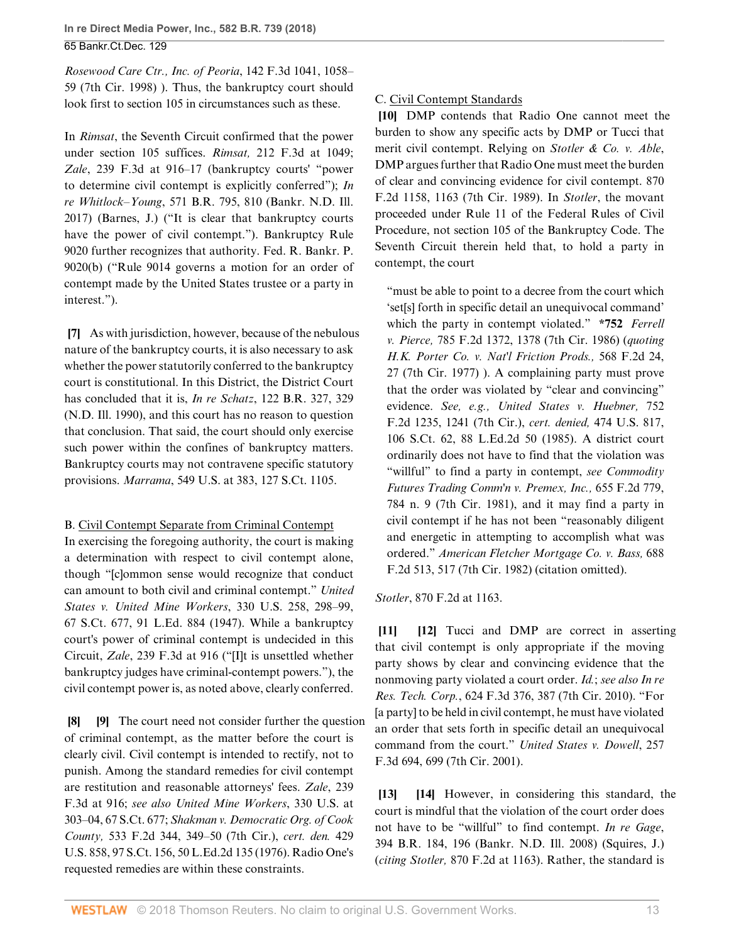*[Rosewood Care Ctr., Inc. of Peoria](http://www.westlaw.com/Link/Document/FullText?findType=Y&serNum=1998098738&pubNum=0000506&originatingDoc=I0f6505e036cb11e8a70fc9d8a0b2aef5&refType=RP&fi=co_pp_sp_506_1058&originationContext=document&vr=3.0&rs=cblt1.0&transitionType=DocumentItem&contextData=(sc.PubAlert)#co_pp_sp_506_1058)*, 142 F.3d 1041, 1058– [59 \(7th Cir. 1998\)](http://www.westlaw.com/Link/Document/FullText?findType=Y&serNum=1998098738&pubNum=0000506&originatingDoc=I0f6505e036cb11e8a70fc9d8a0b2aef5&refType=RP&fi=co_pp_sp_506_1058&originationContext=document&vr=3.0&rs=cblt1.0&transitionType=DocumentItem&contextData=(sc.PubAlert)#co_pp_sp_506_1058) ). Thus, the bankruptcy court should look first to [section 105](http://www.westlaw.com/Link/Document/FullText?findType=L&pubNum=1000546&cite=11USCAS105&originatingDoc=I0f6505e036cb11e8a70fc9d8a0b2aef5&refType=LQ&originationContext=document&vr=3.0&rs=cblt1.0&transitionType=DocumentItem&contextData=(sc.PubAlert)) in circumstances such as these.

In *[Rimsat](http://www.westlaw.com/Link/Document/FullText?findType=Y&serNum=2000357200&pubNum=0000506&originatingDoc=I0f6505e036cb11e8a70fc9d8a0b2aef5&refType=RP&originationContext=document&vr=3.0&rs=cblt1.0&transitionType=DocumentItem&contextData=(sc.PubAlert))*, the Seventh Circuit confirmed that the power under [section 105](http://www.westlaw.com/Link/Document/FullText?findType=L&pubNum=1000546&cite=11USCAS105&originatingDoc=I0f6505e036cb11e8a70fc9d8a0b2aef5&refType=LQ&originationContext=document&vr=3.0&rs=cblt1.0&transitionType=DocumentItem&contextData=(sc.PubAlert)) suffices. *Rimsat,* [212 F.3d at 1049](http://www.westlaw.com/Link/Document/FullText?findType=Y&serNum=2000357200&pubNum=0000506&originatingDoc=I0f6505e036cb11e8a70fc9d8a0b2aef5&refType=RP&fi=co_pp_sp_506_1049&originationContext=document&vr=3.0&rs=cblt1.0&transitionType=DocumentItem&contextData=(sc.PubAlert)#co_pp_sp_506_1049); *Zale*[, 239 F.3d at 916–17](http://www.westlaw.com/Link/Document/FullText?findType=Y&serNum=2001139518&pubNum=0000506&originatingDoc=I0f6505e036cb11e8a70fc9d8a0b2aef5&refType=RP&fi=co_pp_sp_506_916&originationContext=document&vr=3.0&rs=cblt1.0&transitionType=DocumentItem&contextData=(sc.PubAlert)#co_pp_sp_506_916) (bankruptcy courts' "power to determine civil contempt is explicitly conferred"); *[In](http://www.westlaw.com/Link/Document/FullText?findType=Y&serNum=2042334662&pubNum=0000164&originatingDoc=I0f6505e036cb11e8a70fc9d8a0b2aef5&refType=RP&fi=co_pp_sp_164_810&originationContext=document&vr=3.0&rs=cblt1.0&transitionType=DocumentItem&contextData=(sc.PubAlert)#co_pp_sp_164_810) re Whitlock–Young*[, 571 B.R. 795, 810 \(Bankr. N.D. Ill.](http://www.westlaw.com/Link/Document/FullText?findType=Y&serNum=2042334662&pubNum=0000164&originatingDoc=I0f6505e036cb11e8a70fc9d8a0b2aef5&refType=RP&fi=co_pp_sp_164_810&originationContext=document&vr=3.0&rs=cblt1.0&transitionType=DocumentItem&contextData=(sc.PubAlert)#co_pp_sp_164_810) [2017\)](http://www.westlaw.com/Link/Document/FullText?findType=Y&serNum=2042334662&pubNum=0000164&originatingDoc=I0f6505e036cb11e8a70fc9d8a0b2aef5&refType=RP&fi=co_pp_sp_164_810&originationContext=document&vr=3.0&rs=cblt1.0&transitionType=DocumentItem&contextData=(sc.PubAlert)#co_pp_sp_164_810) (Barnes, J.) ("It is clear that bankruptcy courts have the power of civil contempt."). Bankruptcy Rule 9020 further recognizes that authority. [Fed. R. Bankr. P.](http://www.westlaw.com/Link/Document/FullText?findType=L&pubNum=1000611&cite=USFRBPR9020&originatingDoc=I0f6505e036cb11e8a70fc9d8a0b2aef5&refType=LQ&originationContext=document&vr=3.0&rs=cblt1.0&transitionType=DocumentItem&contextData=(sc.PubAlert)) [9020\(b\)](http://www.westlaw.com/Link/Document/FullText?findType=L&pubNum=1000611&cite=USFRBPR9020&originatingDoc=I0f6505e036cb11e8a70fc9d8a0b2aef5&refType=LQ&originationContext=document&vr=3.0&rs=cblt1.0&transitionType=DocumentItem&contextData=(sc.PubAlert)) ("Rule 9014 governs a motion for an order of contempt made by the United States trustee or a party in interest.").

<span id="page-12-0"></span>**[\[7](#page-1-2)]** As with jurisdiction, however, because of the nebulous nature of the bankruptcy courts, it is also necessary to ask whether the power statutorily conferred to the bankruptcy court is constitutional. In this District, the District Court has concluded that it is, *In re Schatz*[, 122 B.R. 327, 329](http://www.westlaw.com/Link/Document/FullText?findType=Y&serNum=1991015721&pubNum=0000164&originatingDoc=I0f6505e036cb11e8a70fc9d8a0b2aef5&refType=RP&fi=co_pp_sp_164_329&originationContext=document&vr=3.0&rs=cblt1.0&transitionType=DocumentItem&contextData=(sc.PubAlert)#co_pp_sp_164_329) [\(N.D. Ill. 1990\),](http://www.westlaw.com/Link/Document/FullText?findType=Y&serNum=1991015721&pubNum=0000164&originatingDoc=I0f6505e036cb11e8a70fc9d8a0b2aef5&refType=RP&fi=co_pp_sp_164_329&originationContext=document&vr=3.0&rs=cblt1.0&transitionType=DocumentItem&contextData=(sc.PubAlert)#co_pp_sp_164_329) and this court has no reason to question that conclusion. That said, the court should only exercise such power within the confines of bankruptcy matters. Bankruptcy courts may not contravene specific statutory provisions. *Marrama*[, 549 U.S. at 383, 127 S.Ct. 1105](http://www.westlaw.com/Link/Document/FullText?findType=Y&serNum=2011495411&pubNum=0000708&originatingDoc=I0f6505e036cb11e8a70fc9d8a0b2aef5&refType=RP&originationContext=document&vr=3.0&rs=cblt1.0&transitionType=DocumentItem&contextData=(sc.PubAlert)).

## B. Civil Contempt Separate from Criminal Contempt

In exercising the foregoing authority, the court is making a determination with respect to civil contempt alone, though "[c]ommon sense would recognize that conduct can amount to both civil and criminal contempt." *[United](http://www.westlaw.com/Link/Document/FullText?findType=Y&serNum=1947117424&pubNum=0000708&originatingDoc=I0f6505e036cb11e8a70fc9d8a0b2aef5&refType=RP&originationContext=document&vr=3.0&rs=cblt1.0&transitionType=DocumentItem&contextData=(sc.PubAlert)) [States v. United Mine Workers](http://www.westlaw.com/Link/Document/FullText?findType=Y&serNum=1947117424&pubNum=0000708&originatingDoc=I0f6505e036cb11e8a70fc9d8a0b2aef5&refType=RP&originationContext=document&vr=3.0&rs=cblt1.0&transitionType=DocumentItem&contextData=(sc.PubAlert))*, 330 U.S. 258, 298–99, [67 S.Ct. 677, 91 L.Ed. 884 \(1947\).](http://www.westlaw.com/Link/Document/FullText?findType=Y&serNum=1947117424&pubNum=0000708&originatingDoc=I0f6505e036cb11e8a70fc9d8a0b2aef5&refType=RP&originationContext=document&vr=3.0&rs=cblt1.0&transitionType=DocumentItem&contextData=(sc.PubAlert)) While a bankruptcy court's power of criminal contempt is undecided in this Circuit, *Zale*[, 239 F.3d at 916](http://www.westlaw.com/Link/Document/FullText?findType=Y&serNum=2001139518&pubNum=0000506&originatingDoc=I0f6505e036cb11e8a70fc9d8a0b2aef5&refType=RP&fi=co_pp_sp_506_916&originationContext=document&vr=3.0&rs=cblt1.0&transitionType=DocumentItem&contextData=(sc.PubAlert)#co_pp_sp_506_916) ("[I]t is unsettled whether bankruptcy judges have criminal-contempt powers."), the civil contempt power is, as noted above, clearly conferred.

<span id="page-12-2"></span><span id="page-12-1"></span>**[\[8](#page-1-3)] [\[9\]](#page-1-4)** The court need not consider further the question of criminal contempt, as the matter before the court is clearly civil. Civil contempt is intended to rectify, not to punish. Among the standard remedies for civil contempt are restitution and reasonable attorneys' fees. *Zale*[, 239](http://www.westlaw.com/Link/Document/FullText?findType=Y&serNum=2001139518&pubNum=0000506&originatingDoc=I0f6505e036cb11e8a70fc9d8a0b2aef5&refType=RP&fi=co_pp_sp_506_916&originationContext=document&vr=3.0&rs=cblt1.0&transitionType=DocumentItem&contextData=(sc.PubAlert)#co_pp_sp_506_916) [F.3d at 916;](http://www.westlaw.com/Link/Document/FullText?findType=Y&serNum=2001139518&pubNum=0000506&originatingDoc=I0f6505e036cb11e8a70fc9d8a0b2aef5&refType=RP&fi=co_pp_sp_506_916&originationContext=document&vr=3.0&rs=cblt1.0&transitionType=DocumentItem&contextData=(sc.PubAlert)#co_pp_sp_506_916) *see also [United Mine Workers](http://www.westlaw.com/Link/Document/FullText?findType=Y&serNum=1947117424&pubNum=0000708&originatingDoc=I0f6505e036cb11e8a70fc9d8a0b2aef5&refType=RP&originationContext=document&vr=3.0&rs=cblt1.0&transitionType=DocumentItem&contextData=(sc.PubAlert))*, 330 U.S. at [303–04, 67 S.Ct. 677;](http://www.westlaw.com/Link/Document/FullText?findType=Y&serNum=1947117424&pubNum=0000708&originatingDoc=I0f6505e036cb11e8a70fc9d8a0b2aef5&refType=RP&originationContext=document&vr=3.0&rs=cblt1.0&transitionType=DocumentItem&contextData=(sc.PubAlert)) *[Shakman v. Democratic Org. of Cook](http://www.westlaw.com/Link/Document/FullText?findType=Y&serNum=1976145904&pubNum=0000350&originatingDoc=I0f6505e036cb11e8a70fc9d8a0b2aef5&refType=RP&fi=co_pp_sp_350_349&originationContext=document&vr=3.0&rs=cblt1.0&transitionType=DocumentItem&contextData=(sc.PubAlert)#co_pp_sp_350_349) County,* [533 F.2d 344, 349–50 \(7th Cir.\)](http://www.westlaw.com/Link/Document/FullText?findType=Y&serNum=1976145904&pubNum=0000350&originatingDoc=I0f6505e036cb11e8a70fc9d8a0b2aef5&refType=RP&fi=co_pp_sp_350_349&originationContext=document&vr=3.0&rs=cblt1.0&transitionType=DocumentItem&contextData=(sc.PubAlert)#co_pp_sp_350_349), *cert. den.* [429](http://www.westlaw.com/Link/Document/FullText?findType=Y&serNum=1976212716&pubNum=0000708&originatingDoc=I0f6505e036cb11e8a70fc9d8a0b2aef5&refType=RP&originationContext=document&vr=3.0&rs=cblt1.0&transitionType=DocumentItem&contextData=(sc.PubAlert)) [U.S. 858, 97 S.Ct. 156, 50 L.Ed.2d 135 \(1976\).](http://www.westlaw.com/Link/Document/FullText?findType=Y&serNum=1976212716&pubNum=0000708&originatingDoc=I0f6505e036cb11e8a70fc9d8a0b2aef5&refType=RP&originationContext=document&vr=3.0&rs=cblt1.0&transitionType=DocumentItem&contextData=(sc.PubAlert)) Radio One's requested remedies are within these constraints.

## C. Civil Contempt Standards

<span id="page-12-3"></span>**[\[10](#page-2-0)]** DMP contends that Radio One cannot meet the burden to show any specific acts by DMP or Tucci that merit civil contempt. Relying on *[Stotler & Co. v. Able](http://www.westlaw.com/Link/Document/FullText?findType=Y&serNum=1989044575&pubNum=0000350&originatingDoc=I0f6505e036cb11e8a70fc9d8a0b2aef5&refType=RP&originationContext=document&vr=3.0&rs=cblt1.0&transitionType=DocumentItem&contextData=(sc.PubAlert))*, DMP argues further that Radio One must meet the burden of clear and convincing evidence for civil contempt. [870](http://www.westlaw.com/Link/Document/FullText?findType=Y&serNum=1989044575&pubNum=0000350&originatingDoc=I0f6505e036cb11e8a70fc9d8a0b2aef5&refType=RP&fi=co_pp_sp_350_1163&originationContext=document&vr=3.0&rs=cblt1.0&transitionType=DocumentItem&contextData=(sc.PubAlert)#co_pp_sp_350_1163) [F.2d 1158, 1163 \(7th Cir. 1989\).](http://www.westlaw.com/Link/Document/FullText?findType=Y&serNum=1989044575&pubNum=0000350&originatingDoc=I0f6505e036cb11e8a70fc9d8a0b2aef5&refType=RP&fi=co_pp_sp_350_1163&originationContext=document&vr=3.0&rs=cblt1.0&transitionType=DocumentItem&contextData=(sc.PubAlert)#co_pp_sp_350_1163) In *[Stotler](http://www.westlaw.com/Link/Document/FullText?findType=Y&serNum=1989044575&pubNum=0000350&originatingDoc=I0f6505e036cb11e8a70fc9d8a0b2aef5&refType=RP&originationContext=document&vr=3.0&rs=cblt1.0&transitionType=DocumentItem&contextData=(sc.PubAlert))*, the movant proceeded under [Rule 11 of the Federal Rules of Civil](http://www.westlaw.com/Link/Document/FullText?findType=L&pubNum=1000600&cite=USFRCPR11&originatingDoc=I0f6505e036cb11e8a70fc9d8a0b2aef5&refType=LQ&originationContext=document&vr=3.0&rs=cblt1.0&transitionType=DocumentItem&contextData=(sc.PubAlert)) [Procedure](http://www.westlaw.com/Link/Document/FullText?findType=L&pubNum=1000600&cite=USFRCPR11&originatingDoc=I0f6505e036cb11e8a70fc9d8a0b2aef5&refType=LQ&originationContext=document&vr=3.0&rs=cblt1.0&transitionType=DocumentItem&contextData=(sc.PubAlert)), not [section 105 of the Bankruptcy Code.](http://www.westlaw.com/Link/Document/FullText?findType=L&pubNum=1000611&cite=11USCAS105&originatingDoc=I0f6505e036cb11e8a70fc9d8a0b2aef5&refType=LQ&originationContext=document&vr=3.0&rs=cblt1.0&transitionType=DocumentItem&contextData=(sc.PubAlert)) The Seventh Circuit therein held that, to hold a party in contempt, the court

"must be able to point to a decree from the court which 'set[s] forth in specific detail an unequivocal command' which the party in contempt violated." **\*752** *[Ferrell](http://www.westlaw.com/Link/Document/FullText?findType=Y&serNum=1986114749&pubNum=0000350&originatingDoc=I0f6505e036cb11e8a70fc9d8a0b2aef5&refType=RP&fi=co_pp_sp_350_1378&originationContext=document&vr=3.0&rs=cblt1.0&transitionType=DocumentItem&contextData=(sc.PubAlert)#co_pp_sp_350_1378) v. Pierce,* [785 F.2d 1372, 1378 \(7th Cir. 1986\)](http://www.westlaw.com/Link/Document/FullText?findType=Y&serNum=1986114749&pubNum=0000350&originatingDoc=I0f6505e036cb11e8a70fc9d8a0b2aef5&refType=RP&fi=co_pp_sp_350_1378&originationContext=document&vr=3.0&rs=cblt1.0&transitionType=DocumentItem&contextData=(sc.PubAlert)#co_pp_sp_350_1378) (*quoting [H.K. Porter Co. v. Nat'l Friction Prods.,](http://www.westlaw.com/Link/Document/FullText?findType=Y&serNum=1977124865&pubNum=0000350&originatingDoc=I0f6505e036cb11e8a70fc9d8a0b2aef5&refType=RP&fi=co_pp_sp_350_27&originationContext=document&vr=3.0&rs=cblt1.0&transitionType=DocumentItem&contextData=(sc.PubAlert)#co_pp_sp_350_27)* 568 F.2d 24, [27 \(7th Cir. 1977\)](http://www.westlaw.com/Link/Document/FullText?findType=Y&serNum=1977124865&pubNum=0000350&originatingDoc=I0f6505e036cb11e8a70fc9d8a0b2aef5&refType=RP&fi=co_pp_sp_350_27&originationContext=document&vr=3.0&rs=cblt1.0&transitionType=DocumentItem&contextData=(sc.PubAlert)#co_pp_sp_350_27) ). A complaining party must prove that the order was violated by "clear and convincing" evidence. *See, e.g., [United States v. Huebner,](http://www.westlaw.com/Link/Document/FullText?findType=Y&serNum=1985102894&pubNum=0000350&originatingDoc=I0f6505e036cb11e8a70fc9d8a0b2aef5&refType=RP&fi=co_pp_sp_350_1241&originationContext=document&vr=3.0&rs=cblt1.0&transitionType=DocumentItem&contextData=(sc.PubAlert)#co_pp_sp_350_1241)* 752 [F.2d 1235, 1241 \(7th Cir.\)](http://www.westlaw.com/Link/Document/FullText?findType=Y&serNum=1985102894&pubNum=0000350&originatingDoc=I0f6505e036cb11e8a70fc9d8a0b2aef5&refType=RP&fi=co_pp_sp_350_1241&originationContext=document&vr=3.0&rs=cblt1.0&transitionType=DocumentItem&contextData=(sc.PubAlert)#co_pp_sp_350_1241), *cert. denied,* [474 U.S. 817,](http://www.westlaw.com/Link/Document/FullText?findType=Y&serNum=1985249438&pubNum=0000708&originatingDoc=I0f6505e036cb11e8a70fc9d8a0b2aef5&refType=RP&originationContext=document&vr=3.0&rs=cblt1.0&transitionType=DocumentItem&contextData=(sc.PubAlert)) [106 S.Ct. 62, 88 L.Ed.2d 50 \(1985\)](http://www.westlaw.com/Link/Document/FullText?findType=Y&serNum=1985249438&pubNum=0000708&originatingDoc=I0f6505e036cb11e8a70fc9d8a0b2aef5&refType=RP&originationContext=document&vr=3.0&rs=cblt1.0&transitionType=DocumentItem&contextData=(sc.PubAlert)). A district court ordinarily does not have to find that the violation was "willful" to find a party in contempt, *see [Commodity](http://www.westlaw.com/Link/Document/FullText?findType=Y&serNum=1981133095&pubNum=0000350&originatingDoc=I0f6505e036cb11e8a70fc9d8a0b2aef5&refType=RP&fi=co_pp_sp_350_784&originationContext=document&vr=3.0&rs=cblt1.0&transitionType=DocumentItem&contextData=(sc.PubAlert)#co_pp_sp_350_784) [Futures Trading Comm'n v. Premex, Inc.,](http://www.westlaw.com/Link/Document/FullText?findType=Y&serNum=1981133095&pubNum=0000350&originatingDoc=I0f6505e036cb11e8a70fc9d8a0b2aef5&refType=RP&fi=co_pp_sp_350_784&originationContext=document&vr=3.0&rs=cblt1.0&transitionType=DocumentItem&contextData=(sc.PubAlert)#co_pp_sp_350_784)* 655 F.2d 779, [784 n. 9 \(7th Cir. 1981\),](http://www.westlaw.com/Link/Document/FullText?findType=Y&serNum=1981133095&pubNum=0000350&originatingDoc=I0f6505e036cb11e8a70fc9d8a0b2aef5&refType=RP&fi=co_pp_sp_350_784&originationContext=document&vr=3.0&rs=cblt1.0&transitionType=DocumentItem&contextData=(sc.PubAlert)#co_pp_sp_350_784) and it may find a party in civil contempt if he has not been "reasonably diligent and energetic in attempting to accomplish what was ordered." *[American Fletcher Mortgage Co. v. Bass,](http://www.westlaw.com/Link/Document/FullText?findType=Y&serNum=1982140541&pubNum=0000350&originatingDoc=I0f6505e036cb11e8a70fc9d8a0b2aef5&refType=RP&fi=co_pp_sp_350_517&originationContext=document&vr=3.0&rs=cblt1.0&transitionType=DocumentItem&contextData=(sc.PubAlert)#co_pp_sp_350_517)* 688 [F.2d 513, 517 \(7th Cir. 1982\)](http://www.westlaw.com/Link/Document/FullText?findType=Y&serNum=1982140541&pubNum=0000350&originatingDoc=I0f6505e036cb11e8a70fc9d8a0b2aef5&refType=RP&fi=co_pp_sp_350_517&originationContext=document&vr=3.0&rs=cblt1.0&transitionType=DocumentItem&contextData=(sc.PubAlert)#co_pp_sp_350_517) (citation omitted).

*Stotler*[, 870 F.2d at 1163.](http://www.westlaw.com/Link/Document/FullText?findType=Y&serNum=1989044575&pubNum=0000350&originatingDoc=I0f6505e036cb11e8a70fc9d8a0b2aef5&refType=RP&fi=co_pp_sp_350_1163&originationContext=document&vr=3.0&rs=cblt1.0&transitionType=DocumentItem&contextData=(sc.PubAlert)#co_pp_sp_350_1163)

<span id="page-12-5"></span><span id="page-12-4"></span>**[\[11](#page-2-1)] [\[12\]](#page-2-2)** Tucci and DMP are correct in asserting that civil contempt is only appropriate if the moving party shows by clear and convincing evidence that the nonmoving party violated a court order. *[Id.](http://www.westlaw.com/Link/Document/FullText?findType=Y&serNum=1989044575&pubNum=0000350&originatingDoc=I0f6505e036cb11e8a70fc9d8a0b2aef5&refType=RP&originationContext=document&vr=3.0&rs=cblt1.0&transitionType=DocumentItem&contextData=(sc.PubAlert))*; *see also [In re](http://www.westlaw.com/Link/Document/FullText?findType=Y&serNum=2023213475&pubNum=0000506&originatingDoc=I0f6505e036cb11e8a70fc9d8a0b2aef5&refType=RP&fi=co_pp_sp_506_387&originationContext=document&vr=3.0&rs=cblt1.0&transitionType=DocumentItem&contextData=(sc.PubAlert)#co_pp_sp_506_387) Res. Tech. Corp.*[, 624 F.3d 376, 387 \(7th Cir. 2010\).](http://www.westlaw.com/Link/Document/FullText?findType=Y&serNum=2023213475&pubNum=0000506&originatingDoc=I0f6505e036cb11e8a70fc9d8a0b2aef5&refType=RP&fi=co_pp_sp_506_387&originationContext=document&vr=3.0&rs=cblt1.0&transitionType=DocumentItem&contextData=(sc.PubAlert)#co_pp_sp_506_387) "For [a party] to be held in civil contempt, he must have violated an order that sets forth in specific detail an unequivocal command from the court." *[United States v. Dowell](http://www.westlaw.com/Link/Document/FullText?findType=Y&serNum=2001601998&pubNum=0000506&originatingDoc=I0f6505e036cb11e8a70fc9d8a0b2aef5&refType=RP&fi=co_pp_sp_506_699&originationContext=document&vr=3.0&rs=cblt1.0&transitionType=DocumentItem&contextData=(sc.PubAlert)#co_pp_sp_506_699)*, 257 [F.3d 694, 699 \(7th Cir. 2001\)](http://www.westlaw.com/Link/Document/FullText?findType=Y&serNum=2001601998&pubNum=0000506&originatingDoc=I0f6505e036cb11e8a70fc9d8a0b2aef5&refType=RP&fi=co_pp_sp_506_699&originationContext=document&vr=3.0&rs=cblt1.0&transitionType=DocumentItem&contextData=(sc.PubAlert)#co_pp_sp_506_699).

<span id="page-12-7"></span><span id="page-12-6"></span>**[\[13](#page-2-3)] [\[14](#page-2-4)]** However, in considering this standard, the court is mindful that the violation of the court order does not have to be "willful" to find contempt. *[In re Gage](http://www.westlaw.com/Link/Document/FullText?findType=Y&serNum=2016997088&pubNum=0000164&originatingDoc=I0f6505e036cb11e8a70fc9d8a0b2aef5&refType=RP&fi=co_pp_sp_164_196&originationContext=document&vr=3.0&rs=cblt1.0&transitionType=DocumentItem&contextData=(sc.PubAlert)#co_pp_sp_164_196)*, [394 B.R. 184, 196 \(Bankr. N.D. Ill. 2008\)](http://www.westlaw.com/Link/Document/FullText?findType=Y&serNum=2016997088&pubNum=0000164&originatingDoc=I0f6505e036cb11e8a70fc9d8a0b2aef5&refType=RP&fi=co_pp_sp_164_196&originationContext=document&vr=3.0&rs=cblt1.0&transitionType=DocumentItem&contextData=(sc.PubAlert)#co_pp_sp_164_196) (Squires, J.) (*citing Stotler,* [870 F.2d at 1163\)](http://www.westlaw.com/Link/Document/FullText?findType=Y&serNum=1989044575&pubNum=0000350&originatingDoc=I0f6505e036cb11e8a70fc9d8a0b2aef5&refType=RP&fi=co_pp_sp_350_1163&originationContext=document&vr=3.0&rs=cblt1.0&transitionType=DocumentItem&contextData=(sc.PubAlert)#co_pp_sp_350_1163). Rather, the standard is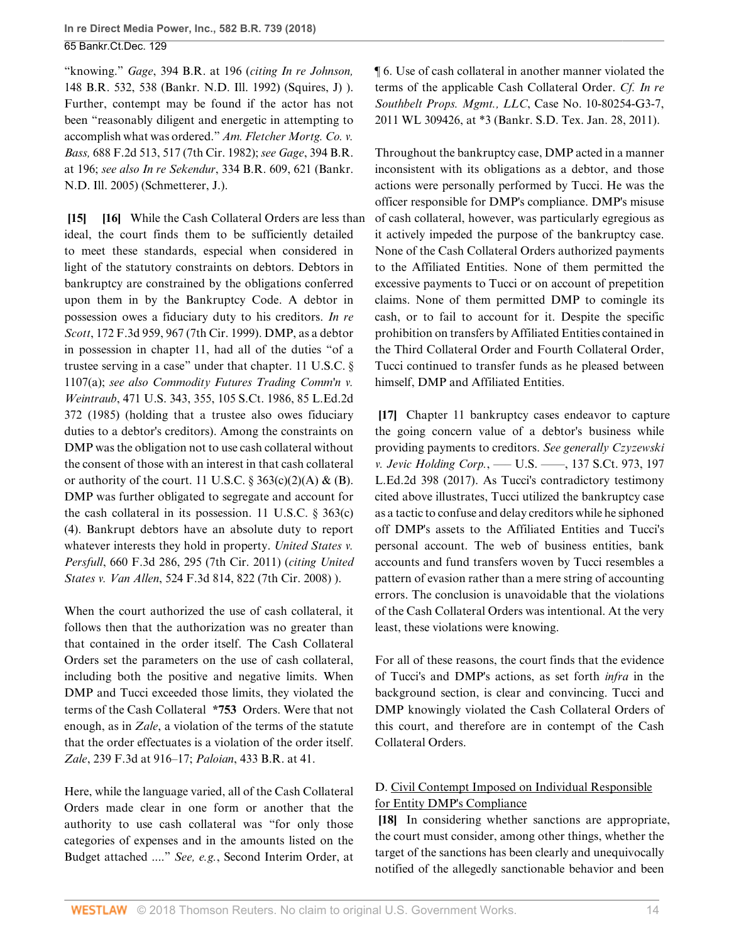"knowing." *Gage*[, 394 B.R. at 196](http://www.westlaw.com/Link/Document/FullText?findType=Y&serNum=2016997088&pubNum=0000164&originatingDoc=I0f6505e036cb11e8a70fc9d8a0b2aef5&refType=RP&fi=co_pp_sp_164_196&originationContext=document&vr=3.0&rs=cblt1.0&transitionType=DocumentItem&contextData=(sc.PubAlert)#co_pp_sp_164_196) (*citing [In re Johnson,](http://www.westlaw.com/Link/Document/FullText?findType=Y&serNum=1993018304&pubNum=0000164&originatingDoc=I0f6505e036cb11e8a70fc9d8a0b2aef5&refType=RP&fi=co_pp_sp_164_538&originationContext=document&vr=3.0&rs=cblt1.0&transitionType=DocumentItem&contextData=(sc.PubAlert)#co_pp_sp_164_538)* [148 B.R. 532, 538 \(Bankr. N.D. Ill. 1992\)](http://www.westlaw.com/Link/Document/FullText?findType=Y&serNum=1993018304&pubNum=0000164&originatingDoc=I0f6505e036cb11e8a70fc9d8a0b2aef5&refType=RP&fi=co_pp_sp_164_538&originationContext=document&vr=3.0&rs=cblt1.0&transitionType=DocumentItem&contextData=(sc.PubAlert)#co_pp_sp_164_538) (Squires, J) ). Further, contempt may be found if the actor has not been "reasonably diligent and energetic in attempting to accomplish what was ordered." *[Am. Fletcher Mortg. Co. v.](http://www.westlaw.com/Link/Document/FullText?findType=Y&serNum=1982140541&pubNum=0000350&originatingDoc=I0f6505e036cb11e8a70fc9d8a0b2aef5&refType=RP&fi=co_pp_sp_350_517&originationContext=document&vr=3.0&rs=cblt1.0&transitionType=DocumentItem&contextData=(sc.PubAlert)#co_pp_sp_350_517) Bass,* [688 F.2d 513, 517 \(7th Cir. 1982\);](http://www.westlaw.com/Link/Document/FullText?findType=Y&serNum=1982140541&pubNum=0000350&originatingDoc=I0f6505e036cb11e8a70fc9d8a0b2aef5&refType=RP&fi=co_pp_sp_350_517&originationContext=document&vr=3.0&rs=cblt1.0&transitionType=DocumentItem&contextData=(sc.PubAlert)#co_pp_sp_350_517) *see Gage*[, 394 B.R.](http://www.westlaw.com/Link/Document/FullText?findType=Y&serNum=2016997088&pubNum=0000164&originatingDoc=I0f6505e036cb11e8a70fc9d8a0b2aef5&refType=RP&fi=co_pp_sp_164_196&originationContext=document&vr=3.0&rs=cblt1.0&transitionType=DocumentItem&contextData=(sc.PubAlert)#co_pp_sp_164_196) [at 196;](http://www.westlaw.com/Link/Document/FullText?findType=Y&serNum=2016997088&pubNum=0000164&originatingDoc=I0f6505e036cb11e8a70fc9d8a0b2aef5&refType=RP&fi=co_pp_sp_164_196&originationContext=document&vr=3.0&rs=cblt1.0&transitionType=DocumentItem&contextData=(sc.PubAlert)#co_pp_sp_164_196) *see also In re Sekendur*[, 334 B.R. 609, 621 \(Bankr.](http://www.westlaw.com/Link/Document/FullText?findType=Y&serNum=2007903048&pubNum=0000164&originatingDoc=I0f6505e036cb11e8a70fc9d8a0b2aef5&refType=RP&fi=co_pp_sp_164_621&originationContext=document&vr=3.0&rs=cblt1.0&transitionType=DocumentItem&contextData=(sc.PubAlert)#co_pp_sp_164_621) [N.D. Ill. 2005\)](http://www.westlaw.com/Link/Document/FullText?findType=Y&serNum=2007903048&pubNum=0000164&originatingDoc=I0f6505e036cb11e8a70fc9d8a0b2aef5&refType=RP&fi=co_pp_sp_164_621&originationContext=document&vr=3.0&rs=cblt1.0&transitionType=DocumentItem&contextData=(sc.PubAlert)#co_pp_sp_164_621) (Schmetterer, J.).

<span id="page-13-1"></span><span id="page-13-0"></span>**[\[15](#page-3-0)] [\[16](#page-3-1)]** While the Cash Collateral Orders are less than ideal, the court finds them to be sufficiently detailed to meet these standards, especial when considered in light of the statutory constraints on debtors. Debtors in bankruptcy are constrained by the obligations conferred upon them in by the Bankruptcy Code. A debtor in possession owes a fiduciary duty to his creditors. *[In re](http://www.westlaw.com/Link/Document/FullText?findType=Y&serNum=1999088904&pubNum=0000506&originatingDoc=I0f6505e036cb11e8a70fc9d8a0b2aef5&refType=RP&fi=co_pp_sp_506_967&originationContext=document&vr=3.0&rs=cblt1.0&transitionType=DocumentItem&contextData=(sc.PubAlert)#co_pp_sp_506_967) Scott*[, 172 F.3d 959, 967 \(7th Cir. 1999\)](http://www.westlaw.com/Link/Document/FullText?findType=Y&serNum=1999088904&pubNum=0000506&originatingDoc=I0f6505e036cb11e8a70fc9d8a0b2aef5&refType=RP&fi=co_pp_sp_506_967&originationContext=document&vr=3.0&rs=cblt1.0&transitionType=DocumentItem&contextData=(sc.PubAlert)#co_pp_sp_506_967). DMP, as a debtor in possession in chapter 11, had all of the duties "of a trustee serving in a case" under that chapter. [11 U.S.C. §](http://www.westlaw.com/Link/Document/FullText?findType=L&pubNum=1000546&cite=11USCAS1107&originatingDoc=I0f6505e036cb11e8a70fc9d8a0b2aef5&refType=SP&originationContext=document&vr=3.0&rs=cblt1.0&transitionType=DocumentItem&contextData=(sc.PubAlert)#co_pp_8b3b0000958a4) [1107\(a\);](http://www.westlaw.com/Link/Document/FullText?findType=L&pubNum=1000546&cite=11USCAS1107&originatingDoc=I0f6505e036cb11e8a70fc9d8a0b2aef5&refType=SP&originationContext=document&vr=3.0&rs=cblt1.0&transitionType=DocumentItem&contextData=(sc.PubAlert)#co_pp_8b3b0000958a4) *see also [Commodity Futures Trading Comm'n v.](http://www.westlaw.com/Link/Document/FullText?findType=Y&serNum=1985121788&pubNum=0000708&originatingDoc=I0f6505e036cb11e8a70fc9d8a0b2aef5&refType=RP&originationContext=document&vr=3.0&rs=cblt1.0&transitionType=DocumentItem&contextData=(sc.PubAlert)) Weintraub*[, 471 U.S. 343, 355, 105 S.Ct. 1986, 85 L.Ed.2d](http://www.westlaw.com/Link/Document/FullText?findType=Y&serNum=1985121788&pubNum=0000708&originatingDoc=I0f6505e036cb11e8a70fc9d8a0b2aef5&refType=RP&originationContext=document&vr=3.0&rs=cblt1.0&transitionType=DocumentItem&contextData=(sc.PubAlert)) [372 \(1985\)](http://www.westlaw.com/Link/Document/FullText?findType=Y&serNum=1985121788&pubNum=0000708&originatingDoc=I0f6505e036cb11e8a70fc9d8a0b2aef5&refType=RP&originationContext=document&vr=3.0&rs=cblt1.0&transitionType=DocumentItem&contextData=(sc.PubAlert)) (holding that a trustee also owes fiduciary duties to a debtor's creditors). Among the constraints on DMP was the obligation not to use cash collateral without the consent of those with an interest in that cash collateral or authority of the court. 11 U.S.C.  $\S 363(c)(2)(A) \& (B)$ . DMP was further obligated to segregate and account for the cash collateral in its possession. [11 U.S.C. § 363\(c\)](http://www.westlaw.com/Link/Document/FullText?findType=L&pubNum=1000546&cite=11USCAS363&originatingDoc=I0f6505e036cb11e8a70fc9d8a0b2aef5&refType=SP&originationContext=document&vr=3.0&rs=cblt1.0&transitionType=DocumentItem&contextData=(sc.PubAlert)#co_pp_0c120000563a1) [\(4\).](http://www.westlaw.com/Link/Document/FullText?findType=L&pubNum=1000546&cite=11USCAS363&originatingDoc=I0f6505e036cb11e8a70fc9d8a0b2aef5&refType=SP&originationContext=document&vr=3.0&rs=cblt1.0&transitionType=DocumentItem&contextData=(sc.PubAlert)#co_pp_0c120000563a1) Bankrupt debtors have an absolute duty to report whatever interests they hold in property. *[United States v.](http://www.westlaw.com/Link/Document/FullText?findType=Y&serNum=2026286306&pubNum=0000506&originatingDoc=I0f6505e036cb11e8a70fc9d8a0b2aef5&refType=RP&fi=co_pp_sp_506_295&originationContext=document&vr=3.0&rs=cblt1.0&transitionType=DocumentItem&contextData=(sc.PubAlert)#co_pp_sp_506_295) Persfull*[, 660 F.3d 286, 295 \(7th Cir. 2011\)](http://www.westlaw.com/Link/Document/FullText?findType=Y&serNum=2026286306&pubNum=0000506&originatingDoc=I0f6505e036cb11e8a70fc9d8a0b2aef5&refType=RP&fi=co_pp_sp_506_295&originationContext=document&vr=3.0&rs=cblt1.0&transitionType=DocumentItem&contextData=(sc.PubAlert)#co_pp_sp_506_295) (*citing [United](http://www.westlaw.com/Link/Document/FullText?findType=Y&serNum=2015904685&pubNum=0000506&originatingDoc=I0f6505e036cb11e8a70fc9d8a0b2aef5&refType=RP&fi=co_pp_sp_506_822&originationContext=document&vr=3.0&rs=cblt1.0&transitionType=DocumentItem&contextData=(sc.PubAlert)#co_pp_sp_506_822) States v. Van Allen*[, 524 F.3d 814, 822 \(7th Cir. 2008\)](http://www.westlaw.com/Link/Document/FullText?findType=Y&serNum=2015904685&pubNum=0000506&originatingDoc=I0f6505e036cb11e8a70fc9d8a0b2aef5&refType=RP&fi=co_pp_sp_506_822&originationContext=document&vr=3.0&rs=cblt1.0&transitionType=DocumentItem&contextData=(sc.PubAlert)#co_pp_sp_506_822) ).

When the court authorized the use of cash collateral, it follows then that the authorization was no greater than that contained in the order itself. The Cash Collateral Orders set the parameters on the use of cash collateral, including both the positive and negative limits. When DMP and Tucci exceeded those limits, they violated the terms of the Cash Collateral **\*753** Orders. Were that not enough, as in *[Zale](http://www.westlaw.com/Link/Document/FullText?findType=Y&serNum=2001139518&pubNum=0000506&originatingDoc=I0f6505e036cb11e8a70fc9d8a0b2aef5&refType=RP&originationContext=document&vr=3.0&rs=cblt1.0&transitionType=DocumentItem&contextData=(sc.PubAlert))*, a violation of the terms of the statute that the order effectuates is a violation of the order itself. *Zale*[, 239 F.3d at 916–17](http://www.westlaw.com/Link/Document/FullText?findType=Y&serNum=2001139518&pubNum=0000506&originatingDoc=I0f6505e036cb11e8a70fc9d8a0b2aef5&refType=RP&fi=co_pp_sp_506_916&originationContext=document&vr=3.0&rs=cblt1.0&transitionType=DocumentItem&contextData=(sc.PubAlert)#co_pp_sp_506_916); *Paloian*[, 433 B.R. at 41](http://www.westlaw.com/Link/Document/FullText?findType=Y&serNum=2022352309&pubNum=0000164&originatingDoc=I0f6505e036cb11e8a70fc9d8a0b2aef5&refType=RP&fi=co_pp_sp_164_41&originationContext=document&vr=3.0&rs=cblt1.0&transitionType=DocumentItem&contextData=(sc.PubAlert)#co_pp_sp_164_41).

Here, while the language varied, all of the Cash Collateral Orders made clear in one form or another that the authority to use cash collateral was "for only those categories of expenses and in the amounts listed on the Budget attached ...." *See, e.g.*, Second Interim Order, at ¶ 6. Use of cash collateral in another manner violated the terms of the applicable Cash Collateral Order. *Cf. [In re](http://www.westlaw.com/Link/Document/FullText?findType=Y&serNum=2024513864&pubNum=0000999&originatingDoc=I0f6505e036cb11e8a70fc9d8a0b2aef5&refType=RP&originationContext=document&vr=3.0&rs=cblt1.0&transitionType=DocumentItem&contextData=(sc.PubAlert)) [Southbelt Props. Mgmt., LLC](http://www.westlaw.com/Link/Document/FullText?findType=Y&serNum=2024513864&pubNum=0000999&originatingDoc=I0f6505e036cb11e8a70fc9d8a0b2aef5&refType=RP&originationContext=document&vr=3.0&rs=cblt1.0&transitionType=DocumentItem&contextData=(sc.PubAlert))*, Case No. 10-80254-G3-7, [2011 WL 309426, at \\*3 \(Bankr. S.D. Tex. Jan. 28, 2011\).](http://www.westlaw.com/Link/Document/FullText?findType=Y&serNum=2024513864&pubNum=0000999&originatingDoc=I0f6505e036cb11e8a70fc9d8a0b2aef5&refType=RP&originationContext=document&vr=3.0&rs=cblt1.0&transitionType=DocumentItem&contextData=(sc.PubAlert))

Throughout the bankruptcy case, DMP acted in a manner inconsistent with its obligations as a debtor, and those actions were personally performed by Tucci. He was the officer responsible for DMP's compliance. DMP's misuse of cash collateral, however, was particularly egregious as it actively impeded the purpose of the bankruptcy case. None of the Cash Collateral Orders authorized payments to the Affiliated Entities. None of them permitted the excessive payments to Tucci or on account of prepetition claims. None of them permitted DMP to comingle its cash, or to fail to account for it. Despite the specific prohibition on transfers by Affiliated Entities contained in the Third Collateral Order and Fourth Collateral Order, Tucci continued to transfer funds as he pleased between himself, DMP and Affiliated Entities.

<span id="page-13-2"></span>**[\[17](#page-3-2)]** Chapter 11 bankruptcy cases endeavor to capture the going concern value of a debtor's business while providing payments to creditors. *See generally [Czyzewski](http://www.westlaw.com/Link/Document/FullText?findType=Y&serNum=2041282224&pubNum=0000708&originatingDoc=I0f6505e036cb11e8a70fc9d8a0b2aef5&refType=RP&originationContext=document&vr=3.0&rs=cblt1.0&transitionType=DocumentItem&contextData=(sc.PubAlert)) v. Jevic Holding Corp.*, — U.S. — , 137 S.Ct. 973, 197 [L.Ed.2d 398 \(2017\)](http://www.westlaw.com/Link/Document/FullText?findType=Y&serNum=2041282224&pubNum=0000708&originatingDoc=I0f6505e036cb11e8a70fc9d8a0b2aef5&refType=RP&originationContext=document&vr=3.0&rs=cblt1.0&transitionType=DocumentItem&contextData=(sc.PubAlert)). As Tucci's contradictory testimony cited above illustrates, Tucci utilized the bankruptcy case as a tactic to confuse and delay creditors while he siphoned off DMP's assets to the Affiliated Entities and Tucci's personal account. The web of business entities, bank accounts and fund transfers woven by Tucci resembles a pattern of evasion rather than a mere string of accounting errors. The conclusion is unavoidable that the violations of the Cash Collateral Orders was intentional. At the very least, these violations were knowing.

For all of these reasons, the court finds that the evidence of Tucci's and DMP's actions, as set forth *infra* in the background section, is clear and convincing. Tucci and DMP knowingly violated the Cash Collateral Orders of this court, and therefore are in contempt of the Cash Collateral Orders.

## D. Civil Contempt Imposed on Individual Responsible for Entity DMP's Compliance

<span id="page-13-3"></span>**[\[18](#page-3-3)]** In considering whether sanctions are appropriate, the court must consider, among other things, whether the target of the sanctions has been clearly and unequivocally notified of the allegedly sanctionable behavior and been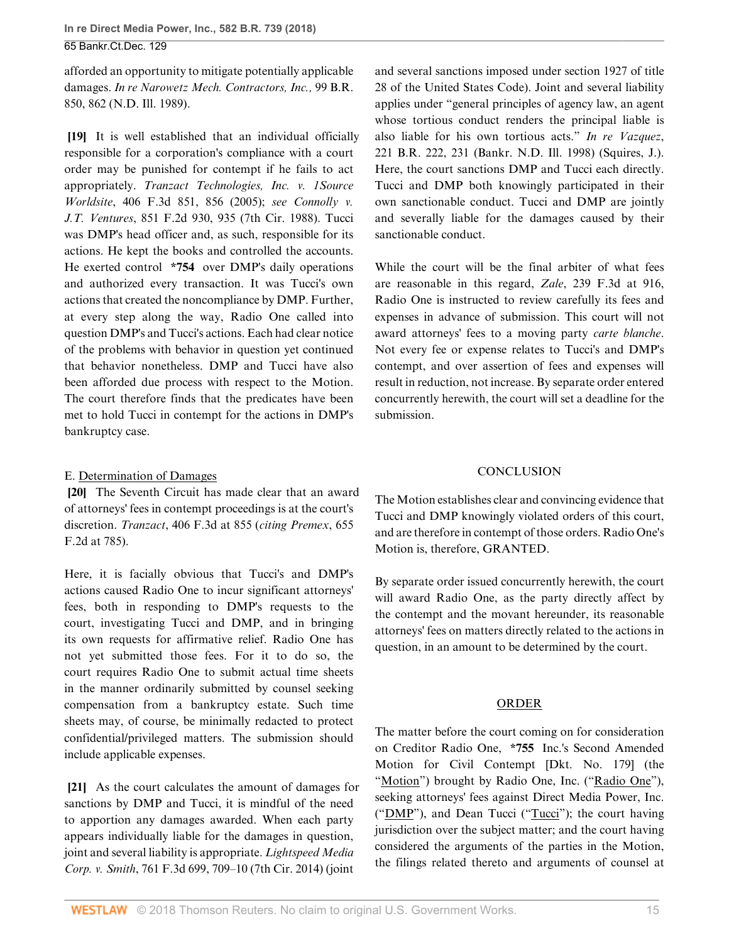afforded an opportunity to mitigate potentially applicable damages. *[In re Narowetz Mech. Contractors, Inc.,](http://www.westlaw.com/Link/Document/FullText?findType=Y&serNum=1989069150&pubNum=0000164&originatingDoc=I0f6505e036cb11e8a70fc9d8a0b2aef5&refType=RP&fi=co_pp_sp_164_862&originationContext=document&vr=3.0&rs=cblt1.0&transitionType=DocumentItem&contextData=(sc.PubAlert)#co_pp_sp_164_862)* 99 B.R. [850, 862 \(N.D. Ill. 1989\)](http://www.westlaw.com/Link/Document/FullText?findType=Y&serNum=1989069150&pubNum=0000164&originatingDoc=I0f6505e036cb11e8a70fc9d8a0b2aef5&refType=RP&fi=co_pp_sp_164_862&originationContext=document&vr=3.0&rs=cblt1.0&transitionType=DocumentItem&contextData=(sc.PubAlert)#co_pp_sp_164_862).

<span id="page-14-0"></span>**[\[19](#page-3-4)]** It is well established that an individual officially responsible for a corporation's compliance with a court order may be punished for contempt if he fails to act appropriately. *[Tranzact Technologies, Inc. v. 1Source](http://www.westlaw.com/Link/Document/FullText?findType=Y&serNum=2006570639&pubNum=0000506&originatingDoc=I0f6505e036cb11e8a70fc9d8a0b2aef5&refType=RP&fi=co_pp_sp_506_856&originationContext=document&vr=3.0&rs=cblt1.0&transitionType=DocumentItem&contextData=(sc.PubAlert)#co_pp_sp_506_856) Worldsite*[, 406 F.3d 851, 856 \(2005\)](http://www.westlaw.com/Link/Document/FullText?findType=Y&serNum=2006570639&pubNum=0000506&originatingDoc=I0f6505e036cb11e8a70fc9d8a0b2aef5&refType=RP&fi=co_pp_sp_506_856&originationContext=document&vr=3.0&rs=cblt1.0&transitionType=DocumentItem&contextData=(sc.PubAlert)#co_pp_sp_506_856); *see [Connolly v.](http://www.westlaw.com/Link/Document/FullText?findType=Y&serNum=1988091324&pubNum=0000350&originatingDoc=I0f6505e036cb11e8a70fc9d8a0b2aef5&refType=RP&fi=co_pp_sp_350_935&originationContext=document&vr=3.0&rs=cblt1.0&transitionType=DocumentItem&contextData=(sc.PubAlert)#co_pp_sp_350_935) J.T. Ventures*[, 851 F.2d 930, 935 \(7th Cir. 1988\).](http://www.westlaw.com/Link/Document/FullText?findType=Y&serNum=1988091324&pubNum=0000350&originatingDoc=I0f6505e036cb11e8a70fc9d8a0b2aef5&refType=RP&fi=co_pp_sp_350_935&originationContext=document&vr=3.0&rs=cblt1.0&transitionType=DocumentItem&contextData=(sc.PubAlert)#co_pp_sp_350_935) Tucci was DMP's head officer and, as such, responsible for its actions. He kept the books and controlled the accounts. He exerted control **\*754** over DMP's daily operations and authorized every transaction. It was Tucci's own actions that created the noncompliance by DMP. Further, at every step along the way, Radio One called into question DMP's and Tucci's actions. Each had clear notice of the problems with behavior in question yet continued that behavior nonetheless. DMP and Tucci have also been afforded due process with respect to the Motion. The court therefore finds that the predicates have been met to hold Tucci in contempt for the actions in DMP's bankruptcy case.

## E. Determination of Damages

<span id="page-14-1"></span>**[\[20](#page-3-5)]** The Seventh Circuit has made clear that an award of attorneys' fees in contempt proceedings is at the court's discretion. *Tranzact*[, 406 F.3d at 855](http://www.westlaw.com/Link/Document/FullText?findType=Y&serNum=2006570639&pubNum=0000506&originatingDoc=I0f6505e036cb11e8a70fc9d8a0b2aef5&refType=RP&fi=co_pp_sp_506_855&originationContext=document&vr=3.0&rs=cblt1.0&transitionType=DocumentItem&contextData=(sc.PubAlert)#co_pp_sp_506_855) (*citing [Premex](http://www.westlaw.com/Link/Document/FullText?findType=Y&serNum=1981133095&pubNum=0000350&originatingDoc=I0f6505e036cb11e8a70fc9d8a0b2aef5&refType=RP&fi=co_pp_sp_350_785&originationContext=document&vr=3.0&rs=cblt1.0&transitionType=DocumentItem&contextData=(sc.PubAlert)#co_pp_sp_350_785)*, 655 [F.2d at 785](http://www.westlaw.com/Link/Document/FullText?findType=Y&serNum=1981133095&pubNum=0000350&originatingDoc=I0f6505e036cb11e8a70fc9d8a0b2aef5&refType=RP&fi=co_pp_sp_350_785&originationContext=document&vr=3.0&rs=cblt1.0&transitionType=DocumentItem&contextData=(sc.PubAlert)#co_pp_sp_350_785)).

Here, it is facially obvious that Tucci's and DMP's actions caused Radio One to incur significant attorneys' fees, both in responding to DMP's requests to the court, investigating Tucci and DMP, and in bringing its own requests for affirmative relief. Radio One has not yet submitted those fees. For it to do so, the court requires Radio One to submit actual time sheets in the manner ordinarily submitted by counsel seeking compensation from a bankruptcy estate. Such time sheets may, of course, be minimally redacted to protect confidential/privileged matters. The submission should include applicable expenses.

<span id="page-14-2"></span>**[\[21](#page-4-1)]** As the court calculates the amount of damages for sanctions by DMP and Tucci, it is mindful of the need to apportion any damages awarded. When each party appears individually liable for the damages in question, joint and several liability is appropriate. *[Lightspeed Media](http://www.westlaw.com/Link/Document/FullText?findType=Y&serNum=2033946106&pubNum=0000506&originatingDoc=I0f6505e036cb11e8a70fc9d8a0b2aef5&refType=RP&fi=co_pp_sp_506_709&originationContext=document&vr=3.0&rs=cblt1.0&transitionType=DocumentItem&contextData=(sc.PubAlert)#co_pp_sp_506_709) Corp. v. Smith*[, 761 F.3d 699, 709–10 \(7th Cir. 2014\)](http://www.westlaw.com/Link/Document/FullText?findType=Y&serNum=2033946106&pubNum=0000506&originatingDoc=I0f6505e036cb11e8a70fc9d8a0b2aef5&refType=RP&fi=co_pp_sp_506_709&originationContext=document&vr=3.0&rs=cblt1.0&transitionType=DocumentItem&contextData=(sc.PubAlert)#co_pp_sp_506_709) (joint

and several sanctions imposed under [section 1927 of title](http://www.westlaw.com/Link/Document/FullText?findType=L&pubNum=1000546&cite=28USCAS1927&originatingDoc=I0f6505e036cb11e8a70fc9d8a0b2aef5&refType=LQ&originationContext=document&vr=3.0&rs=cblt1.0&transitionType=DocumentItem&contextData=(sc.PubAlert)) [28 of the United States Code](http://www.westlaw.com/Link/Document/FullText?findType=L&pubNum=1000546&cite=28USCAS1927&originatingDoc=I0f6505e036cb11e8a70fc9d8a0b2aef5&refType=LQ&originationContext=document&vr=3.0&rs=cblt1.0&transitionType=DocumentItem&contextData=(sc.PubAlert))). Joint and several liability applies under "general principles of agency law, an agent whose tortious conduct renders the principal liable is also liable for his own tortious acts." *[In re Vazquez](http://www.westlaw.com/Link/Document/FullText?findType=Y&serNum=1998137235&pubNum=0000164&originatingDoc=I0f6505e036cb11e8a70fc9d8a0b2aef5&refType=RP&fi=co_pp_sp_164_231&originationContext=document&vr=3.0&rs=cblt1.0&transitionType=DocumentItem&contextData=(sc.PubAlert)#co_pp_sp_164_231)*, [221 B.R. 222, 231 \(Bankr. N.D. Ill. 1998\)](http://www.westlaw.com/Link/Document/FullText?findType=Y&serNum=1998137235&pubNum=0000164&originatingDoc=I0f6505e036cb11e8a70fc9d8a0b2aef5&refType=RP&fi=co_pp_sp_164_231&originationContext=document&vr=3.0&rs=cblt1.0&transitionType=DocumentItem&contextData=(sc.PubAlert)#co_pp_sp_164_231) (Squires, J.). Here, the court sanctions DMP and Tucci each directly. Tucci and DMP both knowingly participated in their own sanctionable conduct. Tucci and DMP are jointly and severally liable for the damages caused by their sanctionable conduct.

While the court will be the final arbiter of what fees are reasonable in this regard, *Zale*[, 239 F.3d at 916](http://www.westlaw.com/Link/Document/FullText?findType=Y&serNum=2001139518&pubNum=0000506&originatingDoc=I0f6505e036cb11e8a70fc9d8a0b2aef5&refType=RP&fi=co_pp_sp_506_916&originationContext=document&vr=3.0&rs=cblt1.0&transitionType=DocumentItem&contextData=(sc.PubAlert)#co_pp_sp_506_916), Radio One is instructed to review carefully its fees and expenses in advance of submission. This court will not award attorneys' fees to a moving party *carte blanche*. Not every fee or expense relates to Tucci's and DMP's contempt, and over assertion of fees and expenses will result in reduction, not increase. By separate order entered concurrently herewith, the court will set a deadline for the submission.

## **CONCLUSION**

The Motion establishes clear and convincing evidence that Tucci and DMP knowingly violated orders of this court, and are therefore in contempt of those orders. Radio One's Motion is, therefore, GRANTED.

By separate order issued concurrently herewith, the court will award Radio One, as the party directly affect by the contempt and the movant hereunder, its reasonable attorneys' fees on matters directly related to the actions in question, in an amount to be determined by the court.

## ORDER

The matter before the court coming on for consideration on Creditor Radio One, **\*755** Inc.'s Second Amended Motion for Civil Contempt [Dkt. No. 179] (the "Motion") brought by Radio One, Inc. ("Radio One"), seeking attorneys' fees against Direct Media Power, Inc. ("DMP"), and Dean Tucci ("Tucci"); the court having jurisdiction over the subject matter; and the court having considered the arguments of the parties in the Motion, the filings related thereto and arguments of counsel at